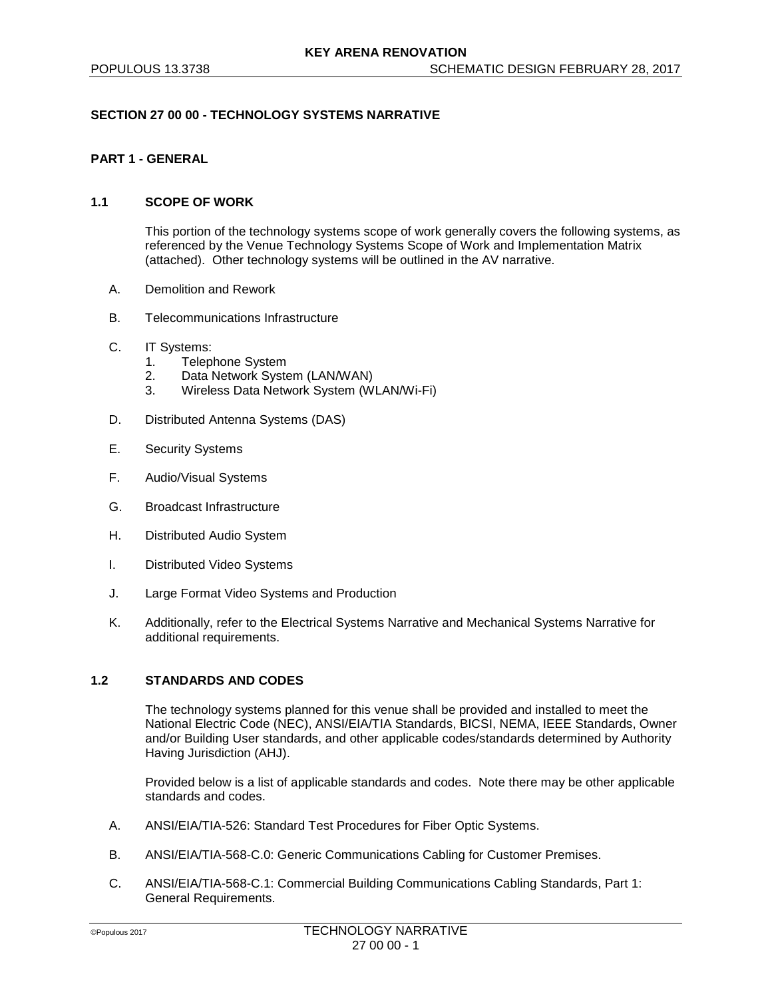### **SECTION 27 00 00 - TECHNOLOGY SYSTEMS NARRATIVE**

# **PART 1 - GENERAL**

#### **1.1 SCOPE OF WORK**

This portion of the technology systems scope of work generally covers the following systems, as referenced by the Venue Technology Systems Scope of Work and Implementation Matrix (attached). Other technology systems will be outlined in the AV narrative.

- A. Demolition and Rework
- B. Telecommunications Infrastructure
- C. IT Systems:
	- 1. Telephone System
	- 2. Data Network System (LAN/WAN)
	- 3. Wireless Data Network System (WLAN/Wi-Fi)
- D. Distributed Antenna Systems (DAS)
- E. Security Systems
- F. Audio/Visual Systems
- G. Broadcast Infrastructure
- H. Distributed Audio System
- I. Distributed Video Systems
- J. Large Format Video Systems and Production
- K. Additionally, refer to the Electrical Systems Narrative and Mechanical Systems Narrative for additional requirements.

#### **1.2 STANDARDS AND CODES**

The technology systems planned for this venue shall be provided and installed to meet the National Electric Code (NEC), ANSI/EIA/TIA Standards, BICSI, NEMA, IEEE Standards, Owner and/or Building User standards, and other applicable codes/standards determined by Authority Having Jurisdiction (AHJ).

Provided below is a list of applicable standards and codes. Note there may be other applicable standards and codes.

- A. ANSI/EIA/TIA-526: Standard Test Procedures for Fiber Optic Systems.
- B. ANSI/EIA/TIA-568-C.0: Generic Communications Cabling for Customer Premises.
- C. ANSI/EIA/TIA-568-C.1: Commercial Building Communications Cabling Standards, Part 1: General Requirements.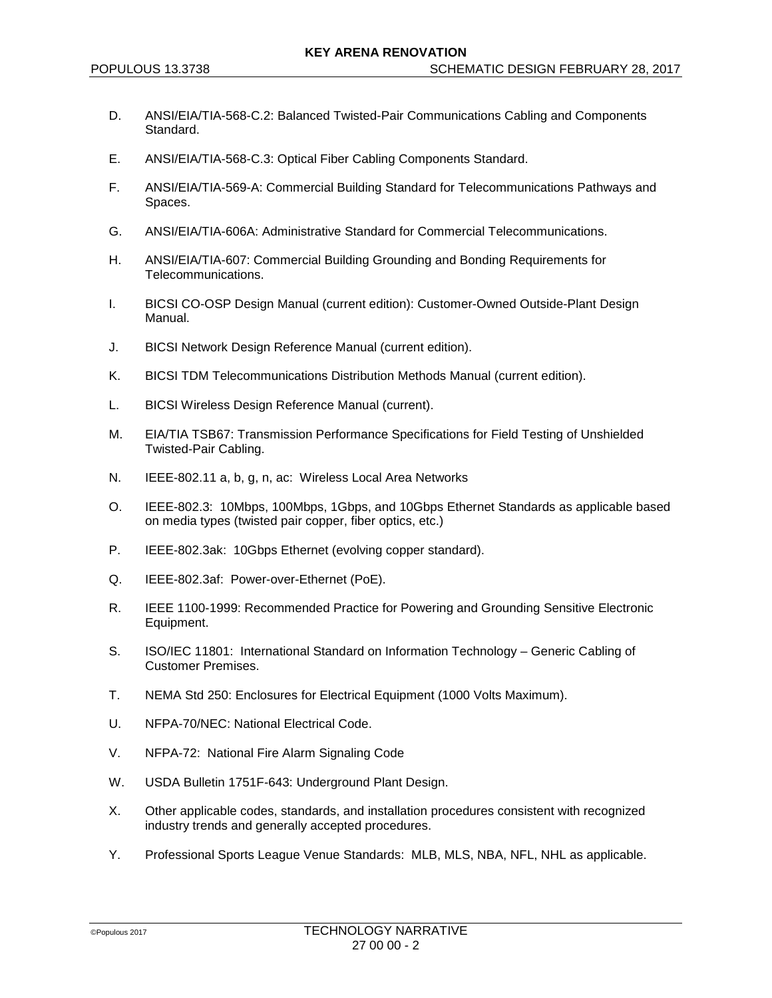- D. ANSI/EIA/TIA-568-C.2: Balanced Twisted-Pair Communications Cabling and Components Standard.
- E. ANSI/EIA/TIA-568-C.3: Optical Fiber Cabling Components Standard.
- F. ANSI/EIA/TIA-569-A: Commercial Building Standard for Telecommunications Pathways and Spaces.
- G. ANSI/EIA/TIA-606A: Administrative Standard for Commercial Telecommunications.
- H. ANSI/EIA/TIA-607: Commercial Building Grounding and Bonding Requirements for Telecommunications.
- I. BICSI CO-OSP Design Manual (current edition): Customer-Owned Outside-Plant Design Manual.
- J. BICSI Network Design Reference Manual (current edition).
- K. BICSI TDM Telecommunications Distribution Methods Manual (current edition).
- L. BICSI Wireless Design Reference Manual (current).
- M. EIA/TIA TSB67: Transmission Performance Specifications for Field Testing of Unshielded Twisted-Pair Cabling.
- N. IEEE-802.11 a, b, g, n, ac: Wireless Local Area Networks
- O. IEEE-802.3: 10Mbps, 100Mbps, 1Gbps, and 10Gbps Ethernet Standards as applicable based on media types (twisted pair copper, fiber optics, etc.)
- P. IEEE-802.3ak: 10Gbps Ethernet (evolving copper standard).
- Q. IEEE-802.3af: Power-over-Ethernet (PoE).
- R. IEEE 1100-1999: Recommended Practice for Powering and Grounding Sensitive Electronic Equipment.
- S. ISO/IEC 11801: International Standard on Information Technology Generic Cabling of Customer Premises.
- T. NEMA Std 250: Enclosures for Electrical Equipment (1000 Volts Maximum).
- U. NFPA-70/NEC: National Electrical Code.
- V. NFPA-72: National Fire Alarm Signaling Code
- W. USDA Bulletin 1751F-643: Underground Plant Design.
- X. Other applicable codes, standards, and installation procedures consistent with recognized industry trends and generally accepted procedures.
- Y. Professional Sports League Venue Standards: MLB, MLS, NBA, NFL, NHL as applicable.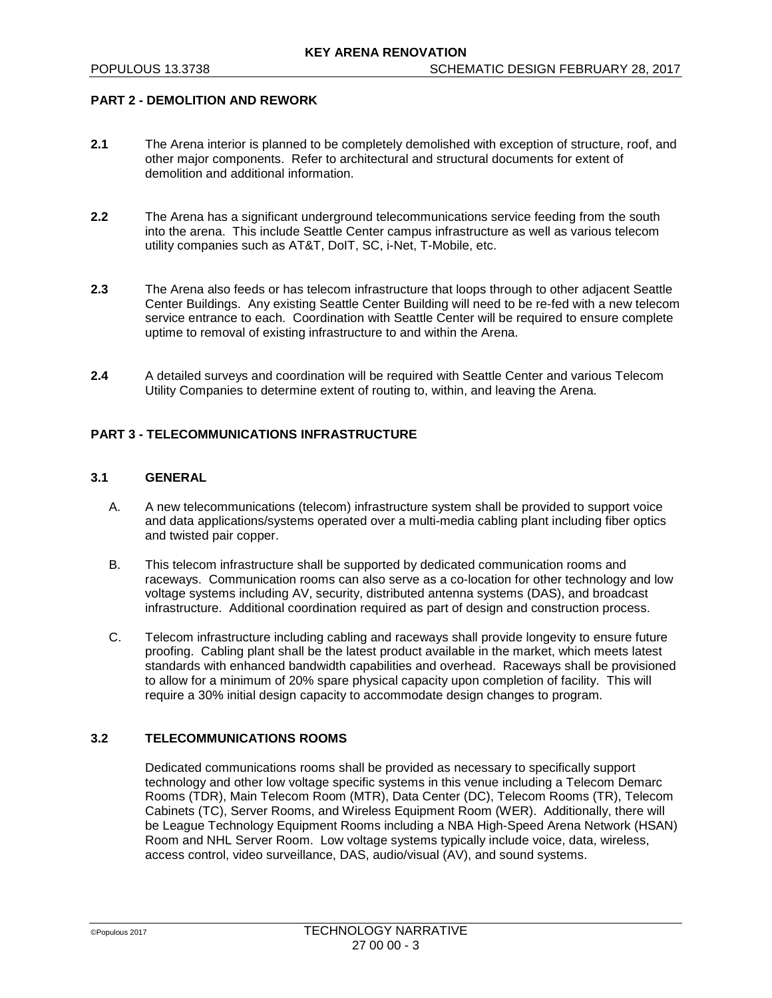### **PART 2 - DEMOLITION AND REWORK**

- **2.1** The Arena interior is planned to be completely demolished with exception of structure, roof, and other major components. Refer to architectural and structural documents for extent of demolition and additional information.
- **2.2** The Arena has a significant underground telecommunications service feeding from the south into the arena. This include Seattle Center campus infrastructure as well as various telecom utility companies such as AT&T, DoIT, SC, i-Net, T-Mobile, etc.
- **2.3** The Arena also feeds or has telecom infrastructure that loops through to other adjacent Seattle Center Buildings. Any existing Seattle Center Building will need to be re-fed with a new telecom service entrance to each. Coordination with Seattle Center will be required to ensure complete uptime to removal of existing infrastructure to and within the Arena.
- **2.4** A detailed surveys and coordination will be required with Seattle Center and various Telecom Utility Companies to determine extent of routing to, within, and leaving the Arena.

#### **PART 3 - TELECOMMUNICATIONS INFRASTRUCTURE**

### **3.1 GENERAL**

- A. A new telecommunications (telecom) infrastructure system shall be provided to support voice and data applications/systems operated over a multi-media cabling plant including fiber optics and twisted pair copper.
- B. This telecom infrastructure shall be supported by dedicated communication rooms and raceways. Communication rooms can also serve as a co-location for other technology and low voltage systems including AV, security, distributed antenna systems (DAS), and broadcast infrastructure. Additional coordination required as part of design and construction process.
- C. Telecom infrastructure including cabling and raceways shall provide longevity to ensure future proofing. Cabling plant shall be the latest product available in the market, which meets latest standards with enhanced bandwidth capabilities and overhead. Raceways shall be provisioned to allow for a minimum of 20% spare physical capacity upon completion of facility. This will require a 30% initial design capacity to accommodate design changes to program.

#### **3.2 TELECOMMUNICATIONS ROOMS**

Dedicated communications rooms shall be provided as necessary to specifically support technology and other low voltage specific systems in this venue including a Telecom Demarc Rooms (TDR), Main Telecom Room (MTR), Data Center (DC), Telecom Rooms (TR), Telecom Cabinets (TC), Server Rooms, and Wireless Equipment Room (WER). Additionally, there will be League Technology Equipment Rooms including a NBA High-Speed Arena Network (HSAN) Room and NHL Server Room. Low voltage systems typically include voice, data, wireless, access control, video surveillance, DAS, audio/visual (AV), and sound systems.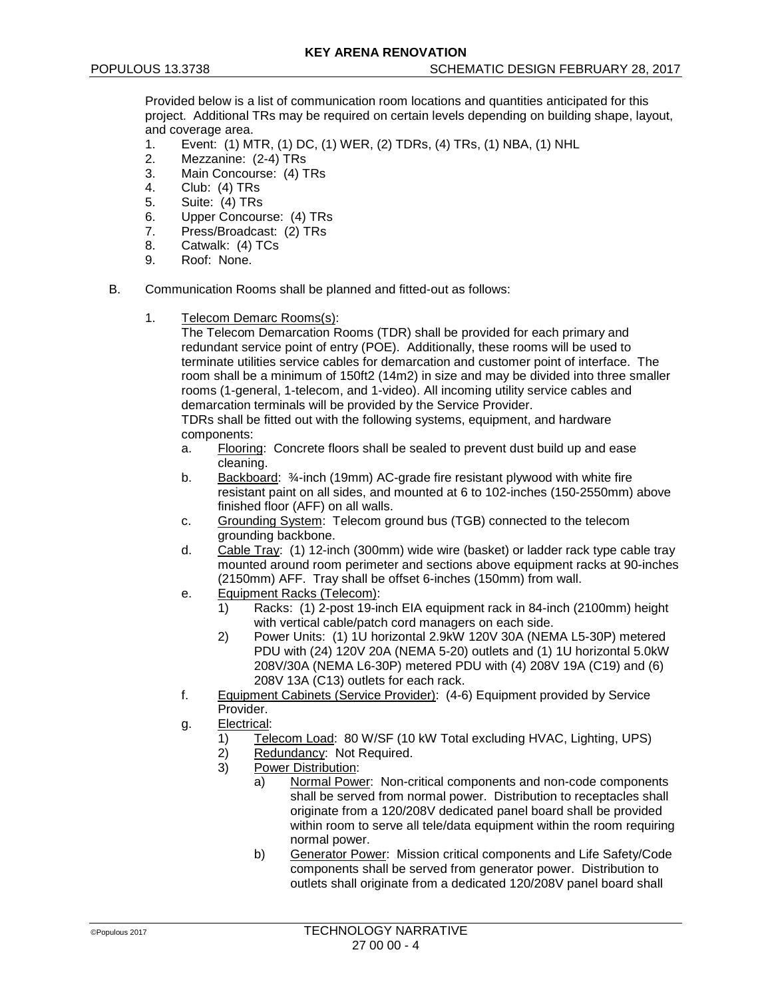Provided below is a list of communication room locations and quantities anticipated for this project. Additional TRs may be required on certain levels depending on building shape, layout, and coverage area.<br>1 Fvent: (1) M

- Event: (1) MTR, (1) DC, (1) WER, (2) TDRs, (4) TRs, (1) NBA, (1) NHL
- 2. Mezzanine: (2-4) TRs
- 3. Main Concourse: (4) TRs<br>4. Club: (4) TRs
- Club: (4) TRs
- 5. Suite: (4) TRs
- 6. Upper Concourse: (4) TRs<br>7. Press/Broadcast: (2) TRs
- Press/Broadcast: (2) TRs
- 8. Catwalk: (4) TCs
- 9. Roof: None.
- B. Communication Rooms shall be planned and fitted-out as follows:
	- 1. Telecom Demarc Rooms(s):

The Telecom Demarcation Rooms (TDR) shall be provided for each primary and redundant service point of entry (POE). Additionally, these rooms will be used to terminate utilities service cables for demarcation and customer point of interface. The room shall be a minimum of 150ft2 (14m2) in size and may be divided into three smaller rooms (1-general, 1-telecom, and 1-video). All incoming utility service cables and demarcation terminals will be provided by the Service Provider.

TDRs shall be fitted out with the following systems, equipment, and hardware components:

- a. Flooring: Concrete floors shall be sealed to prevent dust build up and ease cleaning.
- b. Backboard: 34-inch (19mm) AC-grade fire resistant plywood with white fire resistant paint on all sides, and mounted at 6 to 102-inches (150-2550mm) above finished floor (AFF) on all walls.
- c. Grounding System: Telecom ground bus (TGB) connected to the telecom grounding backbone.
- d. Cable Tray: (1) 12-inch (300mm) wide wire (basket) or ladder rack type cable tray mounted around room perimeter and sections above equipment racks at 90-inches (2150mm) AFF. Tray shall be offset 6-inches (150mm) from wall.
- e. Equipment Racks (Telecom):
	- 1) Racks: (1) 2-post 19-inch EIA equipment rack in 84-inch (2100mm) height with vertical cable/patch cord managers on each side.
	- 2) Power Units: (1) 1U horizontal 2.9kW 120V 30A (NEMA L5-30P) metered PDU with (24) 120V 20A (NEMA 5-20) outlets and (1) 1U horizontal 5.0kW 208V/30A (NEMA L6-30P) metered PDU with (4) 208V 19A (C19) and (6) 208V 13A (C13) outlets for each rack.
- f. Equipment Cabinets (Service Provider): (4-6) Equipment provided by Service Provider.
- g. Electrical:
	- 1) Telecom Load: 80 W/SF (10 kW Total excluding HVAC, Lighting, UPS)<br>2) Redundancy: Not Required.
	- Redundancy: Not Required.
	- 3) Power Distribution:
		- a) Normal Power: Non-critical components and non-code components shall be served from normal power. Distribution to receptacles shall originate from a 120/208V dedicated panel board shall be provided within room to serve all tele/data equipment within the room requiring normal power.
		- b) Generator Power: Mission critical components and Life Safety/Code components shall be served from generator power. Distribution to outlets shall originate from a dedicated 120/208V panel board shall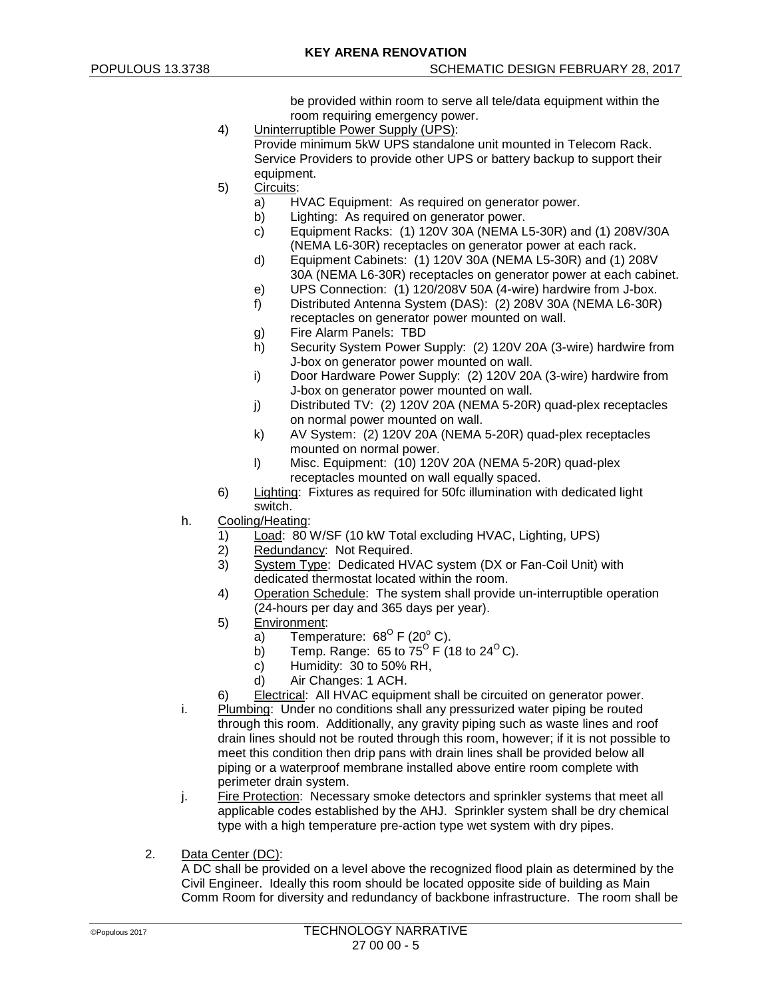be provided within room to serve all tele/data equipment within the room requiring emergency power.

- 4) Uninterruptible Power Supply (UPS): Provide minimum 5kW UPS standalone unit mounted in Telecom Rack. Service Providers to provide other UPS or battery backup to support their equipment.
- 5) Circuits:
	- a) HVAC Equipment: As required on generator power.
	- b) Lighting: As required on generator power.<br>c) Equipment Racks: (1) 120V 30A (NEMA L
	- Equipment Racks: (1) 120V 30A (NEMA L5-30R) and (1) 208V/30A (NEMA L6-30R) receptacles on generator power at each rack.
	- d) Equipment Cabinets: (1) 120V 30A (NEMA L5-30R) and (1) 208V 30A (NEMA L6-30R) receptacles on generator power at each cabinet.
	- e) UPS Connection: (1) 120/208V 50A (4-wire) hardwire from J-box.
	- f) Distributed Antenna System (DAS): (2) 208V 30A (NEMA L6-30R) receptacles on generator power mounted on wall.
	- g) Fire Alarm Panels: TBD
	- h) Security System Power Supply: (2) 120V 20A (3-wire) hardwire from J-box on generator power mounted on wall.
	- i) Door Hardware Power Supply: (2) 120V 20A (3-wire) hardwire from J-box on generator power mounted on wall.
	- j) Distributed TV: (2) 120V 20A (NEMA 5-20R) quad-plex receptacles on normal power mounted on wall.
	- k) AV System: (2) 120V 20A (NEMA 5-20R) quad-plex receptacles mounted on normal power.
	- l) Misc. Equipment: (10) 120V 20A (NEMA 5-20R) quad-plex receptacles mounted on wall equally spaced.
- 6) Lighting: Fixtures as required for 50fc illumination with dedicated light switch.
- h. Cooling/Heating:
	- 1) Load: 80 W/SF (10 kW Total excluding HVAC, Lighting, UPS)
	- 2) Redundancy: Not Required.
	- 3) System Type: Dedicated HVAC system (DX or Fan-Coil Unit) with dedicated thermostat located within the room.
	- 4) Operation Schedule: The system shall provide un-interruptible operation (24-hours per day and 365 days per year).
	- 5) Environment:
		- a) Temperature:  $68^{\circ}$  F (20° C).
		- b) Temp. Range: 65 to  $75^{\circ}$  F (18 to 24<sup>o</sup>C).
		- c) Humidity: 30 to 50% RH,
		- d) Air Changes: 1 ACH.
	- 6) Electrical: All HVAC equipment shall be circuited on generator power.
- i. Plumbing: Under no conditions shall any pressurized water piping be routed through this room. Additionally, any gravity piping such as waste lines and roof drain lines should not be routed through this room, however; if it is not possible to meet this condition then drip pans with drain lines shall be provided below all piping or a waterproof membrane installed above entire room complete with perimeter drain system.
- j. Fire Protection: Necessary smoke detectors and sprinkler systems that meet all applicable codes established by the AHJ. Sprinkler system shall be dry chemical type with a high temperature pre-action type wet system with dry pipes.
- 2. Data Center (DC):

A DC shall be provided on a level above the recognized flood plain as determined by the Civil Engineer. Ideally this room should be located opposite side of building as Main Comm Room for diversity and redundancy of backbone infrastructure. The room shall be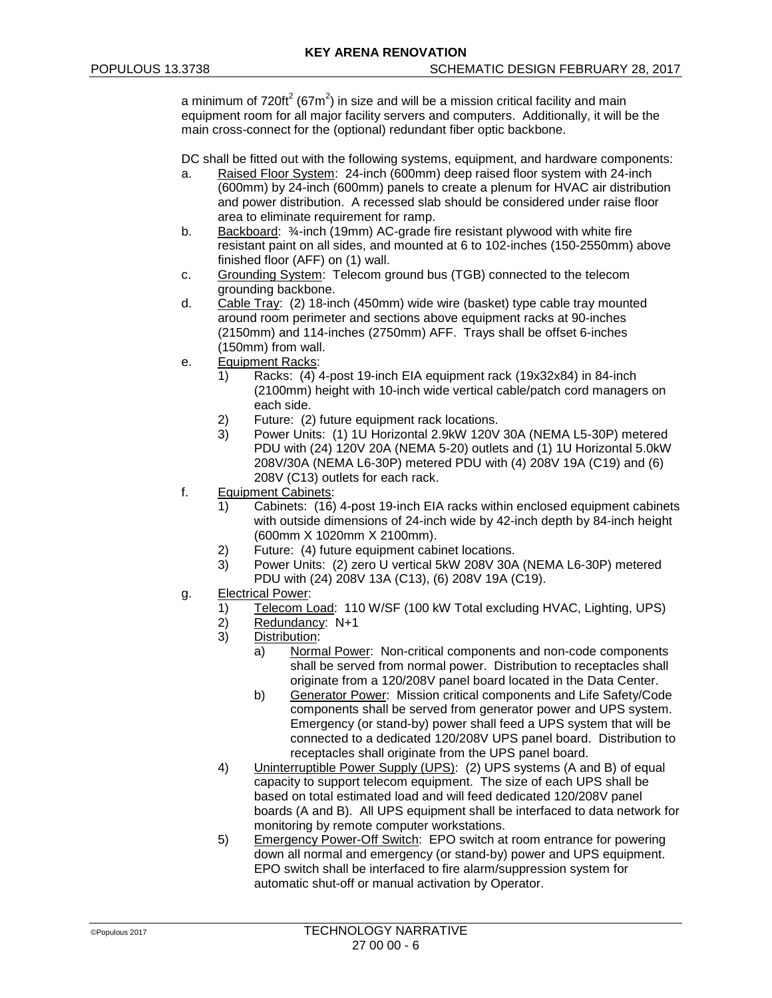a minimum of 720ft $^2$  (67m $^2$ ) in size and will be a mission critical facility and main equipment room for all major facility servers and computers. Additionally, it will be the main cross-connect for the (optional) redundant fiber optic backbone.

DC shall be fitted out with the following systems, equipment, and hardware components:

- a. Raised Floor System: 24-inch (600mm) deep raised floor system with 24-inch (600mm) by 24-inch (600mm) panels to create a plenum for HVAC air distribution and power distribution. A recessed slab should be considered under raise floor area to eliminate requirement for ramp.
- b. Backboard: 3/<sub>4</sub>-inch (19mm) AC-grade fire resistant plywood with white fire resistant paint on all sides, and mounted at 6 to 102-inches (150-2550mm) above finished floor (AFF) on (1) wall.
- c. Grounding System: Telecom ground bus (TGB) connected to the telecom grounding backbone.
- d. Cable Tray: (2) 18-inch (450mm) wide wire (basket) type cable tray mounted around room perimeter and sections above equipment racks at 90-inches (2150mm) and 114-inches (2750mm) AFF. Trays shall be offset 6-inches (150mm) from wall.
- e. Equipment Racks:
	- 1) Racks: (4) 4-post 19-inch EIA equipment rack (19x32x84) in 84-inch (2100mm) height with 10-inch wide vertical cable/patch cord managers on each side.
	- 2) Future: (2) future equipment rack locations.
	- 3) Power Units: (1) 1U Horizontal 2.9kW 120V 30A (NEMA L5-30P) metered PDU with (24) 120V 20A (NEMA 5-20) outlets and (1) 1U Horizontal 5.0kW 208V/30A (NEMA L6-30P) metered PDU with (4) 208V 19A (C19) and (6) 208V (C13) outlets for each rack.
- f. Equipment Cabinets:
	- 1) Cabinets: (16) 4-post 19-inch EIA racks within enclosed equipment cabinets with outside dimensions of 24-inch wide by 42-inch depth by 84-inch height (600mm X 1020mm X 2100mm).
	- 2) Future: (4) future equipment cabinet locations.
	- 3) Power Units: (2) zero U vertical 5kW 208V 30A (NEMA L6-30P) metered PDU with (24) 208V 13A (C13), (6) 208V 19A (C19).
- g. Electrical Power:
	- 1) Telecom Load: 110 W/SF (100 kW Total excluding HVAC, Lighting, UPS)<br>2) Redundancy: N+1
	- Redundancy: N+1
	- 3) Distribution:
		- a) Normal Power: Non-critical components and non-code components shall be served from normal power. Distribution to receptacles shall originate from a 120/208V panel board located in the Data Center.
		- b) Generator Power: Mission critical components and Life Safety/Code components shall be served from generator power and UPS system. Emergency (or stand-by) power shall feed a UPS system that will be connected to a dedicated 120/208V UPS panel board. Distribution to receptacles shall originate from the UPS panel board.
	- 4) Uninterruptible Power Supply (UPS): (2) UPS systems (A and B) of equal capacity to support telecom equipment. The size of each UPS shall be based on total estimated load and will feed dedicated 120/208V panel boards (A and B). All UPS equipment shall be interfaced to data network for monitoring by remote computer workstations.
	- 5) Emergency Power-Off Switch: EPO switch at room entrance for powering down all normal and emergency (or stand-by) power and UPS equipment. EPO switch shall be interfaced to fire alarm/suppression system for automatic shut-off or manual activation by Operator.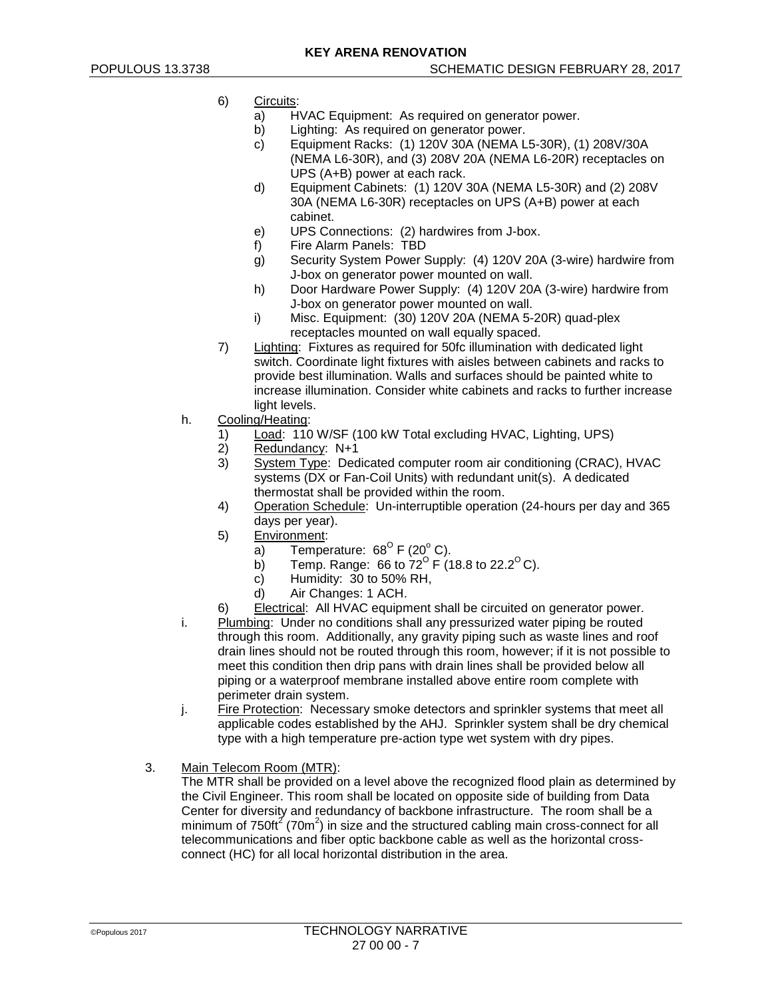- 6) Circuits:
	- a) HVAC Equipment: As required on generator power.
	- b) Lighting: As required on generator power.<br>c) Equipment Racks: (1) 120V 30A (NEMA L
	- Equipment Racks: (1) 120V 30A (NEMA L5-30R), (1) 208V/30A (NEMA L6-30R), and (3) 208V 20A (NEMA L6-20R) receptacles on UPS (A+B) power at each rack.
	- d) Equipment Cabinets: (1) 120V 30A (NEMA L5-30R) and (2) 208V 30A (NEMA L6-30R) receptacles on UPS (A+B) power at each cabinet.
	- e) UPS Connections: (2) hardwires from J-box.
	- f) Fire Alarm Panels: TBD
	- g) Security System Power Supply: (4) 120V 20A (3-wire) hardwire from J-box on generator power mounted on wall.
	- h) Door Hardware Power Supply: (4) 120V 20A (3-wire) hardwire from J-box on generator power mounted on wall.
	- i) Misc. Equipment: (30) 120V 20A (NEMA 5-20R) quad-plex receptacles mounted on wall equally spaced.
- 7) Lighting: Fixtures as required for 50fc illumination with dedicated light switch. Coordinate light fixtures with aisles between cabinets and racks to provide best illumination. Walls and surfaces should be painted white to increase illumination. Consider white cabinets and racks to further increase light levels.
- h. Cooling/Heating:
	- 1) Load: 110 W/SF (100 kW Total excluding HVAC, Lighting, UPS)
	- 2) Redundancy: N+1
	- 3) System Type: Dedicated computer room air conditioning (CRAC), HVAC systems (DX or Fan-Coil Units) with redundant unit(s). A dedicated thermostat shall be provided within the room.
	- 4) Operation Schedule: Un-interruptible operation (24-hours per day and 365 days per year).
	- 5) Environment:
		- a) Temperature:  $68^{\circ}$  F (20° C).
		- b) Temp. Range: 66 to  $72^{\circ}$  F (18.8 to 22.2<sup>o</sup> C).
		- $c)$  Humidity: 30 to 50% RH.
		- d) Air Changes: 1 ACH.
	- 6) Electrical: All HVAC equipment shall be circuited on generator power.
- i. Plumbing: Under no conditions shall any pressurized water piping be routed through this room. Additionally, any gravity piping such as waste lines and roof drain lines should not be routed through this room, however; if it is not possible to meet this condition then drip pans with drain lines shall be provided below all piping or a waterproof membrane installed above entire room complete with perimeter drain system.
- j. Fire Protection: Necessary smoke detectors and sprinkler systems that meet all applicable codes established by the AHJ. Sprinkler system shall be dry chemical type with a high temperature pre-action type wet system with dry pipes.
- 3. Main Telecom Room (MTR):

The MTR shall be provided on a level above the recognized flood plain as determined by the Civil Engineer. This room shall be located on opposite side of building from Data Center for diversity and redundancy of backbone infrastructure. The room shall be a minimum of 750ft<sup>2</sup> (70m<sup>2</sup>) in size and the structured cabling main cross-connect for all telecommunications and fiber optic backbone cable as well as the horizontal crossconnect (HC) for all local horizontal distribution in the area.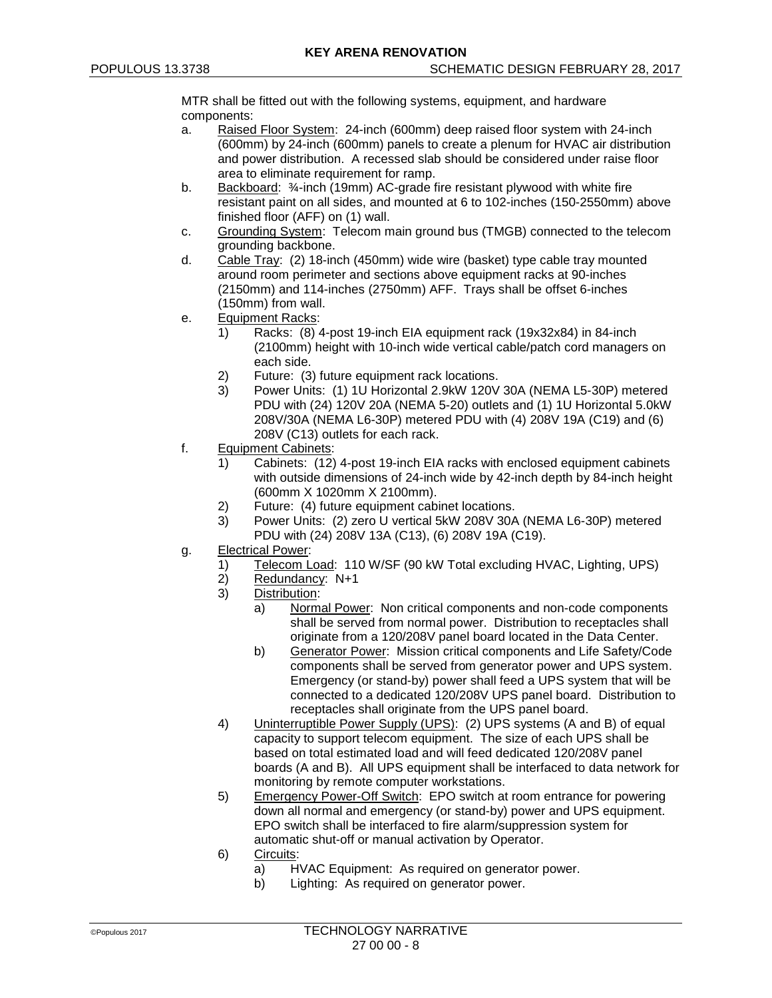MTR shall be fitted out with the following systems, equipment, and hardware components:

- a. Raised Floor System: 24-inch (600mm) deep raised floor system with 24-inch (600mm) by 24-inch (600mm) panels to create a plenum for HVAC air distribution and power distribution. A recessed slab should be considered under raise floor area to eliminate requirement for ramp.
- b. Backboard: 34-inch (19mm) AC-grade fire resistant plywood with white fire resistant paint on all sides, and mounted at 6 to 102-inches (150-2550mm) above finished floor (AFF) on (1) wall.
- c. Grounding System: Telecom main ground bus (TMGB) connected to the telecom grounding backbone.
- d. Cable Tray: (2) 18-inch (450mm) wide wire (basket) type cable tray mounted around room perimeter and sections above equipment racks at 90-inches (2150mm) and 114-inches (2750mm) AFF. Trays shall be offset 6-inches (150mm) from wall.
- e. Equipment Racks:
	- 1) Racks: (8) 4-post 19-inch EIA equipment rack (19x32x84) in 84-inch (2100mm) height with 10-inch wide vertical cable/patch cord managers on each side.
	- 2) Future: (3) future equipment rack locations.
	- 3) Power Units: (1) 1U Horizontal 2.9kW 120V 30A (NEMA L5-30P) metered PDU with (24) 120V 20A (NEMA 5-20) outlets and (1) 1U Horizontal 5.0kW 208V/30A (NEMA L6-30P) metered PDU with (4) 208V 19A (C19) and (6) 208V (C13) outlets for each rack.
- f. Equipment Cabinets:
	- 1) Cabinets: (12) 4-post 19-inch EIA racks with enclosed equipment cabinets with outside dimensions of 24-inch wide by 42-inch depth by 84-inch height (600mm X 1020mm X 2100mm).
	- 2) Future: (4) future equipment cabinet locations.
	- 3) Power Units: (2) zero U vertical 5kW 208V 30A (NEMA L6-30P) metered PDU with (24) 208V 13A (C13), (6) 208V 19A (C19).
- g. Electrical Power:
	- 1) Telecom Load: 110 W/SF (90 kW Total excluding HVAC, Lighting, UPS)<br>2) Redundancy: N+1
	- Redundancy: N+1
	- 3) Distribution:
		- a) Normal Power: Non critical components and non-code components shall be served from normal power. Distribution to receptacles shall originate from a 120/208V panel board located in the Data Center.
		- b) Generator Power: Mission critical components and Life Safety/Code components shall be served from generator power and UPS system. Emergency (or stand-by) power shall feed a UPS system that will be connected to a dedicated 120/208V UPS panel board. Distribution to receptacles shall originate from the UPS panel board.
	- 4) Uninterruptible Power Supply (UPS): (2) UPS systems (A and B) of equal capacity to support telecom equipment. The size of each UPS shall be based on total estimated load and will feed dedicated 120/208V panel boards (A and B). All UPS equipment shall be interfaced to data network for monitoring by remote computer workstations.
	- 5) Emergency Power-Off Switch: EPO switch at room entrance for powering down all normal and emergency (or stand-by) power and UPS equipment. EPO switch shall be interfaced to fire alarm/suppression system for automatic shut-off or manual activation by Operator.
	- 6) Circuits:
		- a) HVAC Equipment: As required on generator power.<br>b) Lighting: As required on generator power.
		- Lighting: As required on generator power.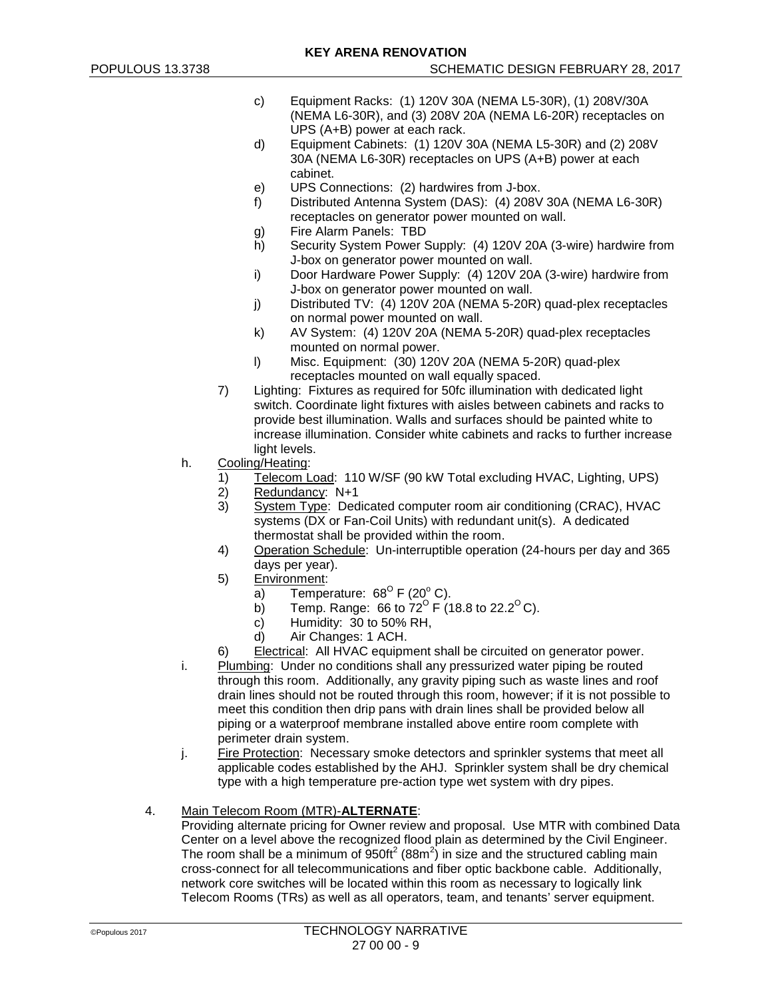- c) Equipment Racks: (1) 120V 30A (NEMA L5-30R), (1) 208V/30A (NEMA L6-30R), and (3) 208V 20A (NEMA L6-20R) receptacles on UPS (A+B) power at each rack.
- d) Equipment Cabinets: (1) 120V 30A (NEMA L5-30R) and (2) 208V 30A (NEMA L6-30R) receptacles on UPS (A+B) power at each cabinet.
- e) UPS Connections: (2) hardwires from J-box.
- f) Distributed Antenna System (DAS): (4) 208V 30A (NEMA L6-30R) receptacles on generator power mounted on wall.
- g) Fire Alarm Panels: TBD
- h) Security System Power Supply: (4) 120V 20A (3-wire) hardwire from J-box on generator power mounted on wall.
- i) Door Hardware Power Supply: (4) 120V 20A (3-wire) hardwire from J-box on generator power mounted on wall.
- j) Distributed TV: (4) 120V 20A (NEMA 5-20R) quad-plex receptacles on normal power mounted on wall.
- k) AV System: (4) 120V 20A (NEMA 5-20R) quad-plex receptacles mounted on normal power.
- l) Misc. Equipment: (30) 120V 20A (NEMA 5-20R) quad-plex receptacles mounted on wall equally spaced.
- 7) Lighting: Fixtures as required for 50fc illumination with dedicated light switch. Coordinate light fixtures with aisles between cabinets and racks to provide best illumination. Walls and surfaces should be painted white to increase illumination. Consider white cabinets and racks to further increase light levels.
- h. Cooling/Heating:
	- 1) Telecom Load: 110 W/SF (90 kW Total excluding HVAC, Lighting, UPS)<br>2) Redundancy: N+1
	- Redundancy: N+1
	- 3) System Type: Dedicated computer room air conditioning (CRAC), HVAC systems (DX or Fan-Coil Units) with redundant unit(s). A dedicated thermostat shall be provided within the room.
	- 4) Operation Schedule: Un-interruptible operation (24-hours per day and 365 days per year).
	- 5) Environment:
		- a) Temperature:  $68^{\circ}$  F (20° C).
		- b) Temp. Range: 66 to 72<sup>o</sup> F (18.8 to 22.2<sup>o</sup> C).
		- c) Humidity: 30 to 50% RH,
		- d) Air Changes: 1 ACH.
	- 6) Electrical: All HVAC equipment shall be circuited on generator power.
- i. Plumbing: Under no conditions shall any pressurized water piping be routed through this room. Additionally, any gravity piping such as waste lines and roof drain lines should not be routed through this room, however; if it is not possible to meet this condition then drip pans with drain lines shall be provided below all piping or a waterproof membrane installed above entire room complete with perimeter drain system.
- j. Fire Protection: Necessary smoke detectors and sprinkler systems that meet all applicable codes established by the AHJ. Sprinkler system shall be dry chemical type with a high temperature pre-action type wet system with dry pipes.

# 4. Main Telecom Room (MTR)-**ALTERNATE**:

Providing alternate pricing for Owner review and proposal. Use MTR with combined Data Center on a level above the recognized flood plain as determined by the Civil Engineer. The room shall be a minimum of  $950\text{ft}^2$  (88m<sup>2</sup>) in size and the structured cabling main cross-connect for all telecommunications and fiber optic backbone cable. Additionally, network core switches will be located within this room as necessary to logically link Telecom Rooms (TRs) as well as all operators, team, and tenants' server equipment.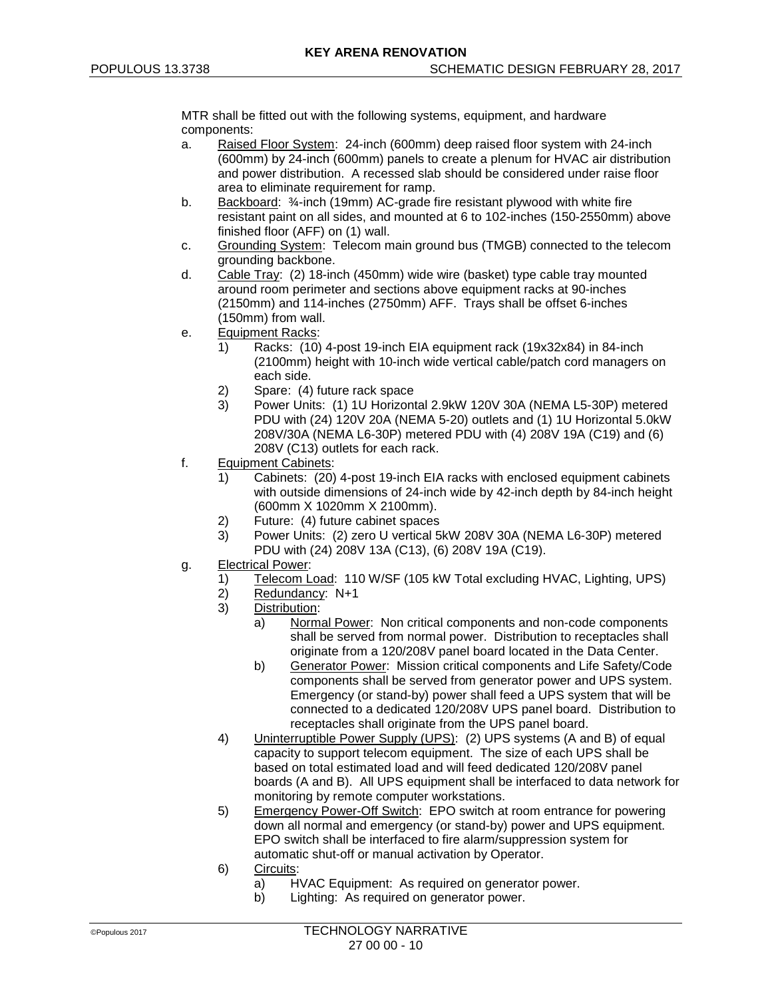MTR shall be fitted out with the following systems, equipment, and hardware components:

- a. Raised Floor System: 24-inch (600mm) deep raised floor system with 24-inch (600mm) by 24-inch (600mm) panels to create a plenum for HVAC air distribution and power distribution. A recessed slab should be considered under raise floor area to eliminate requirement for ramp.
- b. Backboard: ¾-inch (19mm) AC-grade fire resistant plywood with white fire resistant paint on all sides, and mounted at 6 to 102-inches (150-2550mm) above finished floor (AFF) on (1) wall.
- c. Grounding System: Telecom main ground bus (TMGB) connected to the telecom grounding backbone.
- d. Cable Tray: (2) 18-inch (450mm) wide wire (basket) type cable tray mounted around room perimeter and sections above equipment racks at 90-inches (2150mm) and 114-inches (2750mm) AFF. Trays shall be offset 6-inches (150mm) from wall.
- e. Equipment Racks:
	- 1) Racks: (10) 4-post 19-inch EIA equipment rack (19x32x84) in 84-inch (2100mm) height with 10-inch wide vertical cable/patch cord managers on each side.
	- 2) Spare: (4) future rack space<br>3) Power Units: (1) 1U Horizont
	- Power Units: (1) 1U Horizontal 2.9kW 120V 30A (NEMA L5-30P) metered PDU with (24) 120V 20A (NEMA 5-20) outlets and (1) 1U Horizontal 5.0kW 208V/30A (NEMA L6-30P) metered PDU with (4) 208V 19A (C19) and (6) 208V (C13) outlets for each rack.
- f. Equipment Cabinets:
	- 1) Cabinets: (20) 4-post 19-inch EIA racks with enclosed equipment cabinets with outside dimensions of 24-inch wide by 42-inch depth by 84-inch height (600mm X 1020mm X 2100mm).
	- 2) Future: (4) future cabinet spaces
	- 3) Power Units: (2) zero U vertical 5kW 208V 30A (NEMA L6-30P) metered PDU with (24) 208V 13A (C13), (6) 208V 19A (C19).
- g. Electrical Power:
	- 1) Telecom Load: 110 W/SF (105 kW Total excluding HVAC, Lighting, UPS)
	- 2) Redundancy: N+1
	- 3) Distribution:
		- a) Normal Power: Non critical components and non-code components shall be served from normal power. Distribution to receptacles shall originate from a 120/208V panel board located in the Data Center.
		- b) Generator Power: Mission critical components and Life Safety/Code components shall be served from generator power and UPS system. Emergency (or stand-by) power shall feed a UPS system that will be connected to a dedicated 120/208V UPS panel board. Distribution to receptacles shall originate from the UPS panel board.
	- 4) Uninterruptible Power Supply (UPS): (2) UPS systems (A and B) of equal capacity to support telecom equipment. The size of each UPS shall be based on total estimated load and will feed dedicated 120/208V panel boards (A and B). All UPS equipment shall be interfaced to data network for monitoring by remote computer workstations.
	- 5) Emergency Power-Off Switch: EPO switch at room entrance for powering down all normal and emergency (or stand-by) power and UPS equipment. EPO switch shall be interfaced to fire alarm/suppression system for automatic shut-off or manual activation by Operator.
	- 6) Circuits:
		- a) HVAC Equipment: As required on generator power.
		- b) Lighting: As required on generator power.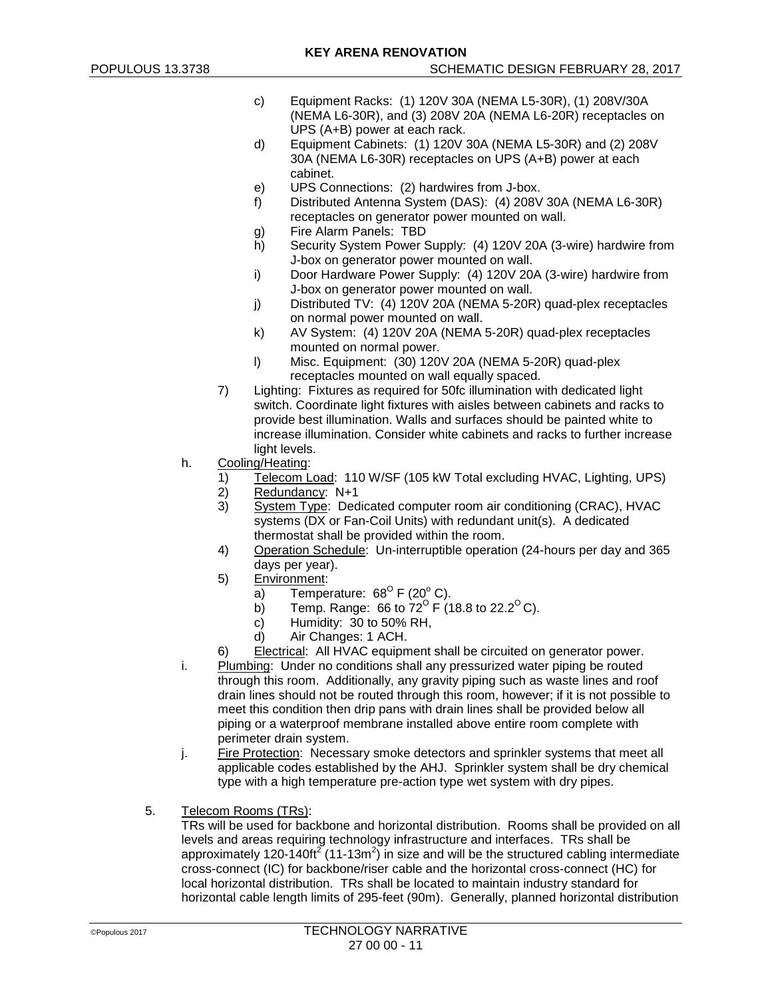- c) Equipment Racks: (1) 120V 30A (NEMA L5-30R), (1) 208V/30A (NEMA L6-30R), and (3) 208V 20A (NEMA L6-20R) receptacles on UPS (A+B) power at each rack.
- d) Equipment Cabinets: (1) 120V 30A (NEMA L5-30R) and (2) 208V 30A (NEMA L6-30R) receptacles on UPS (A+B) power at each cabinet.
- e) UPS Connections: (2) hardwires from J-box.
- f) Distributed Antenna System (DAS): (4) 208V 30A (NEMA L6-30R) receptacles on generator power mounted on wall.
- g) Fire Alarm Panels: TBD
- h) Security System Power Supply: (4) 120V 20A (3-wire) hardwire from J-box on generator power mounted on wall.
- i) Door Hardware Power Supply: (4) 120V 20A (3-wire) hardwire from J-box on generator power mounted on wall.
- j) Distributed TV: (4) 120V 20A (NEMA 5-20R) quad-plex receptacles on normal power mounted on wall.
- k) AV System: (4) 120V 20A (NEMA 5-20R) quad-plex receptacles mounted on normal power.
- l) Misc. Equipment: (30) 120V 20A (NEMA 5-20R) quad-plex receptacles mounted on wall equally spaced.
- 7) Lighting: Fixtures as required for 50fc illumination with dedicated light switch. Coordinate light fixtures with aisles between cabinets and racks to provide best illumination. Walls and surfaces should be painted white to increase illumination. Consider white cabinets and racks to further increase light levels.
- h. Cooling/Heating:
	- 1) Telecom Load: 110 W/SF (105 kW Total excluding HVAC, Lighting, UPS)<br>2) Redundancy: N+1
	- Redundancy: N+1
	- 3) System Type: Dedicated computer room air conditioning (CRAC), HVAC systems (DX or Fan-Coil Units) with redundant unit(s). A dedicated thermostat shall be provided within the room.
	- 4) Operation Schedule: Un-interruptible operation (24-hours per day and 365 days per year).
	- 5) Environment:
		- a) Temperature:  $68^{\circ}$  F (20° C).
		- b) Temp. Range: 66 to 72<sup>o</sup> F (18.8 to 22.2<sup>o</sup> C).
		- c) Humidity: 30 to 50% RH,
		- d) Air Changes: 1 ACH.
	- 6) Electrical: All HVAC equipment shall be circuited on generator power.
- i. Plumbing: Under no conditions shall any pressurized water piping be routed through this room. Additionally, any gravity piping such as waste lines and roof drain lines should not be routed through this room, however; if it is not possible to meet this condition then drip pans with drain lines shall be provided below all piping or a waterproof membrane installed above entire room complete with perimeter drain system.
- j. Fire Protection: Necessary smoke detectors and sprinkler systems that meet all applicable codes established by the AHJ. Sprinkler system shall be dry chemical type with a high temperature pre-action type wet system with dry pipes.
- 5. Telecom Rooms (TRs):

TRs will be used for backbone and horizontal distribution. Rooms shall be provided on all levels and areas requiring technology infrastructure and interfaces. TRs shall be approximately 120-140ft<sup>2</sup> (11-13m<sup>2</sup>) in size and will be the structured cabling intermediate cross-connect (IC) for backbone/riser cable and the horizontal cross-connect (HC) for local horizontal distribution. TRs shall be located to maintain industry standard for horizontal cable length limits of 295-feet (90m). Generally, planned horizontal distribution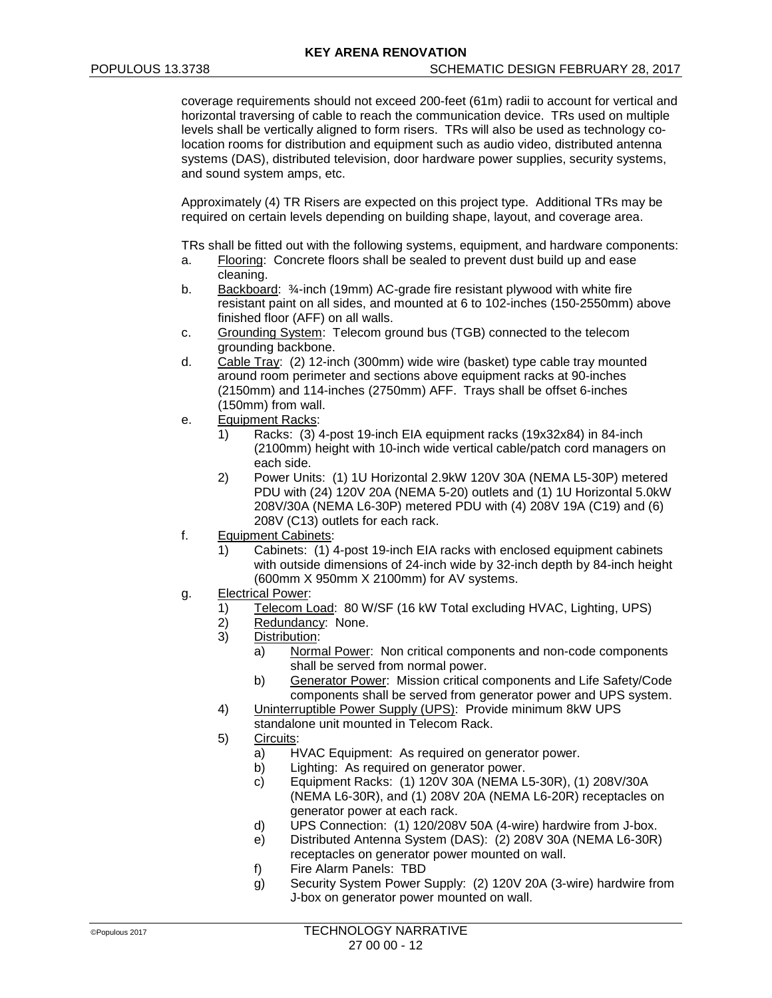coverage requirements should not exceed 200-feet (61m) radii to account for vertical and horizontal traversing of cable to reach the communication device. TRs used on multiple levels shall be vertically aligned to form risers. TRs will also be used as technology colocation rooms for distribution and equipment such as audio video, distributed antenna systems (DAS), distributed television, door hardware power supplies, security systems, and sound system amps, etc.

Approximately (4) TR Risers are expected on this project type. Additional TRs may be required on certain levels depending on building shape, layout, and coverage area.

- TRs shall be fitted out with the following systems, equipment, and hardware components:
- a. Flooring: Concrete floors shall be sealed to prevent dust build up and ease cleaning.
- b. Backboard: ¾-inch (19mm) AC-grade fire resistant plywood with white fire resistant paint on all sides, and mounted at 6 to 102-inches (150-2550mm) above finished floor (AFF) on all walls.
- c. Grounding System: Telecom ground bus (TGB) connected to the telecom grounding backbone.
- d. Cable Tray: (2) 12-inch (300mm) wide wire (basket) type cable tray mounted around room perimeter and sections above equipment racks at 90-inches (2150mm) and 114-inches (2750mm) AFF. Trays shall be offset 6-inches (150mm) from wall.
- e. Equipment Racks:
	- 1) Racks: (3) 4-post 19-inch EIA equipment racks (19x32x84) in 84-inch (2100mm) height with 10-inch wide vertical cable/patch cord managers on each side.
	- 2) Power Units: (1) 1U Horizontal 2.9kW 120V 30A (NEMA L5-30P) metered PDU with (24) 120V 20A (NEMA 5-20) outlets and (1) 1U Horizontal 5.0kW 208V/30A (NEMA L6-30P) metered PDU with (4) 208V 19A (C19) and (6) 208V (C13) outlets for each rack.
- f. Equipment Cabinets:
	- 1) Cabinets: (1) 4-post 19-inch EIA racks with enclosed equipment cabinets with outside dimensions of 24-inch wide by 32-inch depth by 84-inch height (600mm X 950mm X 2100mm) for AV systems.
- g. Electrical Power:
	- 1) Telecom Load: 80 W/SF (16 kW Total excluding HVAC, Lighting, UPS)<br>2) Redundancy: None.
	- Redundancy: None.
	- 3) Distribution:
		- a) Normal Power: Non critical components and non-code components shall be served from normal power.
		- b) Generator Power: Mission critical components and Life Safety/Code components shall be served from generator power and UPS system.
	- 4) Uninterruptible Power Supply (UPS): Provide minimum 8kW UPS standalone unit mounted in Telecom Rack.
	- 5) Circuits:
		- a) HVAC Equipment: As required on generator power.
		- b) Lighting: As required on generator power.
		- c) Equipment Racks: (1) 120V 30A (NEMA L5-30R), (1) 208V/30A (NEMA L6-30R), and (1) 208V 20A (NEMA L6-20R) receptacles on generator power at each rack.
		- d) UPS Connection: (1) 120/208V 50A (4-wire) hardwire from J-box.
		- e) Distributed Antenna System (DAS): (2) 208V 30A (NEMA L6-30R) receptacles on generator power mounted on wall.
		- f) Fire Alarm Panels: TBD
		- g) Security System Power Supply: (2) 120V 20A (3-wire) hardwire from J-box on generator power mounted on wall.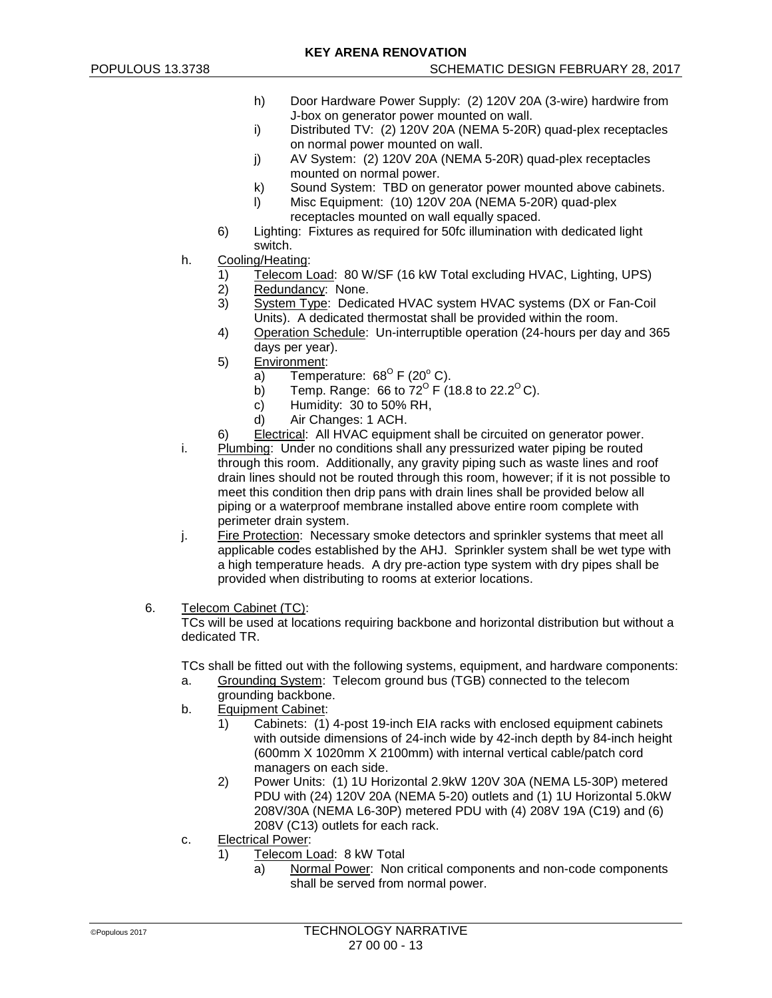- h) Door Hardware Power Supply: (2) 120V 20A (3-wire) hardwire from J-box on generator power mounted on wall.
- i) Distributed TV: (2) 120V 20A (NEMA 5-20R) quad-plex receptacles on normal power mounted on wall.
- j) AV System: (2) 120V 20A (NEMA 5-20R) quad-plex receptacles mounted on normal power.
- k) Sound System: TBD on generator power mounted above cabinets.
- l) Misc Equipment: (10) 120V 20A (NEMA 5-20R) quad-plex receptacles mounted on wall equally spaced.
- 6) Lighting: Fixtures as required for 50fc illumination with dedicated light switch.
- h. Cooling/Heating:
	- 1) Telecom Load: 80 W/SF (16 kW Total excluding HVAC, Lighting, UPS)
	- 2) Redundancy: None.
	- 3) System Type: Dedicated HVAC system HVAC systems (DX or Fan-Coil Units). A dedicated thermostat shall be provided within the room.
	- 4) Operation Schedule: Un-interruptible operation (24-hours per day and 365 days per year).
	- 5) Environment:
		- a) Temperature:  $68^{\circ}$  F (20 $^{\circ}$  C).
		- b) Temp. Range: 66 to 72<sup>o</sup> F (18.8 to 22.2<sup>o</sup> C).
		- c) Humidity: 30 to 50% RH,
		- d) Air Changes: 1 ACH.
	- 6) Electrical: All HVAC equipment shall be circuited on generator power.
- i. Plumbing: Under no conditions shall any pressurized water piping be routed through this room. Additionally, any gravity piping such as waste lines and roof drain lines should not be routed through this room, however; if it is not possible to meet this condition then drip pans with drain lines shall be provided below all piping or a waterproof membrane installed above entire room complete with perimeter drain system.
- j. Fire Protection: Necessary smoke detectors and sprinkler systems that meet all applicable codes established by the AHJ. Sprinkler system shall be wet type with a high temperature heads. A dry pre-action type system with dry pipes shall be provided when distributing to rooms at exterior locations.
- 6. Telecom Cabinet (TC):

TCs will be used at locations requiring backbone and horizontal distribution but without a dedicated TR.

TCs shall be fitted out with the following systems, equipment, and hardware components: a. Grounding System: Telecom ground bus (TGB) connected to the telecom

- grounding backbone.
- b. Equipment Cabinet:
	- 1) Cabinets: (1) 4-post 19-inch EIA racks with enclosed equipment cabinets with outside dimensions of 24-inch wide by 42-inch depth by 84-inch height (600mm X 1020mm X 2100mm) with internal vertical cable/patch cord managers on each side.
	- 2) Power Units: (1) 1U Horizontal 2.9kW 120V 30A (NEMA L5-30P) metered PDU with (24) 120V 20A (NEMA 5-20) outlets and (1) 1U Horizontal 5.0kW 208V/30A (NEMA L6-30P) metered PDU with (4) 208V 19A (C19) and (6) 208V (C13) outlets for each rack.
- c. Electrical Power:
	- 1) Telecom Load: 8 kW Total
		- a) Normal Power: Non critical components and non-code components shall be served from normal power.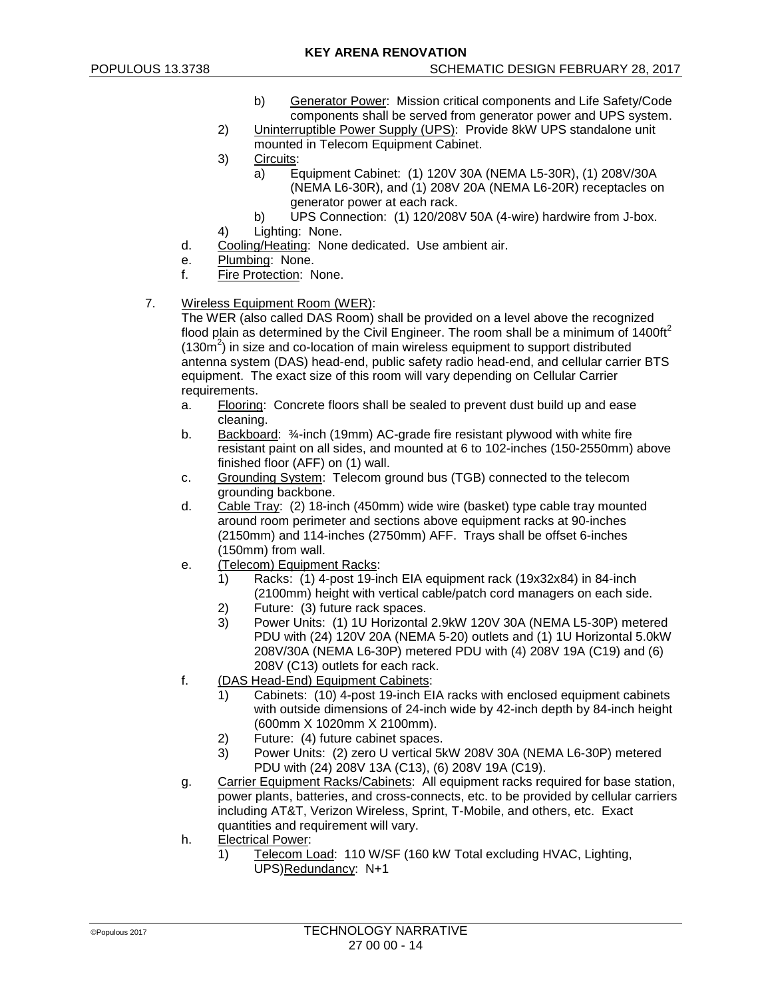- b) Generator Power: Mission critical components and Life Safety/Code components shall be served from generator power and UPS system.
- 2) Uninterruptible Power Supply (UPS): Provide 8kW UPS standalone unit mounted in Telecom Equipment Cabinet.
- 3) Circuits:
	- a) Equipment Cabinet: (1) 120V 30A (NEMA L5-30R), (1) 208V/30A (NEMA L6-30R), and (1) 208V 20A (NEMA L6-20R) receptacles on generator power at each rack.
- b) UPS Connection: (1) 120/208V 50A (4-wire) hardwire from J-box. 4) Lighting: None.
- 
- d. Cooling/Heating: None dedicated. Use ambient air.
- e. Plumbing: None.<br>f Fire Protection: N
- Fire Protection: None.
- 7. Wireless Equipment Room (WER):

The WER (also called DAS Room) shall be provided on a level above the recognized flood plain as determined by the Civil Engineer. The room shall be a minimum of  $1400\text{ft}^2$ (130 $\text{m}^2$ ) in size and co-location of main wireless equipment to support distributed antenna system (DAS) head-end, public safety radio head-end, and cellular carrier BTS equipment. The exact size of this room will vary depending on Cellular Carrier requirements.

- a. Flooring: Concrete floors shall be sealed to prevent dust build up and ease cleaning.
- b. Backboard: ¾-inch (19mm) AC-grade fire resistant plywood with white fire resistant paint on all sides, and mounted at 6 to 102-inches (150-2550mm) above finished floor (AFF) on (1) wall.
- c. Grounding System: Telecom ground bus (TGB) connected to the telecom grounding backbone.
- d. Cable Tray: (2) 18-inch (450mm) wide wire (basket) type cable tray mounted around room perimeter and sections above equipment racks at 90-inches (2150mm) and 114-inches (2750mm) AFF. Trays shall be offset 6-inches (150mm) from wall.
- e. (Telecom) Equipment Racks:
	- 1) Racks: (1) 4-post 19-inch EIA equipment rack (19x32x84) in 84-inch (2100mm) height with vertical cable/patch cord managers on each side.
	- 2) Future: (3) future rack spaces.<br>3) Power Units: (1) 1U Horizontal
	- Power Units: (1) 1U Horizontal 2.9kW 120V 30A (NEMA L5-30P) metered PDU with (24) 120V 20A (NEMA 5-20) outlets and (1) 1U Horizontal 5.0kW 208V/30A (NEMA L6-30P) metered PDU with (4) 208V 19A (C19) and (6) 208V (C13) outlets for each rack.
- f. (DAS Head-End) Equipment Cabinets:
	- 1) Cabinets: (10) 4-post 19-inch EIA racks with enclosed equipment cabinets with outside dimensions of 24-inch wide by 42-inch depth by 84-inch height (600mm X 1020mm X 2100mm).
	- 2) Future: (4) future cabinet spaces.
	- 3) Power Units: (2) zero U vertical 5kW 208V 30A (NEMA L6-30P) metered PDU with (24) 208V 13A (C13), (6) 208V 19A (C19).
- g. Carrier Equipment Racks/Cabinets: All equipment racks required for base station, power plants, batteries, and cross-connects, etc. to be provided by cellular carriers including AT&T, Verizon Wireless, Sprint, T-Mobile, and others, etc. Exact quantities and requirement will vary.
- h. Electrical Power:
	- 1) Telecom Load: 110 W/SF (160 kW Total excluding HVAC, Lighting, UPS)Redundancy: N+1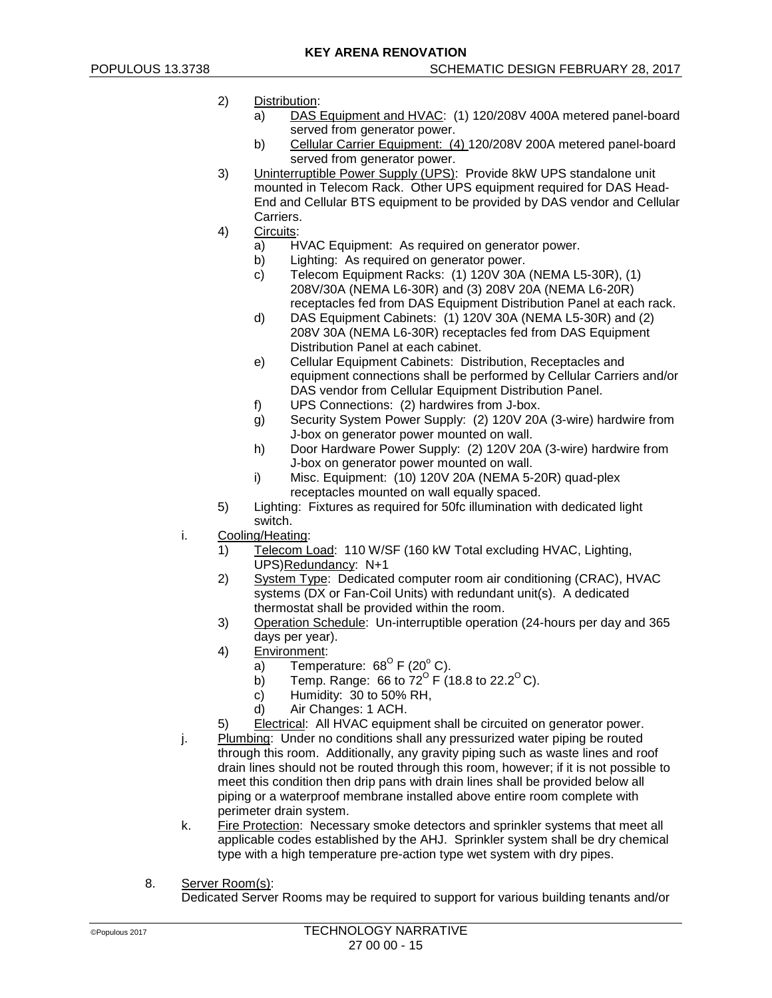- 2) Distribution:
	- a) DAS Equipment and HVAC: (1) 120/208V 400A metered panel-board served from generator power.
	- b) Cellular Carrier Equipment: (4) 120/208V 200A metered panel-board served from generator power.
- 3) Uninterruptible Power Supply (UPS): Provide 8kW UPS standalone unit mounted in Telecom Rack. Other UPS equipment required for DAS Head-End and Cellular BTS equipment to be provided by DAS vendor and Cellular Carriers.
- 4) Circuits:
	- a) HVAC Equipment: As required on generator power.
	- b) Lighting: As required on generator power.
	- c) Telecom Equipment Racks: (1) 120V 30A (NEMA L5-30R), (1) 208V/30A (NEMA L6-30R) and (3) 208V 20A (NEMA L6-20R) receptacles fed from DAS Equipment Distribution Panel at each rack.
	- d) DAS Equipment Cabinets: (1) 120V 30A (NEMA L5-30R) and (2) 208V 30A (NEMA L6-30R) receptacles fed from DAS Equipment Distribution Panel at each cabinet.
	- e) Cellular Equipment Cabinets: Distribution, Receptacles and equipment connections shall be performed by Cellular Carriers and/or DAS vendor from Cellular Equipment Distribution Panel.
	- f) UPS Connections: (2) hardwires from J-box.
	- g) Security System Power Supply: (2) 120V 20A (3-wire) hardwire from J-box on generator power mounted on wall.
	- h) Door Hardware Power Supply: (2) 120V 20A (3-wire) hardwire from J-box on generator power mounted on wall.
	- i) Misc. Equipment: (10) 120V 20A (NEMA 5-20R) quad-plex receptacles mounted on wall equally spaced.
- 5) Lighting: Fixtures as required for 50fc illumination with dedicated light switch.
- i. Cooling/Heating:
	- 1) Telecom Load: 110 W/SF (160 kW Total excluding HVAC, Lighting, UPS)Redundancy: N+1
	- 2) System Type: Dedicated computer room air conditioning (CRAC), HVAC systems (DX or Fan-Coil Units) with redundant unit(s). A dedicated thermostat shall be provided within the room.
	- 3) Operation Schedule: Un-interruptible operation (24-hours per day and 365 days per year).
	- 4) Environment:
		- a) Temperature:  $68^{\circ}$  F (20° C).
		- b) Temp. Range: 66 to  $72^{\circ}$  F (18.8 to 22.2<sup>o</sup> C).
		- c) Humidity: 30 to 50% RH,
		- d) Air Changes: 1 ACH.
	- 5) Electrical: All HVAC equipment shall be circuited on generator power.
- j. Plumbing: Under no conditions shall any pressurized water piping be routed through this room. Additionally, any gravity piping such as waste lines and roof drain lines should not be routed through this room, however; if it is not possible to meet this condition then drip pans with drain lines shall be provided below all piping or a waterproof membrane installed above entire room complete with perimeter drain system.
- k. Fire Protection: Necessary smoke detectors and sprinkler systems that meet all applicable codes established by the AHJ. Sprinkler system shall be dry chemical type with a high temperature pre-action type wet system with dry pipes.
- 8. Server Room(s):

Dedicated Server Rooms may be required to support for various building tenants and/or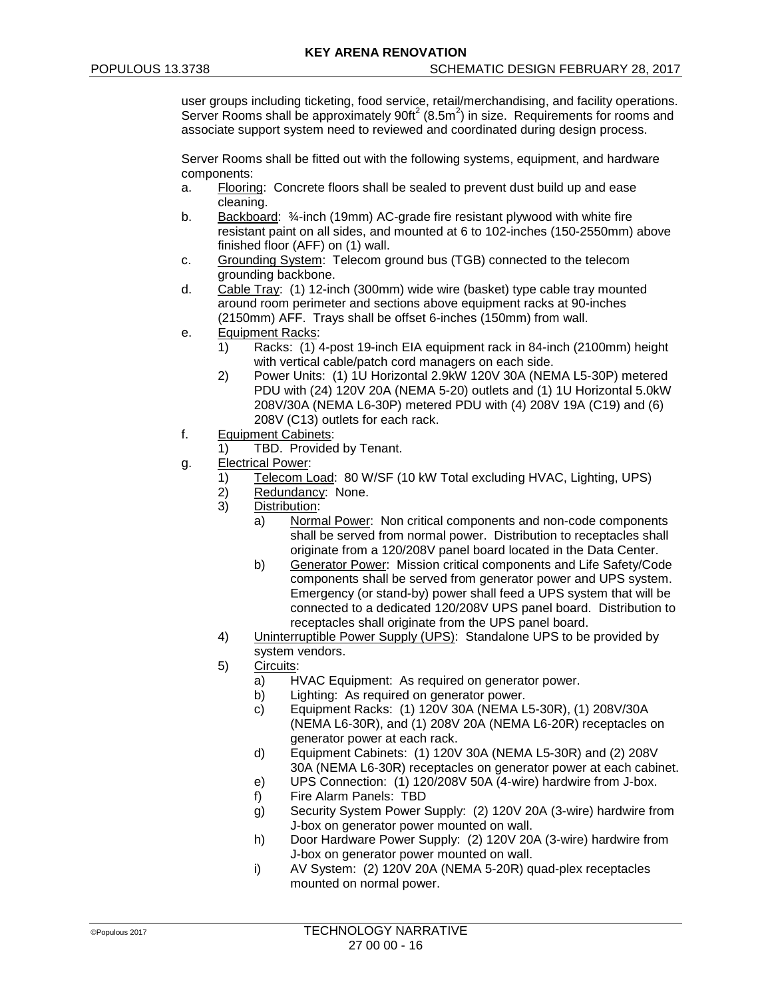user groups including ticketing, food service, retail/merchandising, and facility operations. Server Rooms shall be approximately  $90f^{2}(8.5m^{2})$  in size. Requirements for rooms and associate support system need to reviewed and coordinated during design process.

Server Rooms shall be fitted out with the following systems, equipment, and hardware components:

- a. Flooring: Concrete floors shall be sealed to prevent dust build up and ease cleaning.
- b. Backboard:  $\frac{3}{4}$ -inch (19mm) AC-grade fire resistant plywood with white fire resistant paint on all sides, and mounted at 6 to 102-inches (150-2550mm) above finished floor (AFF) on (1) wall.
- c. Grounding System: Telecom ground bus (TGB) connected to the telecom grounding backbone.
- d. Cable Tray: (1) 12-inch (300mm) wide wire (basket) type cable tray mounted around room perimeter and sections above equipment racks at 90-inches (2150mm) AFF. Trays shall be offset 6-inches (150mm) from wall.
- e. Equipment Racks:
	- 1) Racks: (1) 4-post 19-inch EIA equipment rack in 84-inch (2100mm) height with vertical cable/patch cord managers on each side.
	- 2) Power Units: (1) 1U Horizontal 2.9kW 120V 30A (NEMA L5-30P) metered PDU with (24) 120V 20A (NEMA 5-20) outlets and (1) 1U Horizontal 5.0kW 208V/30A (NEMA L6-30P) metered PDU with (4) 208V 19A (C19) and (6) 208V (C13) outlets for each rack.
- f. Equipment Cabinets:
	- 1) TBD. Provided by Tenant.
- g. Electrical Power:
	- 1) Telecom Load: 80 W/SF (10 kW Total excluding HVAC, Lighting, UPS)<br>2) Redundancy: None.
	- Redundancy: None.
	- 3) Distribution:
		- a) Normal Power: Non critical components and non-code components shall be served from normal power. Distribution to receptacles shall originate from a 120/208V panel board located in the Data Center.
		- b) Generator Power: Mission critical components and Life Safety/Code components shall be served from generator power and UPS system. Emergency (or stand-by) power shall feed a UPS system that will be connected to a dedicated 120/208V UPS panel board. Distribution to receptacles shall originate from the UPS panel board.
	- 4) Uninterruptible Power Supply (UPS): Standalone UPS to be provided by system vendors.
	- 5) Circuits:
		- a) HVAC Equipment: As required on generator power.
		- b) Lighting: As required on generator power.
		- c) Equipment Racks: (1) 120V 30A (NEMA L5-30R), (1) 208V/30A (NEMA L6-30R), and (1) 208V 20A (NEMA L6-20R) receptacles on generator power at each rack.
		- d) Equipment Cabinets: (1) 120V 30A (NEMA L5-30R) and (2) 208V 30A (NEMA L6-30R) receptacles on generator power at each cabinet.
		- e) UPS Connection: (1) 120/208V 50A (4-wire) hardwire from J-box.
		- f) Fire Alarm Panels: TBD
		- g) Security System Power Supply: (2) 120V 20A (3-wire) hardwire from J-box on generator power mounted on wall.
		- h) Door Hardware Power Supply: (2) 120V 20A (3-wire) hardwire from J-box on generator power mounted on wall.
		- i) AV System: (2) 120V 20A (NEMA 5-20R) quad-plex receptacles mounted on normal power.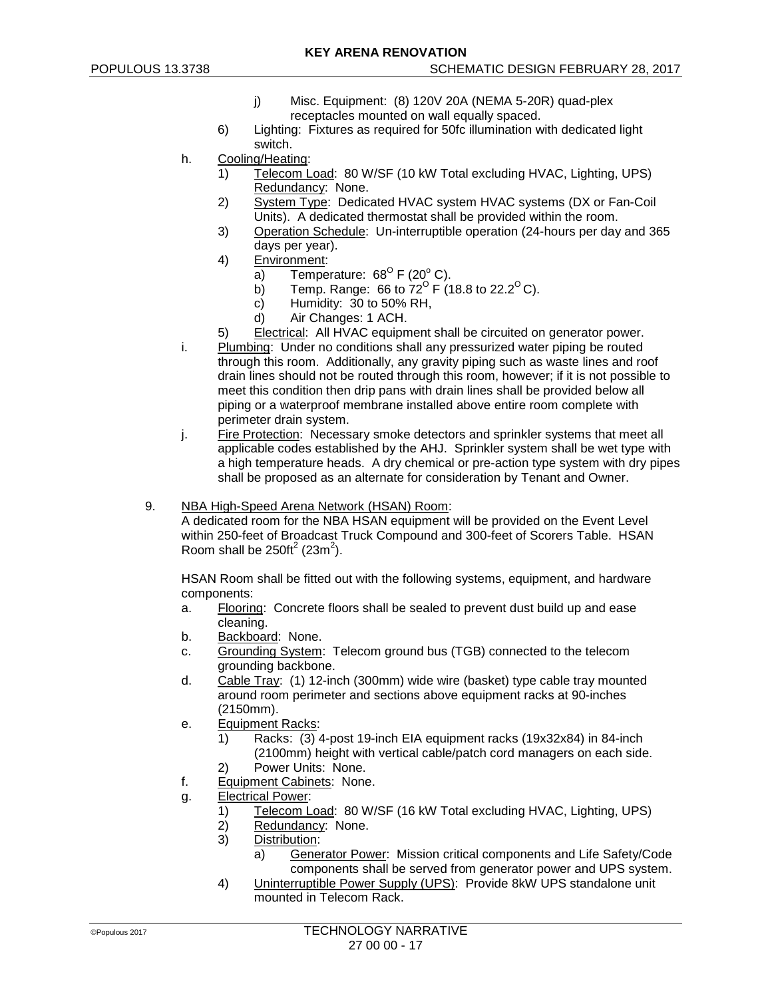- j) Misc. Equipment: (8) 120V 20A (NEMA 5-20R) quad-plex receptacles mounted on wall equally spaced.
- 6) Lighting: Fixtures as required for 50fc illumination with dedicated light switch.
- h. Cooling/Heating:
	- 1) Telecom Load: 80 W/SF (10 kW Total excluding HVAC, Lighting, UPS) Redundancy: None.
	- 2) System Type: Dedicated HVAC system HVAC systems (DX or Fan-Coil Units). A dedicated thermostat shall be provided within the room.
	- 3) Operation Schedule: Un-interruptible operation (24-hours per day and 365 days per year).
	- 4) Environment:
		- a) Temperature:  $68^{\circ}$  F (20 $^{\circ}$  C).
		- b) Temp. Range: 66 to  $72^{\circ}$  F (18.8 to 22.2<sup>o</sup> C).
		- c) Humidity: 30 to 50% RH,<br>d) Air Changes: 1 ACH.
		- Air Changes: 1 ACH.
	- 5) Electrical: All HVAC equipment shall be circuited on generator power.
- i. Plumbing: Under no conditions shall any pressurized water piping be routed through this room. Additionally, any gravity piping such as waste lines and roof drain lines should not be routed through this room, however; if it is not possible to meet this condition then drip pans with drain lines shall be provided below all piping or a waterproof membrane installed above entire room complete with perimeter drain system.
- j. Fire Protection: Necessary smoke detectors and sprinkler systems that meet all applicable codes established by the AHJ. Sprinkler system shall be wet type with a high temperature heads. A dry chemical or pre-action type system with dry pipes shall be proposed as an alternate for consideration by Tenant and Owner.

# 9. NBA High-Speed Arena Network (HSAN) Room:

A dedicated room for the NBA HSAN equipment will be provided on the Event Level within 250-feet of Broadcast Truck Compound and 300-feet of Scorers Table. HSAN Room shall be  $250 \text{ft}^2$  (23m<sup>2</sup>).

HSAN Room shall be fitted out with the following systems, equipment, and hardware components:

- a. Flooring: Concrete floors shall be sealed to prevent dust build up and ease cleaning.
- b. Backboard: None.
- c. Grounding System: Telecom ground bus (TGB) connected to the telecom grounding backbone.
- d. Cable Tray: (1) 12-inch (300mm) wide wire (basket) type cable tray mounted around room perimeter and sections above equipment racks at 90-inches (2150mm).
- e. Equipment Racks:
	- 1) Racks: (3) 4-post 19-inch EIA equipment racks (19x32x84) in 84-inch (2100mm) height with vertical cable/patch cord managers on each side.
	- 2) Power Units: None.
- f. Equipment Cabinets: None.
- g. Electrical Power:
	- 1) Telecom Load: 80 W/SF (16 kW Total excluding HVAC, Lighting, UPS)
	- 2) Redundancy: None.<br>3) Distribution:
	- Distribution:
		- a) Generator Power: Mission critical components and Life Safety/Code components shall be served from generator power and UPS system.
	- 4) Uninterruptible Power Supply (UPS): Provide 8kW UPS standalone unit mounted in Telecom Rack.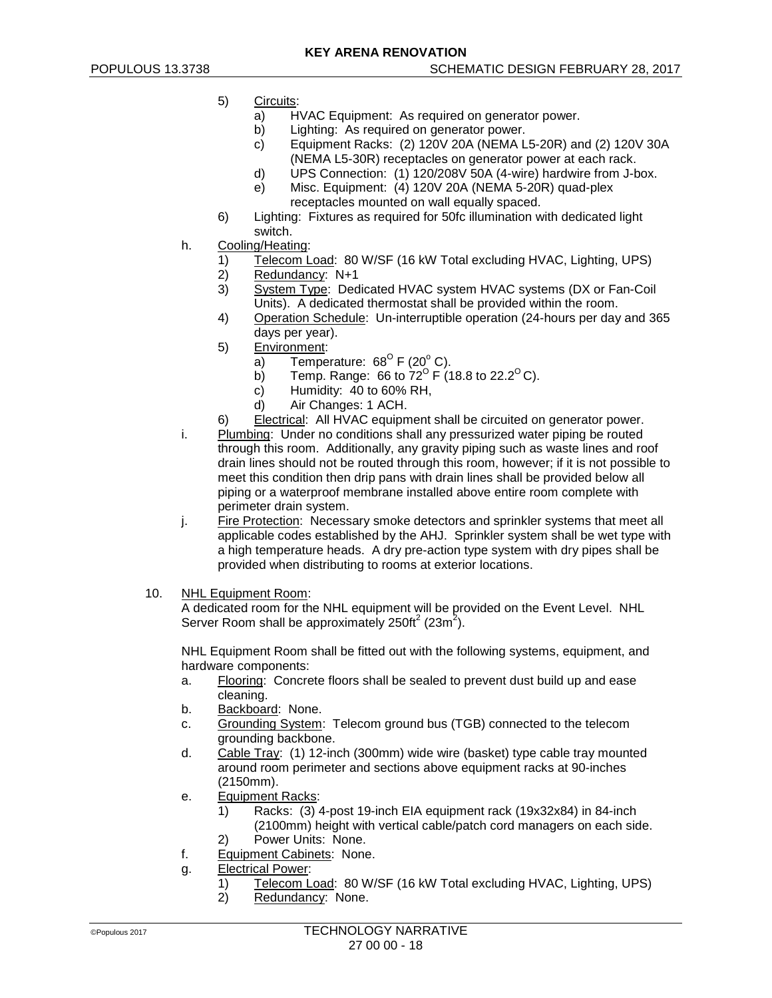- 5) Circuits:
	- a) HVAC Equipment: As required on generator power.
	- b) Lighting: As required on generator power.<br>c) Equipment Racks: (2) 120V 20A (NEMA L
	- c) Equipment Racks: (2) 120V 20A (NEMA L5-20R) and (2) 120V 30A (NEMA L5-30R) receptacles on generator power at each rack.
	- d) UPS Connection: (1) 120/208V 50A (4-wire) hardwire from J-box.
	- e) Misc. Equipment: (4) 120V 20A (NEMA 5-20R) quad-plex receptacles mounted on wall equally spaced.
- 6) Lighting: Fixtures as required for 50fc illumination with dedicated light switch.
- h. Cooling/Heating:
	- 1) Telecom Load: 80 W/SF (16 kW Total excluding HVAC, Lighting, UPS)<br>2) Redundancy: N+1
	- Redundancy: N+1
	- 3) System Type: Dedicated HVAC system HVAC systems (DX or Fan-Coil Units). A dedicated thermostat shall be provided within the room.
	- 4) Operation Schedule: Un-interruptible operation (24-hours per day and 365 days per year).
	- 5) Environment:
		- a) Temperature:  $68^{\circ}$  F (20 $^{\circ}$  C).
		- b) Temp. Range: 66 to  $72^{\circ}$  F (18.8 to 22.2<sup>o</sup> C).
		- c) Humidity: 40 to 60% RH,<br>d) Air Changes: 1 ACH.
			- Air Changes: 1 ACH.
	- 6) Electrical: All HVAC equipment shall be circuited on generator power.
- i. Plumbing: Under no conditions shall any pressurized water piping be routed through this room. Additionally, any gravity piping such as waste lines and roof drain lines should not be routed through this room, however; if it is not possible to meet this condition then drip pans with drain lines shall be provided below all piping or a waterproof membrane installed above entire room complete with perimeter drain system.
- j. Fire Protection: Necessary smoke detectors and sprinkler systems that meet all applicable codes established by the AHJ. Sprinkler system shall be wet type with a high temperature heads. A dry pre-action type system with dry pipes shall be provided when distributing to rooms at exterior locations.
- 10. NHL Equipment Room:

A dedicated room for the NHL equipment will be provided on the Event Level. NHL Server Room shall be approximately 250ft<sup>2</sup> (23m<sup>2</sup>).

NHL Equipment Room shall be fitted out with the following systems, equipment, and hardware components:

- a. Flooring: Concrete floors shall be sealed to prevent dust build up and ease cleaning.
- b. Backboard: None.
- c. Grounding System: Telecom ground bus (TGB) connected to the telecom grounding backbone.
- d. Cable Tray: (1) 12-inch (300mm) wide wire (basket) type cable tray mounted around room perimeter and sections above equipment racks at 90-inches (2150mm).
- e. Equipment Racks:
	- 1) Racks: (3) 4-post 19-inch EIA equipment rack (19x32x84) in 84-inch (2100mm) height with vertical cable/patch cord managers on each side.
	- 2) Power Units: None.
- f. Equipment Cabinets: None.
- g. Electrical Power:
	- 1) Telecom Load: 80 W/SF (16 kW Total excluding HVAC, Lighting, UPS)
	- 2) Redundancy: None.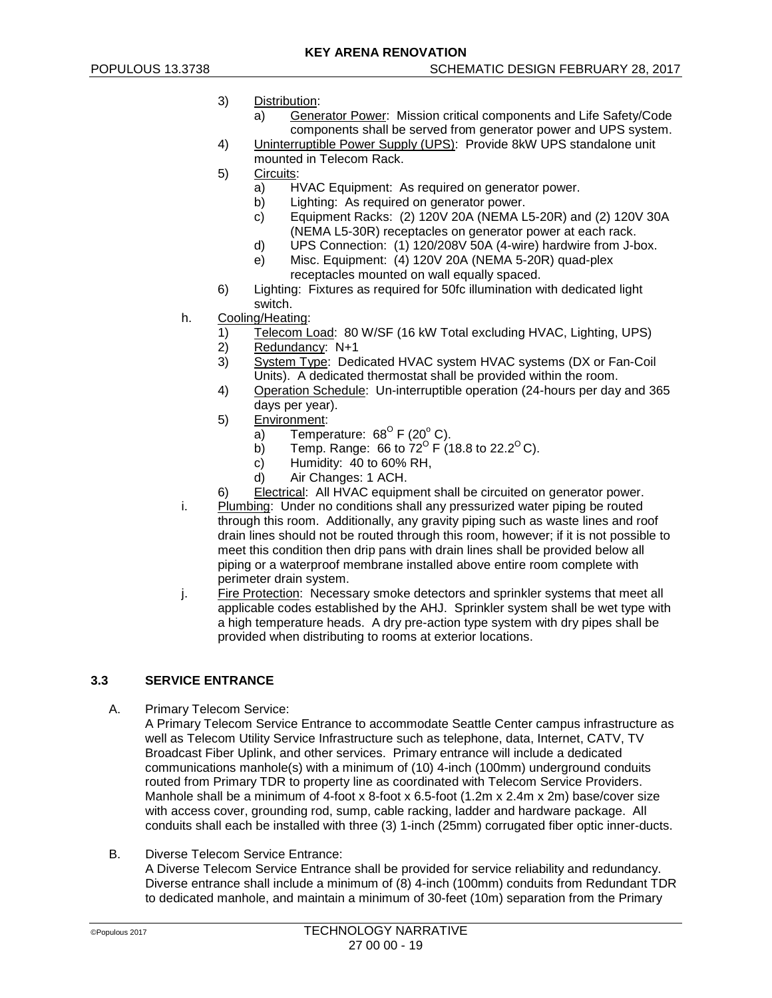- 3) Distribution:
	- a) Generator Power: Mission critical components and Life Safety/Code components shall be served from generator power and UPS system.
- 4) Uninterruptible Power Supply (UPS): Provide 8kW UPS standalone unit mounted in Telecom Rack.
- 5) Circuits:
	- a) HVAC Equipment: As required on generator power.
	- b) Lighting: As required on generator power.
	- c) Equipment Racks: (2) 120V 20A (NEMA L5-20R) and (2) 120V 30A (NEMA L5-30R) receptacles on generator power at each rack.
	- d) UPS Connection: (1) 120/208V 50A (4-wire) hardwire from J-box.
	- e) Misc. Equipment: (4) 120V 20A (NEMA 5-20R) quad-plex receptacles mounted on wall equally spaced.
- 6) Lighting: Fixtures as required for 50fc illumination with dedicated light switch.
- h. Cooling/Heating:
	- 1) Telecom Load: 80 W/SF (16 kW Total excluding HVAC, Lighting, UPS)
	- 2) Redundancy: N+1<br>3) System Type: Ded
	- 3) System Type: Dedicated HVAC system HVAC systems (DX or Fan-Coil Units). A dedicated thermostat shall be provided within the room.
	- 4) Operation Schedule: Un-interruptible operation (24-hours per day and 365 days per year).
	- 5) Environment:
		- a) Temperature:  $68^{\circ}$  F (20 $^{\circ}$  C).
		- b) Temp. Range: 66 to  $72^{\circ}$  F (18.8 to 22.2<sup>o</sup> C).
		- c) Humidity: 40 to 60% RH,
		- d) Air Changes: 1 ACH.
	- 6) Electrical: All HVAC equipment shall be circuited on generator power.
- i. Plumbing: Under no conditions shall any pressurized water piping be routed through this room. Additionally, any gravity piping such as waste lines and roof drain lines should not be routed through this room, however; if it is not possible to meet this condition then drip pans with drain lines shall be provided below all piping or a waterproof membrane installed above entire room complete with perimeter drain system.
- j. Fire Protection: Necessary smoke detectors and sprinkler systems that meet all applicable codes established by the AHJ. Sprinkler system shall be wet type with a high temperature heads. A dry pre-action type system with dry pipes shall be provided when distributing to rooms at exterior locations.

# **3.3 SERVICE ENTRANCE**

A. Primary Telecom Service:

A Primary Telecom Service Entrance to accommodate Seattle Center campus infrastructure as well as Telecom Utility Service Infrastructure such as telephone, data, Internet, CATV, TV Broadcast Fiber Uplink, and other services. Primary entrance will include a dedicated communications manhole(s) with a minimum of (10) 4-inch (100mm) underground conduits routed from Primary TDR to property line as coordinated with Telecom Service Providers. Manhole shall be a minimum of 4-foot x 8-foot x 6.5-foot (1.2m x 2.4m x 2m) base/cover size with access cover, grounding rod, sump, cable racking, ladder and hardware package. All conduits shall each be installed with three (3) 1-inch (25mm) corrugated fiber optic inner-ducts.

B. Diverse Telecom Service Entrance:

A Diverse Telecom Service Entrance shall be provided for service reliability and redundancy. Diverse entrance shall include a minimum of (8) 4-inch (100mm) conduits from Redundant TDR to dedicated manhole, and maintain a minimum of 30-feet (10m) separation from the Primary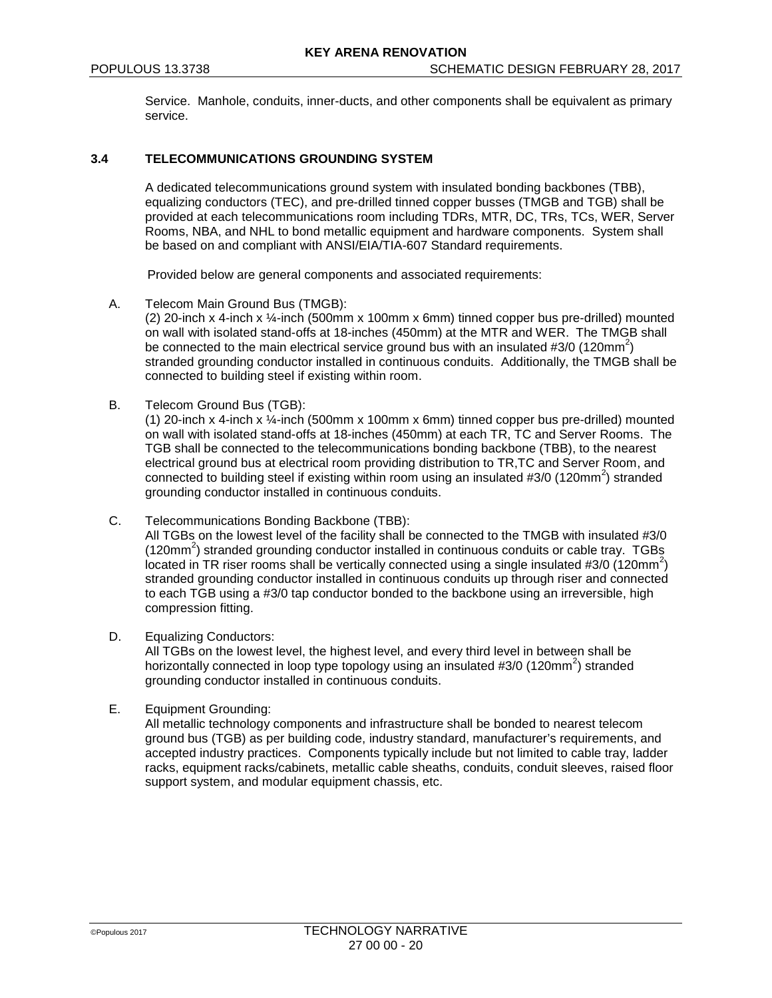Service. Manhole, conduits, inner-ducts, and other components shall be equivalent as primary service.

### **3.4 TELECOMMUNICATIONS GROUNDING SYSTEM**

A dedicated telecommunications ground system with insulated bonding backbones (TBB), equalizing conductors (TEC), and pre-drilled tinned copper busses (TMGB and TGB) shall be provided at each telecommunications room including TDRs, MTR, DC, TRs, TCs, WER, Server Rooms, NBA, and NHL to bond metallic equipment and hardware components. System shall be based on and compliant with ANSI/EIA/TIA-607 Standard requirements.

Provided below are general components and associated requirements:

A. Telecom Main Ground Bus (TMGB):

(2) 20-inch x 4-inch x ¼-inch (500mm x 100mm x 6mm) tinned copper bus pre-drilled) mounted on wall with isolated stand-offs at 18-inches (450mm) at the MTR and WER. The TMGB shall be connected to the main electrical service ground bus with an insulated #3/0 (120mm<sup>2</sup>) stranded grounding conductor installed in continuous conduits. Additionally, the TMGB shall be connected to building steel if existing within room.

B. Telecom Ground Bus (TGB):

(1) 20-inch x 4-inch x ¼-inch (500mm x 100mm x 6mm) tinned copper bus pre-drilled) mounted on wall with isolated stand-offs at 18-inches (450mm) at each TR, TC and Server Rooms. The TGB shall be connected to the telecommunications bonding backbone (TBB), to the nearest electrical ground bus at electrical room providing distribution to TR,TC and Server Room, and connected to building steel if existing within room using an insulated #3/0 (120mm<sup>2</sup>) stranded grounding conductor installed in continuous conduits.

C. Telecommunications Bonding Backbone (TBB):

All TGBs on the lowest level of the facility shall be connected to the TMGB with insulated #3/0 (120mm<sup>2</sup>) stranded grounding conductor installed in continuous conduits or cable tray. TGBs located in TR riser rooms shall be vertically connected using a single insulated #3/0 (120mm<sup>2</sup>) stranded grounding conductor installed in continuous conduits up through riser and connected to each TGB using a #3/0 tap conductor bonded to the backbone using an irreversible, high compression fitting.

D. Equalizing Conductors:

All TGBs on the lowest level, the highest level, and every third level in between shall be horizontally connected in loop type topology using an insulated  $\#3/0$  (120mm<sup>2</sup>) stranded grounding conductor installed in continuous conduits.

E. Equipment Grounding:

All metallic technology components and infrastructure shall be bonded to nearest telecom ground bus (TGB) as per building code, industry standard, manufacturer's requirements, and accepted industry practices. Components typically include but not limited to cable tray, ladder racks, equipment racks/cabinets, metallic cable sheaths, conduits, conduit sleeves, raised floor support system, and modular equipment chassis, etc.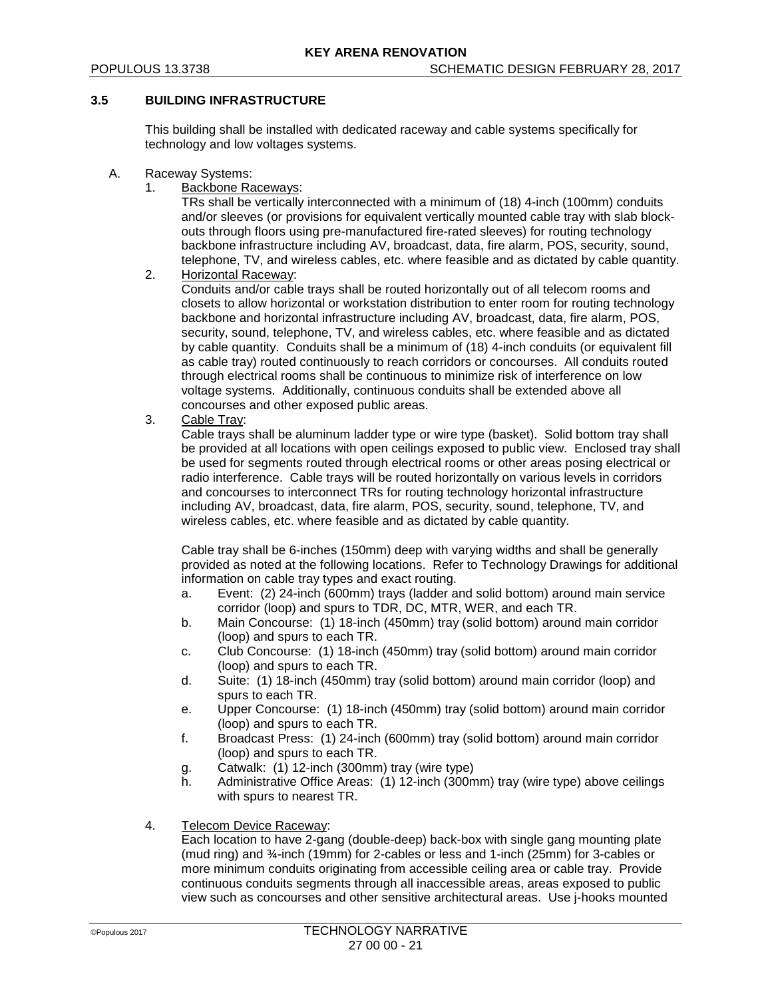# **3.5 BUILDING INFRASTRUCTURE**

This building shall be installed with dedicated raceway and cable systems specifically for technology and low voltages systems.

- A. Raceway Systems:
	- 1. Backbone Raceways:

TRs shall be vertically interconnected with a minimum of (18) 4-inch (100mm) conduits and/or sleeves (or provisions for equivalent vertically mounted cable tray with slab blockouts through floors using pre-manufactured fire-rated sleeves) for routing technology backbone infrastructure including AV, broadcast, data, fire alarm, POS, security, sound, telephone, TV, and wireless cables, etc. where feasible and as dictated by cable quantity.

2. Horizontal Raceway:

Conduits and/or cable trays shall be routed horizontally out of all telecom rooms and closets to allow horizontal or workstation distribution to enter room for routing technology backbone and horizontal infrastructure including AV, broadcast, data, fire alarm, POS, security, sound, telephone, TV, and wireless cables, etc. where feasible and as dictated by cable quantity. Conduits shall be a minimum of (18) 4-inch conduits (or equivalent fill as cable tray) routed continuously to reach corridors or concourses. All conduits routed through electrical rooms shall be continuous to minimize risk of interference on low voltage systems. Additionally, continuous conduits shall be extended above all concourses and other exposed public areas.

3. Cable Tray:

Cable trays shall be aluminum ladder type or wire type (basket). Solid bottom tray shall be provided at all locations with open ceilings exposed to public view. Enclosed tray shall be used for segments routed through electrical rooms or other areas posing electrical or radio interference. Cable trays will be routed horizontally on various levels in corridors and concourses to interconnect TRs for routing technology horizontal infrastructure including AV, broadcast, data, fire alarm, POS, security, sound, telephone, TV, and wireless cables, etc. where feasible and as dictated by cable quantity.

Cable tray shall be 6-inches (150mm) deep with varying widths and shall be generally provided as noted at the following locations. Refer to Technology Drawings for additional information on cable tray types and exact routing.

- a. Event: (2) 24-inch (600mm) trays (ladder and solid bottom) around main service corridor (loop) and spurs to TDR, DC, MTR, WER, and each TR.
- b. Main Concourse: (1) 18-inch (450mm) tray (solid bottom) around main corridor (loop) and spurs to each TR.
- c. Club Concourse: (1) 18-inch (450mm) tray (solid bottom) around main corridor (loop) and spurs to each TR.
- d. Suite: (1) 18-inch (450mm) tray (solid bottom) around main corridor (loop) and spurs to each TR.
- e. Upper Concourse: (1) 18-inch (450mm) tray (solid bottom) around main corridor (loop) and spurs to each TR.
- f. Broadcast Press: (1) 24-inch (600mm) tray (solid bottom) around main corridor (loop) and spurs to each TR.
- g. Catwalk: (1) 12-inch (300mm) tray (wire type)
- h. Administrative Office Areas: (1) 12-inch (300mm) tray (wire type) above ceilings with spurs to nearest TR.
- 4. Telecom Device Raceway:

Each location to have 2-gang (double-deep) back-box with single gang mounting plate (mud ring) and ¾-inch (19mm) for 2-cables or less and 1-inch (25mm) for 3-cables or more minimum conduits originating from accessible ceiling area or cable tray. Provide continuous conduits segments through all inaccessible areas, areas exposed to public view such as concourses and other sensitive architectural areas. Use j-hooks mounted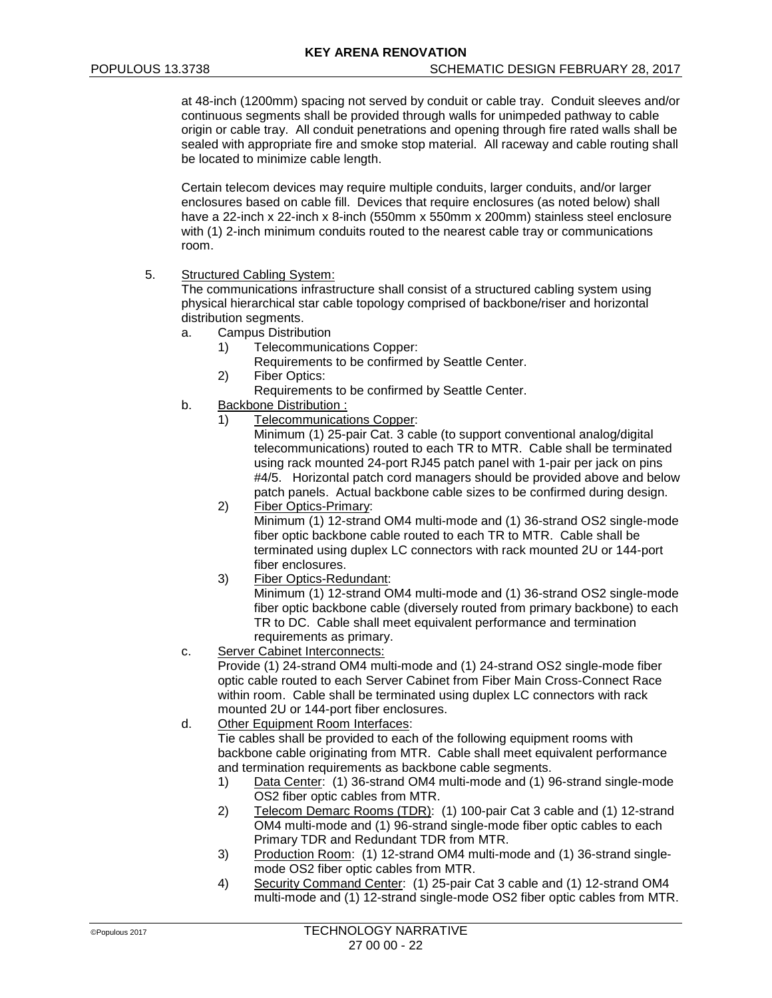at 48-inch (1200mm) spacing not served by conduit or cable tray. Conduit sleeves and/or continuous segments shall be provided through walls for unimpeded pathway to cable origin or cable tray. All conduit penetrations and opening through fire rated walls shall be sealed with appropriate fire and smoke stop material. All raceway and cable routing shall be located to minimize cable length.

Certain telecom devices may require multiple conduits, larger conduits, and/or larger enclosures based on cable fill. Devices that require enclosures (as noted below) shall have a 22-inch x 22-inch x 8-inch (550mm x 550mm x 200mm) stainless steel enclosure with (1) 2-inch minimum conduits routed to the nearest cable tray or communications room.

5. Structured Cabling System:

The communications infrastructure shall consist of a structured cabling system using physical hierarchical star cable topology comprised of backbone/riser and horizontal distribution segments.

- a. Campus Distribution
	- 1) Telecommunications Copper:
		- Requirements to be confirmed by Seattle Center.
	- 2) Fiber Optics:
		- Requirements to be confirmed by Seattle Center.
- b. Backbone Distribution :
	- 1) Telecommunications Copper:

Minimum (1) 25-pair Cat. 3 cable (to support conventional analog/digital telecommunications) routed to each TR to MTR. Cable shall be terminated using rack mounted 24-port RJ45 patch panel with 1-pair per jack on pins #4/5. Horizontal patch cord managers should be provided above and below patch panels. Actual backbone cable sizes to be confirmed during design.

- 2) Fiber Optics-Primary: Minimum (1) 12-strand OM4 multi-mode and (1) 36-strand OS2 single-mode fiber optic backbone cable routed to each TR to MTR. Cable shall be terminated using duplex LC connectors with rack mounted 2U or 144-port fiber enclosures.
- 3) Fiber Optics-Redundant:

Minimum (1) 12-strand OM4 multi-mode and (1) 36-strand OS2 single-mode fiber optic backbone cable (diversely routed from primary backbone) to each TR to DC. Cable shall meet equivalent performance and termination requirements as primary.

c. Server Cabinet Interconnects:

Provide (1) 24-strand OM4 multi-mode and (1) 24-strand OS2 single-mode fiber optic cable routed to each Server Cabinet from Fiber Main Cross-Connect Race within room. Cable shall be terminated using duplex LC connectors with rack mounted 2U or 144-port fiber enclosures.

d. Other Equipment Room Interfaces:

Tie cables shall be provided to each of the following equipment rooms with backbone cable originating from MTR. Cable shall meet equivalent performance and termination requirements as backbone cable segments.

- 1) Data Center: (1) 36-strand OM4 multi-mode and (1) 96-strand single-mode OS2 fiber optic cables from MTR.
- 2) Telecom Demarc Rooms (TDR): (1) 100-pair Cat 3 cable and (1) 12-strand OM4 multi-mode and (1) 96-strand single-mode fiber optic cables to each Primary TDR and Redundant TDR from MTR.
- 3) Production Room: (1) 12-strand OM4 multi-mode and (1) 36-strand singlemode OS2 fiber optic cables from MTR.
- 4) Security Command Center: (1) 25-pair Cat 3 cable and (1) 12-strand OM4 multi-mode and (1) 12-strand single-mode OS2 fiber optic cables from MTR.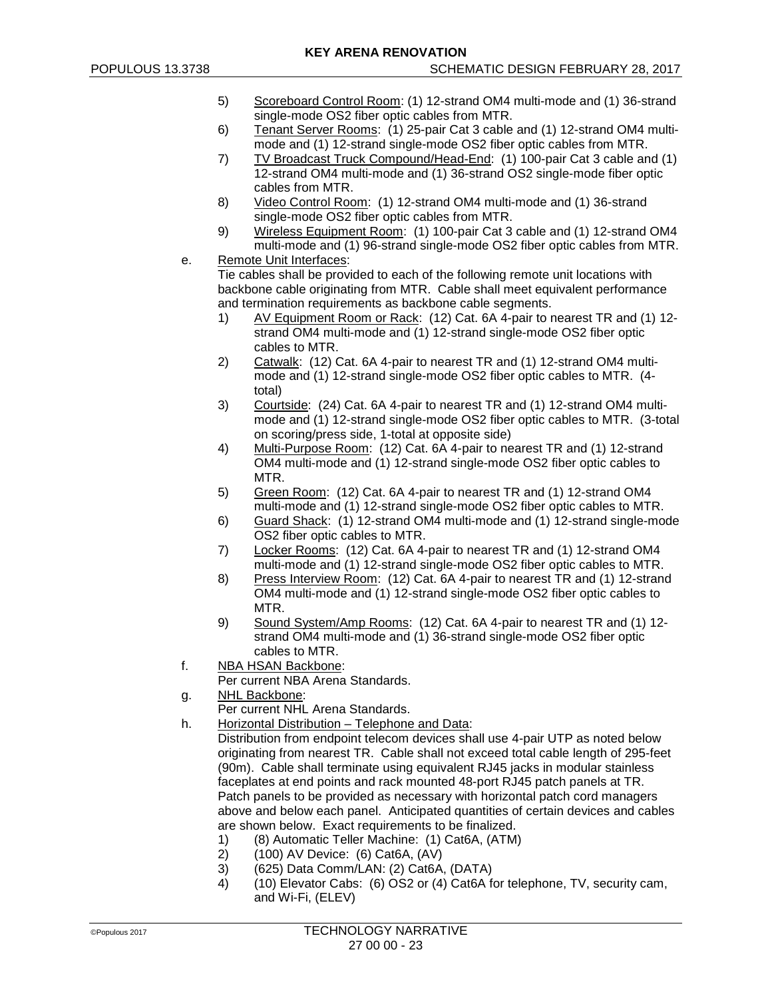- 5) Scoreboard Control Room: (1) 12-strand OM4 multi-mode and (1) 36-strand single-mode OS2 fiber optic cables from MTR.
- 6) Tenant Server Rooms: (1) 25-pair Cat 3 cable and (1) 12-strand OM4 multimode and (1) 12-strand single-mode OS2 fiber optic cables from MTR.
- 7) TV Broadcast Truck Compound/Head-End: (1) 100-pair Cat 3 cable and (1) 12-strand OM4 multi-mode and (1) 36-strand OS2 single-mode fiber optic cables from MTR.
- 8) Video Control Room: (1) 12-strand OM4 multi-mode and (1) 36-strand single-mode OS2 fiber optic cables from MTR.
- 9) Wireless Equipment Room: (1) 100-pair Cat 3 cable and (1) 12-strand OM4 multi-mode and (1) 96-strand single-mode OS2 fiber optic cables from MTR.

e. Remote Unit Interfaces: Tie cables shall be provided to each of the following remote unit locations with backbone cable originating from MTR. Cable shall meet equivalent performance and termination requirements as backbone cable segments.

- 1) AV Equipment Room or Rack: (12) Cat. 6A 4-pair to nearest TR and (1) 12strand OM4 multi-mode and (1) 12-strand single-mode OS2 fiber optic cables to MTR.
- 2) Catwalk: (12) Cat. 6A 4-pair to nearest TR and (1) 12-strand OM4 multimode and (1) 12-strand single-mode OS2 fiber optic cables to MTR. (4 total)
- 3) Courtside: (24) Cat. 6A 4-pair to nearest TR and (1) 12-strand OM4 multimode and (1) 12-strand single-mode OS2 fiber optic cables to MTR. (3-total on scoring/press side, 1-total at opposite side)
- 4) Multi-Purpose Room: (12) Cat. 6A 4-pair to nearest TR and (1) 12-strand OM4 multi-mode and (1) 12-strand single-mode OS2 fiber optic cables to MTR.
- 5) Green Room: (12) Cat. 6A 4-pair to nearest TR and (1) 12-strand OM4 multi-mode and (1) 12-strand single-mode OS2 fiber optic cables to MTR.
- 6) Guard Shack: (1) 12-strand OM4 multi-mode and (1) 12-strand single-mode OS2 fiber optic cables to MTR.
- 7) Locker Rooms: (12) Cat. 6A 4-pair to nearest TR and (1) 12-strand OM4 multi-mode and (1) 12-strand single-mode OS2 fiber optic cables to MTR.
- 8) Press Interview Room: (12) Cat. 6A 4-pair to nearest TR and (1) 12-strand OM4 multi-mode and (1) 12-strand single-mode OS2 fiber optic cables to MTR.
- 9) Sound System/Amp Rooms: (12) Cat. 6A 4-pair to nearest TR and (1) 12 strand OM4 multi-mode and (1) 36-strand single-mode OS2 fiber optic cables to MTR.
- f. NBA HSAN Backbone:

Per current NBA Arena Standards.

- g. NHL Backbone:
	- Per current NHL Arena Standards.
- h. Horizontal Distribution Telephone and Data:
	- Distribution from endpoint telecom devices shall use 4-pair UTP as noted below originating from nearest TR. Cable shall not exceed total cable length of 295-feet (90m). Cable shall terminate using equivalent RJ45 jacks in modular stainless faceplates at end points and rack mounted 48-port RJ45 patch panels at TR. Patch panels to be provided as necessary with horizontal patch cord managers above and below each panel. Anticipated quantities of certain devices and cables are shown below. Exact requirements to be finalized.
		- 1) (8) Automatic Teller Machine: (1) Cat6A, (ATM)<br>2) (100) AV Device: (6) Cat6A, (AV)
		- 2) (100) AV Device: (6) Cat6A, (AV)
		- 3) (625) Data Comm/LAN: (2) Cat6A, (DATA)<br>4) (10) Elevator Cabs: (6) OS2 or (4) Cat6A f
		- 4) (10) Elevator Cabs: (6) OS2 or (4) Cat6A for telephone, TV, security cam, and Wi-Fi, (ELEV)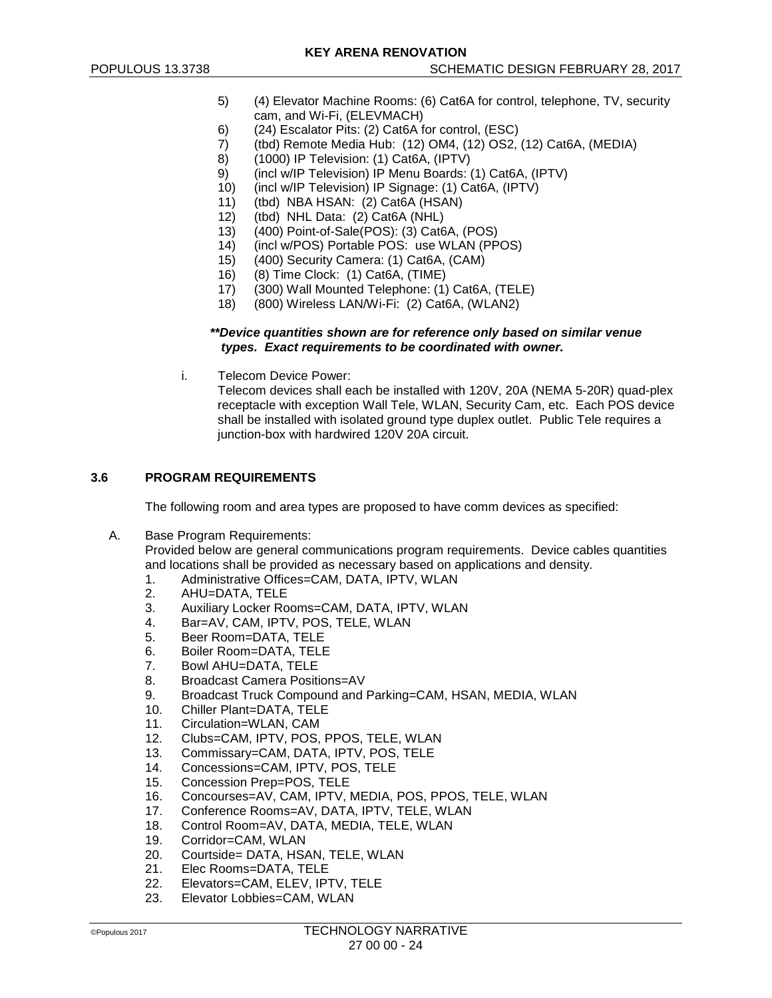- 5) (4) Elevator Machine Rooms: (6) Cat6A for control, telephone, TV, security cam, and Wi-Fi, (ELEVMACH)
- 
- 6) (24) Escalator Pits: (2) Cat6A for control, (ESC)<br>7) (tbd) Remote Media Hub: (12) OM4, (12) OS2, 7) (tbd) Remote Media Hub: (12) OM4, (12) OS2, (12) Cat6A, (MEDIA)
- 8) (1000) IP Television: (1) Cat6A, (IPTV)
- 9) (incl w/IP Television) IP Menu Boards: (1) Cat6A, (IPTV)<br>10) (incl w/IP Television) IP Signage: (1) Cat6A, (IPTV)
- (incl w/IP Television) IP Signage: (1) Cat6A, (IPTV)
- 11) (tbd) NBA HSAN: (2) Cat6A (HSAN)
- 12) (tbd) NHL Data: (2) Cat6A (NHL)<br>13) (400) Point-of-Sale(POS): (3) Cat6
- 13) (400) Point-of-Sale(POS): (3) Cat6A, (POS)
- 14) (incl w/POS) Portable POS: use WLAN (PPOS)
- 15) (400) Security Camera: (1) Cat6A, (CAM)
- 16) (8) Time Clock: (1) Cat6A, (TIME)
- 17) (300) Wall Mounted Telephone: (1) Cat6A, (TELE)
- 18) (800) Wireless LAN/Wi-Fi: (2) Cat6A, (WLAN2)

#### *\*\*Device quantities shown are for reference only based on similar venue types. Exact requirements to be coordinated with owner.*

i. Telecom Device Power:

Telecom devices shall each be installed with 120V, 20A (NEMA 5-20R) quad-plex receptacle with exception Wall Tele, WLAN, Security Cam, etc. Each POS device shall be installed with isolated ground type duplex outlet. Public Tele requires a junction-box with hardwired 120V 20A circuit.

# **3.6 PROGRAM REQUIREMENTS**

The following room and area types are proposed to have comm devices as specified:

A. Base Program Requirements:

Provided below are general communications program requirements. Device cables quantities and locations shall be provided as necessary based on applications and density.

- 1. Administrative Offices=CAM, DATA, IPTV, WLAN
- 2. AHU=DATA, TELE
- 3. Auxiliary Locker Rooms=CAM, DATA, IPTV, WLAN<br>4 Bar=AV CAM IPTV POS TFLE WLAN
- Bar=AV, CAM, IPTV, POS, TELE, WLAN
- 5. Beer Room=DATA, TELE
- 6. Boiler Room=DATA, TELE<br>7. Bowl AHU=DATA, TELE
- 7. Bowl AHU=DATA, TELE
- 8. Broadcast Camera Positions=AV
- 9. Broadcast Truck Compound and Parking=CAM, HSAN, MEDIA, WLAN<br>10. Chiller Plant=DATA. TELE
- Chiller Plant=DATA, TELE
- 11. Circulation=WLAN, CAM
- 12. Clubs=CAM, IPTV, POS, PPOS, TELE, WLAN<br>13. Commissary=CAM, DATA, IPTV, POS, TELE
- 13. Commissary=CAM, DATA, IPTV, POS, TELE
- 14. Concessions=CAM, IPTV, POS, TELE<br>15. Concession Prep=POS. TELE
- 15. Concession Prep=POS, TELE<br>16. Concourses=AV. CAM. IPTV. I
- Concourses=AV, CAM, IPTV, MEDIA, POS, PPOS, TELE, WLAN
- 17. Conference Rooms=AV, DATA, IPTV, TELE, WLAN<br>18. Control Room=AV, DATA, MEDIA, TELE, WLAN
- Control Room=AV, DATA, MEDIA, TELE, WLAN
- 19. Corridor=CAM, WLAN
- 20. Courtside= DATA, HSAN, TELE, WLAN
- 21. Elec Rooms=DATA, TELE<br>22. Elevators=CAM, ELEV, IPT
- Elevators=CAM, ELEV, IPTV, TELE
- 23. Elevator Lobbies=CAM, WLAN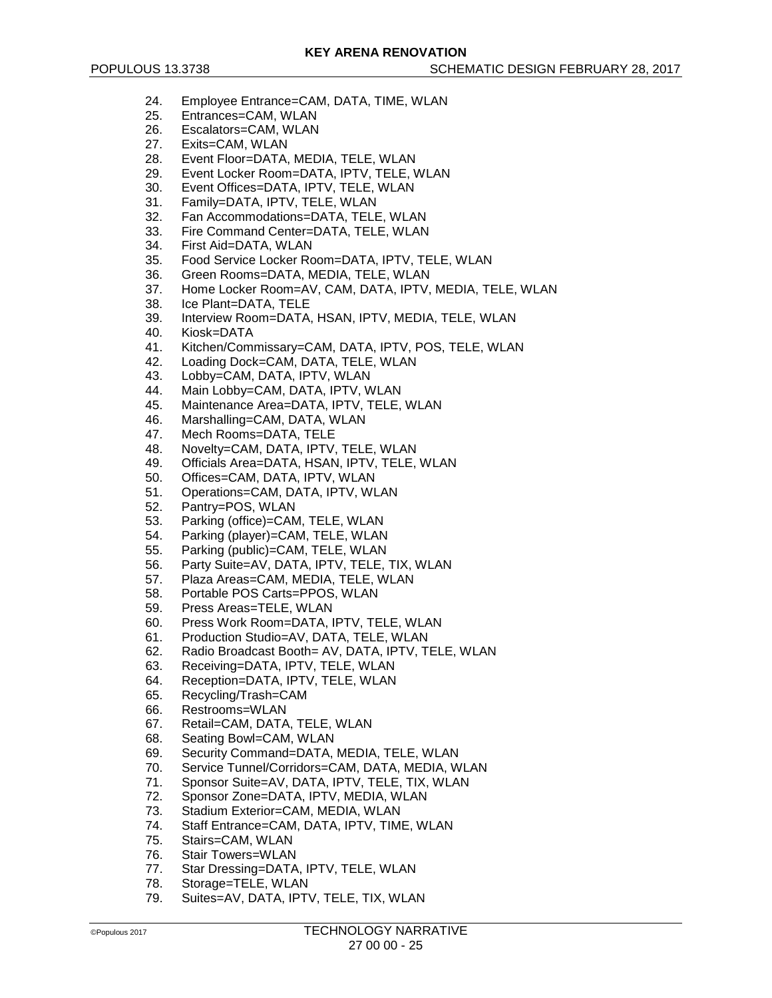- 24. Employee Entrance=CAM, DATA, TIME, WLAN
- 25. Entrances=CAM, WLAN
- 26. Escalators=CAM, WLAN<br>27 Exits=CAM WLAN
- Exits=CAM, WLAN
- 28. Event Floor=DATA, MEDIA, TELE, WLAN
- 29. Event Locker Room=DATA, IPTV, TELE, WLAN<br>30. Event Offices=DATA IPTV, TELE, WLAN
- Event Offices=DATA, IPTV, TELE, WLAN
- 31. Family=DATA, IPTV, TELE, WLAN
- 32. Fan Accommodations=DATA, TELE, WLAN
- 33. Fire Command Center=DATA, TELE, WLAN
- 34. First Aid=DATA, WLAN
- 35. Food Service Locker Room=DATA, IPTV, TELE, WLAN
- 36. Green Rooms=DATA, MEDIA, TELE, WLAN
- 37. Home Locker Room=AV, CAM, DATA, IPTV, MEDIA, TELE, WLAN
- 38. Ice Plant=DATA, TELE<br>39. Interview Room=DATA
- Interview Room=DATA, HSAN, IPTV, MEDIA, TELE, WLAN
- 40. Kiosk=DATA
- 41. Kitchen/Commissary=CAM, DATA, IPTV, POS, TELE, WLAN
- Loading Dock=CAM, DATA, TELE, WLAN
- 43. Lobby=CAM, DATA, IPTV, WLAN
- 44. Main Lobby=CAM, DATA, IPTV, WLAN
- 45. Maintenance Area=DATA, IPTV, TELE, WLAN
- 46. Marshalling=CAM, DATA, WLAN
- 47. Mech Rooms=DATA, TELE
- 48. Novelty=CAM, DATA, IPTV, TELE, WLAN
- 49. Officials Area=DATA, HSAN, IPTV, TELE, WLAN
- 50. Offices=CAM, DATA, IPTV, WLAN
- 51. Operations=CAM, DATA, IPTV, WLAN
- 52. Pantry=POS, WLAN<br>53. Parking (office)=CAN
- Parking (office)=CAM, TELE, WLAN
- 54. Parking (player)=CAM, TELE, WLAN
- 55. Parking (public)=CAM, TELE, WLAN
- 56. Party Suite=AV, DATA, IPTV, TELE, TIX, WLAN
- 57. Plaza Areas=CAM, MEDIA, TELE, WLAN
- 58. Portable POS Carts=PPOS, WLAN<br>59. Press Areas=TELE, WLAN
- 
- 59. Press Areas=TELE, WLAN<br>60. Press Work Room=DATA. Press Work Room=DATA, IPTV, TELE, WLAN
- 61. Production Studio=AV, DATA, TELE, WLAN
- 62. Radio Broadcast Booth= AV, DATA, IPTV, TELE, WLAN<br>63. Receiving=DATA, IPTV, TELE, WLAN
- Receiving=DATA, IPTV, TELE, WLAN
- 64. Reception=DATA, IPTV, TELE, WLAN
- 65. Recycling/Trash=CAM
- 66. Restrooms=WLAN
- 67. Retail=CAM, DATA, TELE, WLAN
- 68. Seating Bowl=CAM, WLAN
- 69. Security Command=DATA, MEDIA, TELE, WLAN
- 70. Service Tunnel/Corridors=CAM, DATA, MEDIA, WLAN<br>71. Sponsor Suite=AV. DATA, IPTV, TELE, TIX, WLAN
- 71. Sponsor Suite=AV, DATA, IPTV, TELE, TIX, WLAN<br>72. Sponsor Zone=DATA, IPTV, MEDIA, WLAN
- Sponsor Zone=DATA, IPTV, MEDIA, WLAN
- 73. Stadium Exterior=CAM, MEDIA, WLAN
- Staff Entrance=CAM, DATA, IPTV, TIME, WLAN
- 75. Stairs=CAM, WLAN
- 76. Stair Towers=WLAN
- 77. Star Dressing=DATA, IPTV, TELE, WLAN
- 78. Storage=TELE, WLAN
- 79. Suites=AV, DATA, IPTV, TELE, TIX, WLAN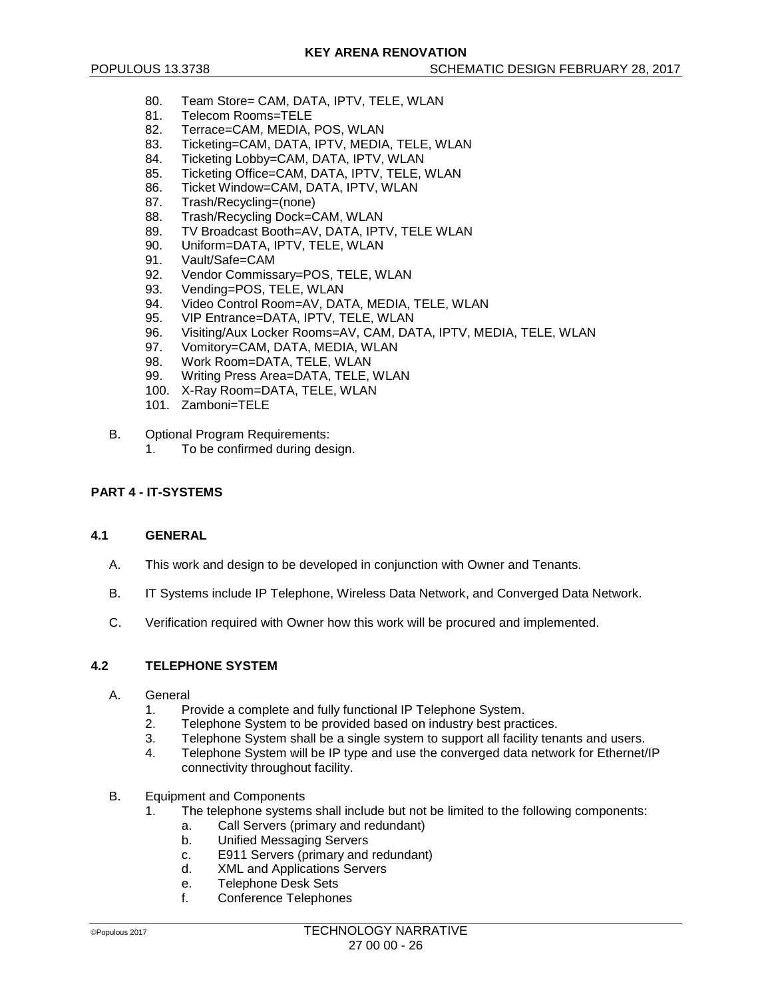- 80. Team Store= CAM, DATA, IPTV, TELE, WLAN
- 81. Telecom Rooms=TELE
- 82. Terrace=CAM, MEDIA, POS, WLAN<br>83. Ticketing=CAM DATA IPTV MEDIA
- 83. Ticketing=CAM, DATA, IPTV, MEDIA, TELE, WLAN<br>84. Ticketing Lobby=CAM, DATA, IPTV, WLAN
- Ticketing Lobby=CAM, DATA, IPTV, WLAN
- 85. Ticketing Office=CAM, DATA, IPTV, TELE, WLAN<br>86. Ticket Window=CAM, DATA, IPTV, WLAN
- Ticket Window=CAM, DATA, IPTV, WLAN
- 87. Trash/Recycling=(none)
- 88. Trash/Recycling Dock=CAM, WLAN<br>89. TV Broadcast Booth=AV, DATA, IPT
- TV Broadcast Booth=AV, DATA, IPTV, TELE WLAN
- 90. Uniform=DATA, IPTV, TELE, WLAN
- 
- 91. Vault/Safe=CAM<br>92. Vendor Commiss Vendor Commissary=POS, TELE, WLAN
- 93. Vending=POS, TELE, WLAN
- 94. Video Control Room=AV, DATA, MEDIA, TELE, WLAN<br>95. VIP Entrance=DATA, IPTV, TELE, WLAN
- VIP Entrance=DATA, IPTV, TELE, WLAN
- 96. Visiting/Aux Locker Rooms=AV, CAM, DATA, IPTV, MEDIA, TELE, WLAN
- 97. Vomitory=CAM, DATA, MEDIA, WLAN<br>98. Work Room=DATA, TELE, WLAN
- Work Room=DATA, TELE, WLAN
- 99. Writing Press Area=DATA, TELE, WLAN
- 100. X-Ray Room=DATA, TELE, WLAN
- 101. Zamboni=TELE
- B. Optional Program Requirements:
	- 1. To be confirmed during design.

# **PART 4 - IT-SYSTEMS**

#### **4.1 GENERAL**

- A. This work and design to be developed in conjunction with Owner and Tenants.
- B. IT Systems include IP Telephone, Wireless Data Network, and Converged Data Network.
- C. Verification required with Owner how this work will be procured and implemented.

#### **4.2 TELEPHONE SYSTEM**

- A. General
	- 1. Provide a complete and fully functional IP Telephone System.<br>2. Telephone System to be provided based on industry best prac
	- 2. Telephone System to be provided based on industry best practices.<br>3. Telephone System shall be a single system to support all facility ten
	- Telephone System shall be a single system to support all facility tenants and users.
	- 4. Telephone System will be IP type and use the converged data network for Ethernet/IP connectivity throughout facility.
- B. Equipment and Components
	- 1. The telephone systems shall include but not be limited to the following components:
		- a. Call Servers (primary and redundant)
		- b. Unified Messaging Servers
		- c. E911 Servers (primary and redundant)<br>d. XML and Applications Servers
		- XML and Applications Servers
		- e. Telephone Desk Sets
		- f. Conference Telephones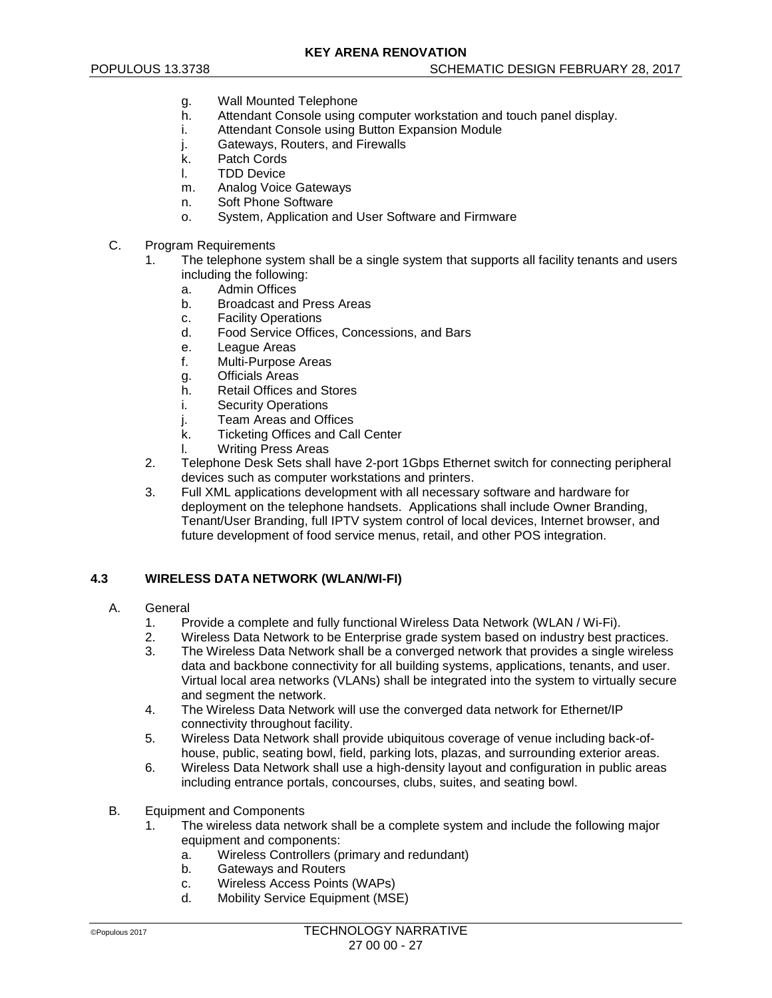- g. Wall Mounted Telephone
- h. Attendant Console using computer workstation and touch panel display.
- i. Attendant Console using Button Expansion Module<br>j. Gateways, Routers, and Firewalls
- Gateways, Routers, and Firewalls
- k. Patch Cords
- l. TDD Device
- m. Analog Voice Gateways
- n. Soft Phone Software
- o. System, Application and User Software and Firmware
- C. Program Requirements
	- 1. The telephone system shall be a single system that supports all facility tenants and users including the following:
		- a. Admin Offices
		- b. Broadcast and Press Areas
		- c. Facility Operations
		- d. Food Service Offices, Concessions, and Bars
		- e. League Areas<br>f. Multi-Purpose
		- Multi-Purpose Areas
		- g. Officials Areas
		- h. Retail Offices and Stores
		- i. Security Operations
		- j. Team Areas and Offices
		- k. Ticketing Offices and Call Center
		- l. Writing Press Areas
	- 2. Telephone Desk Sets shall have 2-port 1Gbps Ethernet switch for connecting peripheral devices such as computer workstations and printers.
	- 3. Full XML applications development with all necessary software and hardware for deployment on the telephone handsets. Applications shall include Owner Branding, Tenant/User Branding, full IPTV system control of local devices, Internet browser, and future development of food service menus, retail, and other POS integration.

# **4.3 WIRELESS DATA NETWORK (WLAN/WI-FI)**

- A. General
	- 1. Provide a complete and fully functional Wireless Data Network (WLAN / Wi-Fi).<br>2. Wireless Data Network to be Enterprise grade system based on industry best p
	- Wireless Data Network to be Enterprise grade system based on industry best practices.
	- 3. The Wireless Data Network shall be a converged network that provides a single wireless data and backbone connectivity for all building systems, applications, tenants, and user. Virtual local area networks (VLANs) shall be integrated into the system to virtually secure and segment the network.
	- 4. The Wireless Data Network will use the converged data network for Ethernet/IP connectivity throughout facility.
	- 5. Wireless Data Network shall provide ubiquitous coverage of venue including back-ofhouse, public, seating bowl, field, parking lots, plazas, and surrounding exterior areas.
	- 6. Wireless Data Network shall use a high-density layout and configuration in public areas including entrance portals, concourses, clubs, suites, and seating bowl.
- B. Equipment and Components
	- 1. The wireless data network shall be a complete system and include the following major equipment and components:
		- a. Wireless Controllers (primary and redundant)
		- b. Gateways and Routers
		- c. Wireless Access Points (WAPs)
		- d. Mobility Service Equipment (MSE)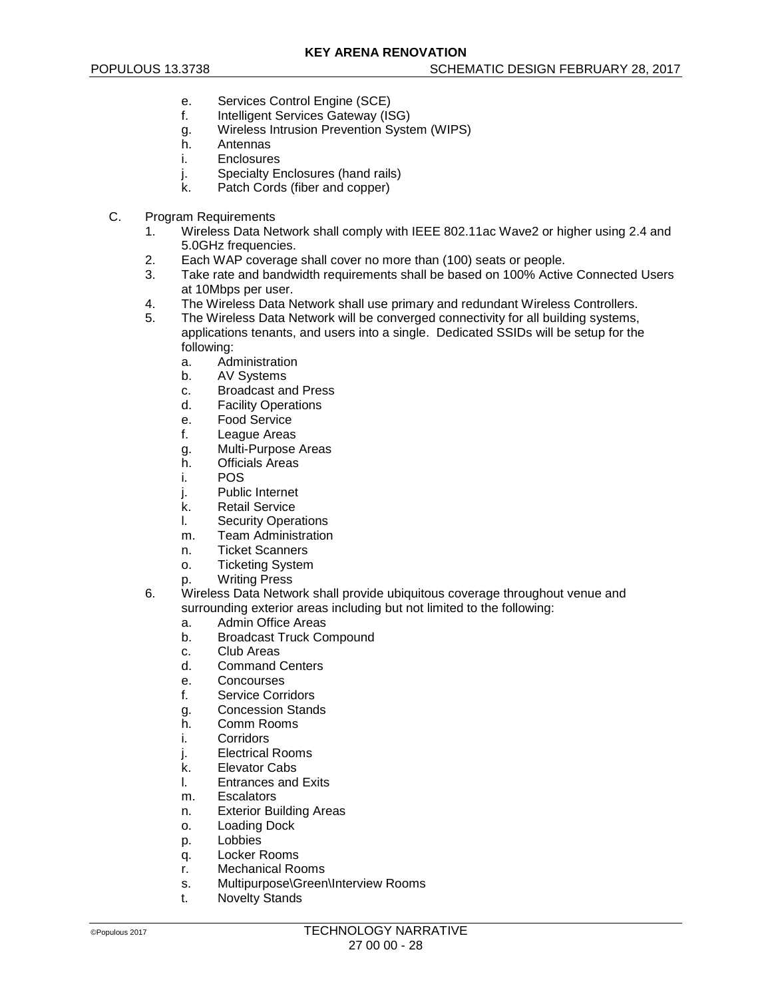- e. Services Control Engine (SCE)
- f. Intelligent Services Gateway (ISG)
- g. Wireless Intrusion Prevention System (WIPS)
- **Antennas**
- i. Enclosures
- j. Specialty Enclosures (hand rails)<br>k Patch Cords (fiber and copper)
- Patch Cords (fiber and copper)
- C. Program Requirements
	- 1. Wireless Data Network shall comply with IEEE 802.11ac Wave2 or higher using 2.4 and 5.0GHz frequencies.
	- 2. Each WAP coverage shall cover no more than (100) seats or people.
	- 3. Take rate and bandwidth requirements shall be based on 100% Active Connected Users at 10Mbps per user.
	- 4. The Wireless Data Network shall use primary and redundant Wireless Controllers.<br>5. The Wireless Data Network will be converged connectivity for all building systems.
		- The Wireless Data Network will be converged connectivity for all building systems, applications tenants, and users into a single. Dedicated SSIDs will be setup for the following:
			- a. Administration
			- b. AV Systems
			- c. Broadcast and Press<br>d. Facility Operations
			- **Facility Operations**
			- e. Food Service
			- f. League Areas
			- g. Multi-Purpose Areas
			- h. Officials Areas
			- i. POS
			- j. Public Internet
			- k. Retail Service<br>I. Security Opera
			- **Security Operations**
			- m. Team Administration
			- n. Ticket Scanners
			- o. Ticketing System
			- p. Writing Press
	- 6. Wireless Data Network shall provide ubiquitous coverage throughout venue and surrounding exterior areas including but not limited to the following:
		- a. Admin Office Areas
		- b. Broadcast Truck Compound
		- c. Club Areas<br>d. Command 0
		- **Command Centers**
		- e. Concourses
		- f. Service Corridors
		- g. Concession Stands
		- h. Comm Rooms
		- i. Corridors
		- j. Electrical Rooms
		- k. Elevator Cabs<br>I. Entrances and
		- **Entrances and Exits**
		- m. Escalators
		- n. Exterior Building Areas
		- o. Loading Dock
		- p. Lobbies
		- q. Locker Rooms
		- r. Mechanical Rooms
		- s. Multipurpose\Green\Interview Rooms
		- t. Novelty Stands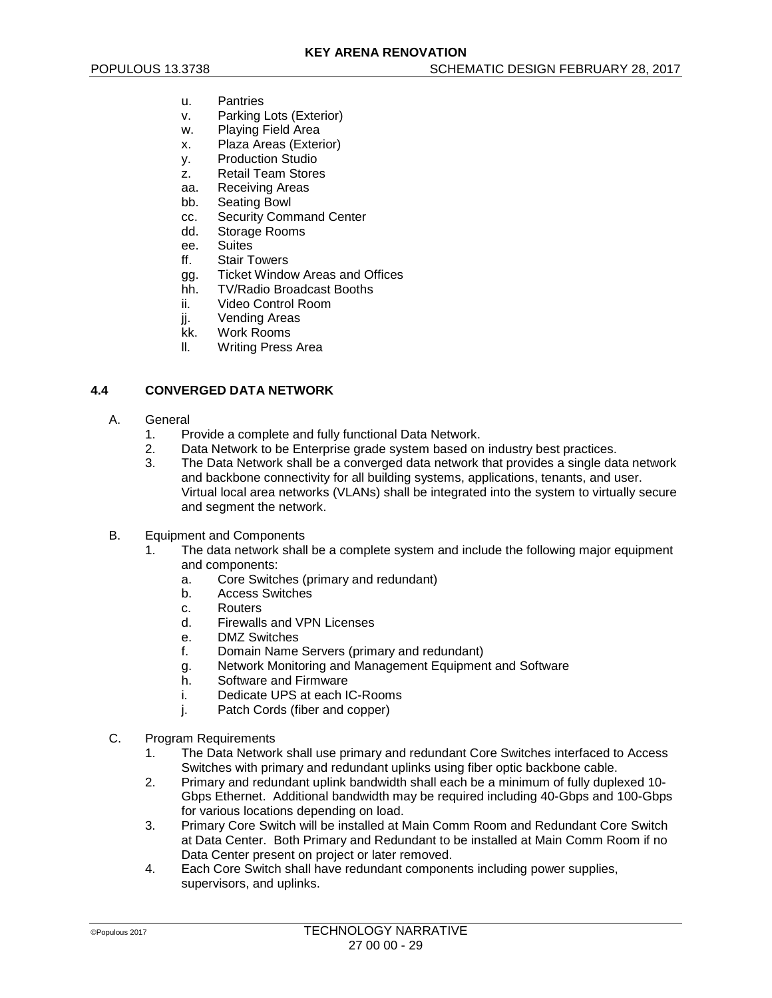- u. Pantries
- v. Parking Lots (Exterior)
- w. Playing Field Area
- x. Plaza Areas (Exterior)
- y. Production Studio
- z. Retail Team Stores
- aa. Receiving Areas
- bb. Seating Bowl
- cc. Security Command Center<br>dd. Storage Rooms
- Storage Rooms
- ee. Suites
- ff. Stair Towers
- gg. Ticket Window Areas and Offices
- hh. TV/Radio Broadcast Booths
- ii. Video Control Room
- ji. Vending Areas
- kk. Work Rooms
- ll. Writing Press Area

# **4.4 CONVERGED DATA NETWORK**

- A. General
	- 1. Provide a complete and fully functional Data Network.
	- 2. Data Network to be Enterprise grade system based on industry best practices.
	- 3. The Data Network shall be a converged data network that provides a single data network and backbone connectivity for all building systems, applications, tenants, and user. Virtual local area networks (VLANs) shall be integrated into the system to virtually secure and segment the network.
- B. Equipment and Components
	- 1. The data network shall be a complete system and include the following major equipment and components:
		- a. Core Switches (primary and redundant)
		- b. Access Switches
		- c. Routers<br>d Firewalls
		- Firewalls and VPN Licenses
		- e. DMZ Switches
		- f. Domain Name Servers (primary and redundant)
		- g. Network Monitoring and Management Equipment and Software
		- h. Software and Firmware
		- i. Dedicate UPS at each IC-Rooms
		- j. Patch Cords (fiber and copper)
- C. Program Requirements
	- 1. The Data Network shall use primary and redundant Core Switches interfaced to Access Switches with primary and redundant uplinks using fiber optic backbone cable.
	- 2. Primary and redundant uplink bandwidth shall each be a minimum of fully duplexed 10- Gbps Ethernet. Additional bandwidth may be required including 40-Gbps and 100-Gbps for various locations depending on load.
	- 3. Primary Core Switch will be installed at Main Comm Room and Redundant Core Switch at Data Center. Both Primary and Redundant to be installed at Main Comm Room if no Data Center present on project or later removed.
	- 4. Each Core Switch shall have redundant components including power supplies, supervisors, and uplinks.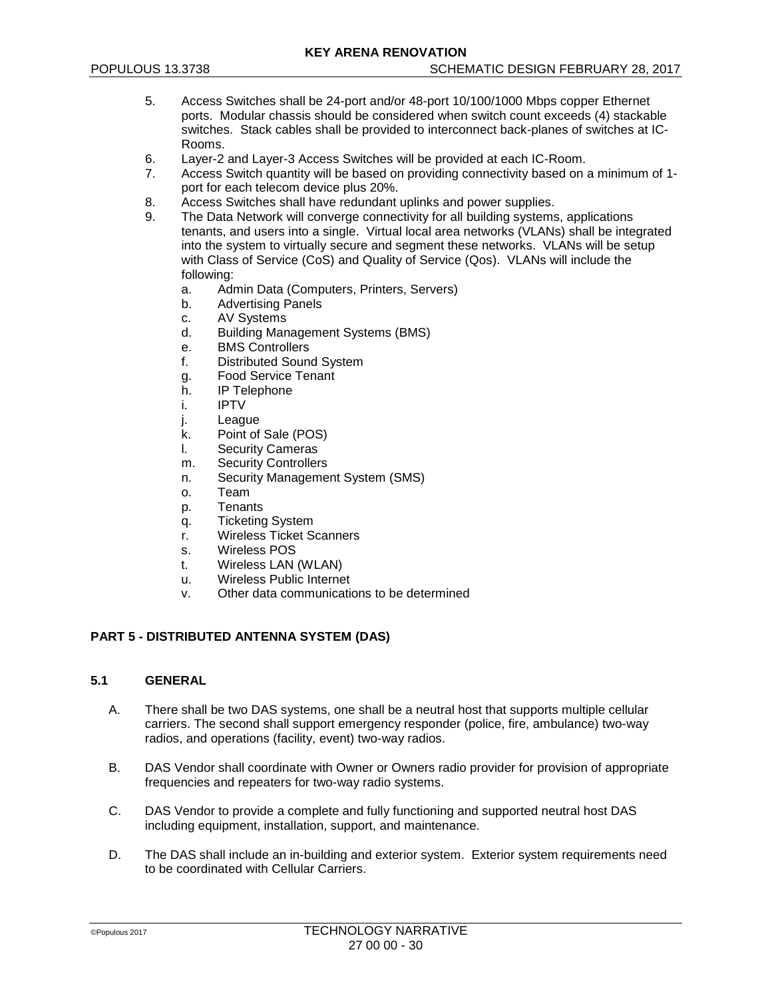- 5. Access Switches shall be 24-port and/or 48-port 10/100/1000 Mbps copper Ethernet ports. Modular chassis should be considered when switch count exceeds (4) stackable switches. Stack cables shall be provided to interconnect back-planes of switches at IC-Rooms.
- 6. Layer-2 and Layer-3 Access Switches will be provided at each IC-Room.
- 7. Access Switch quantity will be based on providing connectivity based on a minimum of 1 port for each telecom device plus 20%.
- 8. Access Switches shall have redundant uplinks and power supplies.
- 9. The Data Network will converge connectivity for all building systems, applications tenants, and users into a single. Virtual local area networks (VLANs) shall be integrated into the system to virtually secure and segment these networks. VLANs will be setup with Class of Service (CoS) and Quality of Service (Qos). VLANs will include the following:
	- a. Admin Data (Computers, Printers, Servers)
	- b. Advertising Panels
	- c. AV Systems
	- d. Building Management Systems (BMS)
	- e. BMS Controllers<br>f. Distributed Soun
	- Distributed Sound System
	- g. Food Service Tenant
	- h. IP Telephone
	- i. IPTV
	- j. League
	- k. Point of Sale (POS)
	- l. Security Cameras
	- m. Security Controllers
	- n. Security Management System (SMS)
	- o. Team
	- p. Tenants
	- q. Ticketing System
	- r. Wireless Ticket Scanners
	- s. Wireless POS
	- t. Wireless LAN (WLAN)
	- u. Wireless Public Internet
	- v. Other data communications to be determined

# **PART 5 - DISTRIBUTED ANTENNA SYSTEM (DAS)**

### **5.1 GENERAL**

- A. There shall be two DAS systems, one shall be a neutral host that supports multiple cellular carriers. The second shall support emergency responder (police, fire, ambulance) two-way radios, and operations (facility, event) two-way radios.
- B. DAS Vendor shall coordinate with Owner or Owners radio provider for provision of appropriate frequencies and repeaters for two-way radio systems.
- C. DAS Vendor to provide a complete and fully functioning and supported neutral host DAS including equipment, installation, support, and maintenance.
- D. The DAS shall include an in-building and exterior system. Exterior system requirements need to be coordinated with Cellular Carriers.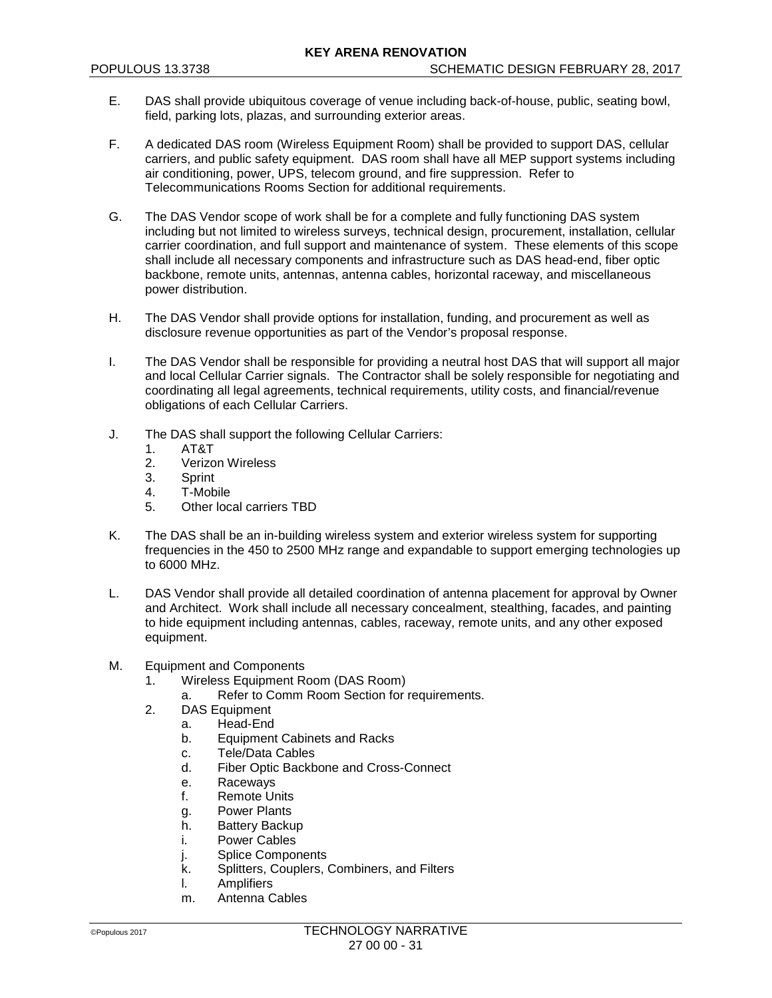- E. DAS shall provide ubiquitous coverage of venue including back-of-house, public, seating bowl, field, parking lots, plazas, and surrounding exterior areas.
- F. A dedicated DAS room (Wireless Equipment Room) shall be provided to support DAS, cellular carriers, and public safety equipment. DAS room shall have all MEP support systems including air conditioning, power, UPS, telecom ground, and fire suppression. Refer to Telecommunications Rooms Section for additional requirements.
- G. The DAS Vendor scope of work shall be for a complete and fully functioning DAS system including but not limited to wireless surveys, technical design, procurement, installation, cellular carrier coordination, and full support and maintenance of system. These elements of this scope shall include all necessary components and infrastructure such as DAS head-end, fiber optic backbone, remote units, antennas, antenna cables, horizontal raceway, and miscellaneous power distribution.
- H. The DAS Vendor shall provide options for installation, funding, and procurement as well as disclosure revenue opportunities as part of the Vendor's proposal response.
- I. The DAS Vendor shall be responsible for providing a neutral host DAS that will support all major and local Cellular Carrier signals. The Contractor shall be solely responsible for negotiating and coordinating all legal agreements, technical requirements, utility costs, and financial/revenue obligations of each Cellular Carriers.
- J. The DAS shall support the following Cellular Carriers:
	- 1. AT&T
	- 2. Verizon Wireless
	- 3. Sprint
	- 4. T-Mobile
	- 5. Other local carriers TBD
- K. The DAS shall be an in-building wireless system and exterior wireless system for supporting frequencies in the 450 to 2500 MHz range and expandable to support emerging technologies up to 6000 MHz.
- L. DAS Vendor shall provide all detailed coordination of antenna placement for approval by Owner and Architect. Work shall include all necessary concealment, stealthing, facades, and painting to hide equipment including antennas, cables, raceway, remote units, and any other exposed equipment.
- M. Equipment and Components
	- 1. Wireless Equipment Room (DAS Room)
		- a. Refer to Comm Room Section for requirements.
	- 2. DAS Equipment
		- a. Head-End
		- b. Equipment Cabinets and Racks
		- c. Tele/Data Cables
		- d. Fiber Optic Backbone and Cross-Connect
		- e. Raceways<br>f. Remote Ur
		- Remote Units
		- g. Power Plants
		- h. Battery Backup
		- i. Power Cables
		- j. Splice Components<br>k. Splitters. Couplers. (
		- k. Splitters, Couplers, Combiners, and Filters<br>I Amplifiers
		- **Amplifiers**
		- m. Antenna Cables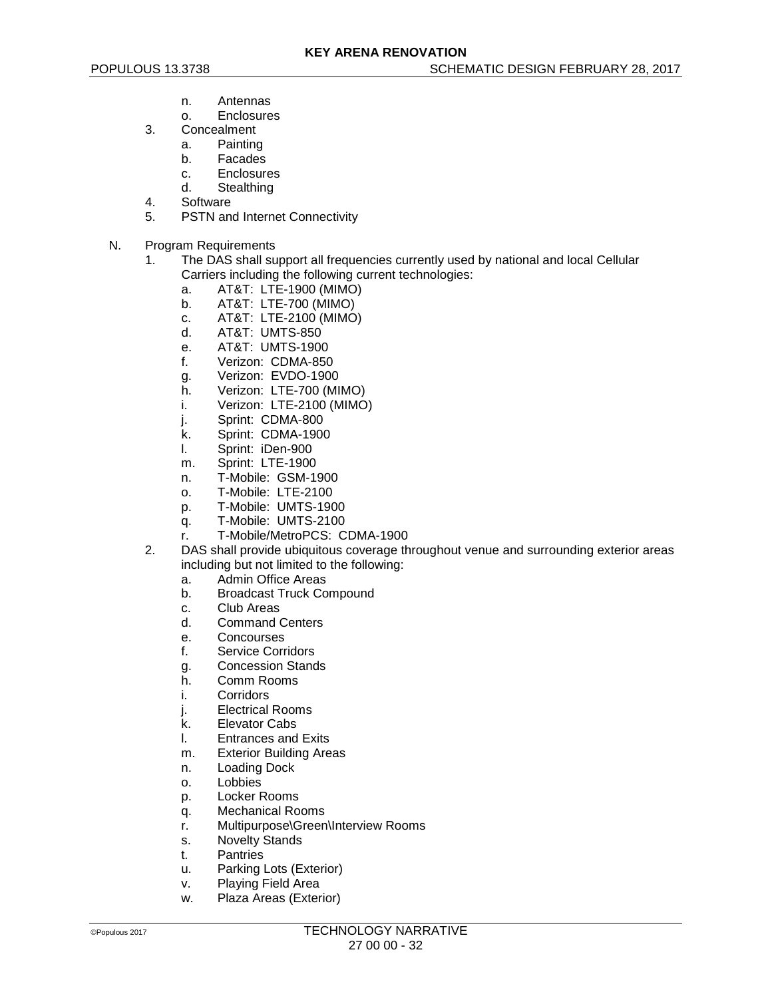- n. Antennas
- o. Enclosures
- 3. Concealment
	- a. Painting
	- b. Facades
	- c. Enclosures<br>d Stealthing
	- **Stealthing**
- 4. Software
- 5. PSTN and Internet Connectivity
- N. Program Requirements
	- 1. The DAS shall support all frequencies currently used by national and local Cellular Carriers including the following current technologies:
		- a. AT&T: LTE-1900 (MIMO)
		- b. AT&T: LTE-700 (MIMO)
		- c. AT&T: LTE-2100 (MIMO)
		- d. AT&T: UMTS-850
		-
		- e. AT&T: UMTS-1900<br>f. Verizon: CDMA-850 Verizon: CDMA-850
		- g. Verizon: EVDO-1900
		- h. Verizon: LTE-700 (MIMO)
		- i. Verizon: LTE-2100 (MIMO)
		- j. Sprint: CDMA-800
		- k. Sprint: CDMA-1900
		- l. Sprint: iDen-900
		- m. Sprint: LTE-1900
		- n. T-Mobile: GSM-1900
		- o. T-Mobile: LTE-2100
		-
		- p. T-Mobile: UMTS-1900
		- q. T-Mobile: UMTS-2100
		- r. T-Mobile/MetroPCS: CDMA-1900
	- 2. DAS shall provide ubiquitous coverage throughout venue and surrounding exterior areas including but not limited to the following:
		- a. Admin Office Areas
		- b. Broadcast Truck Compound
		- c. Club Areas<br>d. Command
		- **Command Centers**
		- e. Concourses
		- f. Service Corridors
		- g. Concession Stands
		- h. Comm Rooms
		- i. Corridors
		- j. Electrical Rooms
		- k. Elevator Cabs
		- l. Entrances and Exits
		- m. Exterior Building Areas
		- n. Loading Dock
		- o. Lobbies
		- p. Locker Rooms
		- q. Mechanical Rooms
		- r. Multipurpose\Green\Interview Rooms
		- s. Novelty Stands
		- t. Pantries
		- u. Parking Lots (Exterior)
		- v. Playing Field Area
		- w. Plaza Areas (Exterior)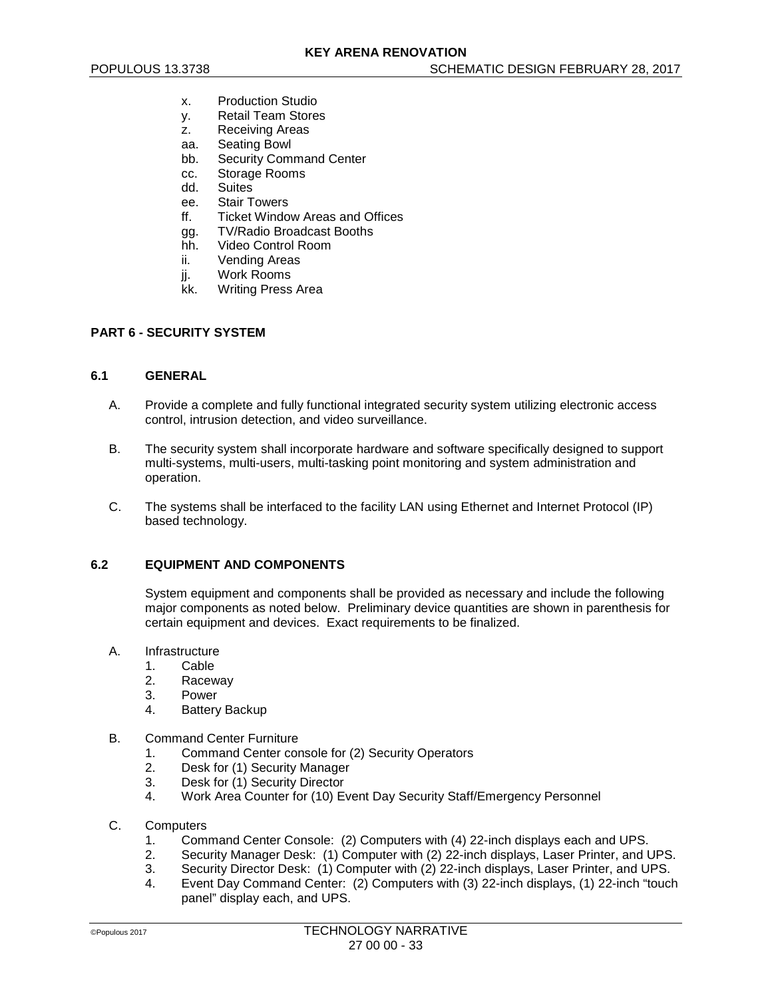- x. Production Studio
- y. Retail Team Stores
- z. Receiving Areas
- aa. Seating Bowl
- bb. Security Command Center
- cc. Storage Rooms<br>dd Suites
- **Suites**
- ee. Stair Towers
- ff. Ticket Window Areas and Offices
- gg. TV/Radio Broadcast Booths
- hh. Video Control Room
- ii. Vending Areas
- jj. Work Rooms
- kk. Writing Press Area

### **PART 6 - SECURITY SYSTEM**

#### **6.1 GENERAL**

- A. Provide a complete and fully functional integrated security system utilizing electronic access control, intrusion detection, and video surveillance.
- B. The security system shall incorporate hardware and software specifically designed to support multi-systems, multi-users, multi-tasking point monitoring and system administration and operation.
- C. The systems shall be interfaced to the facility LAN using Ethernet and Internet Protocol (IP) based technology.

# **6.2 EQUIPMENT AND COMPONENTS**

System equipment and components shall be provided as necessary and include the following major components as noted below. Preliminary device quantities are shown in parenthesis for certain equipment and devices. Exact requirements to be finalized.

### A. Infrastructure

- 
- 1. Cable<br>2. Racev **Raceway**
- 
- 3. Power<br>4. Battery **Battery Backup**

#### B. Command Center Furniture

- 1. Command Center console for (2) Security Operators
- 2. Desk for (1) Security Manager<br>3. Desk for (1) Security Director
- 3. Desk for (1) Security Director<br>4 Work Area Counter for (10) Fy
- 4. Work Area Counter for (10) Event Day Security Staff/Emergency Personnel

#### C. Computers

- 1. Command Center Console: (2) Computers with (4) 22-inch displays each and UPS.
- 2. Security Manager Desk: (1) Computer with (2) 22-inch displays, Laser Printer, and UPS.
- 3. Security Director Desk: (1) Computer with (2) 22-inch displays, Laser Printer, and UPS.
- Event Day Command Center: (2) Computers with (3) 22-inch displays, (1) 22-inch "touch panel" display each, and UPS.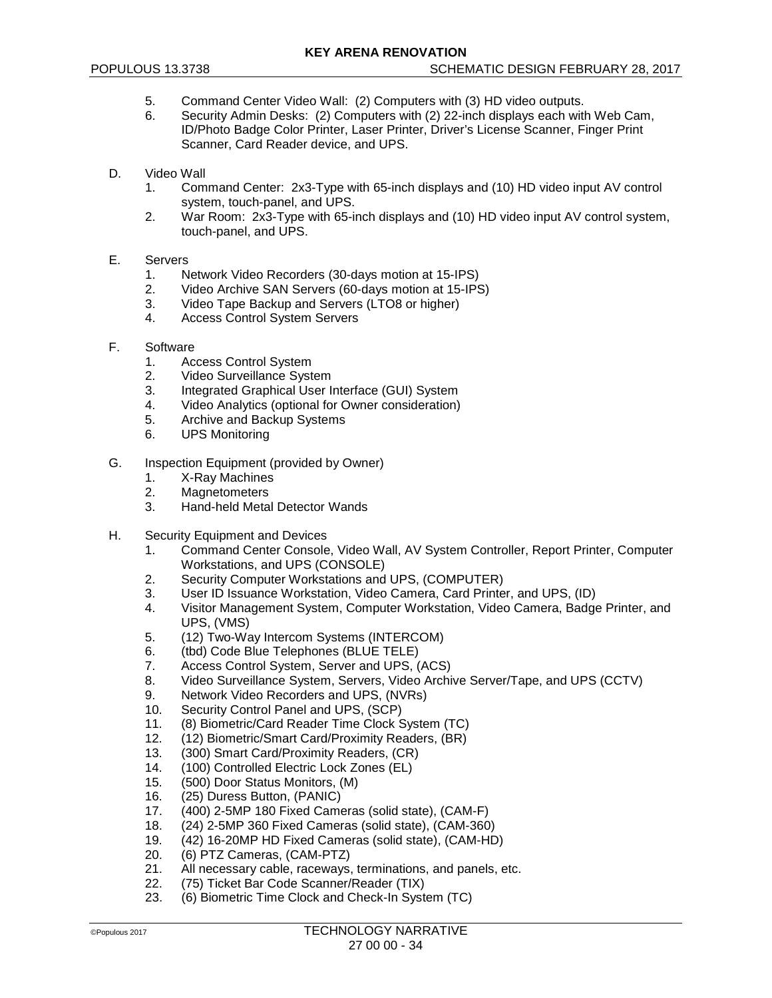- 5. Command Center Video Wall: (2) Computers with (3) HD video outputs.
- 6. Security Admin Desks: (2) Computers with (2) 22-inch displays each with Web Cam, ID/Photo Badge Color Printer, Laser Printer, Driver's License Scanner, Finger Print Scanner, Card Reader device, and UPS.
- D. Video Wall
	- 1. Command Center: 2x3-Type with 65-inch displays and (10) HD video input AV control system, touch-panel, and UPS.
	- 2. War Room: 2x3-Type with 65-inch displays and (10) HD video input AV control system, touch-panel, and UPS.
- E. Servers
	- 1. Network Video Recorders (30-days motion at 15-IPS)
	- 2. Video Archive SAN Servers (60-days motion at 15-IPS)
	- 3. Video Tape Backup and Servers (LTO8 or higher)
	- 4. Access Control System Servers
- F. Software
	- 1. Access Control System
	- 2. Video Surveillance System
	- 3. Integrated Graphical User Interface (GUI) System
	- Video Analytics (optional for Owner consideration)
	- 5. Archive and Backup Systems
	- 6. UPS Monitoring
- G. Inspection Equipment (provided by Owner)
	- 1. X-Ray Machines<br>2. Magnetometers
	- **Magnetometers**
	- 3. Hand-held Metal Detector Wands
- H. Security Equipment and Devices
	- 1. Command Center Console, Video Wall, AV System Controller, Report Printer, Computer Workstations, and UPS (CONSOLE)
	- 2. Security Computer Workstations and UPS, (COMPUTER)
	- 3. User ID Issuance Workstation, Video Camera, Card Printer, and UPS, (ID)
	- 4. Visitor Management System, Computer Workstation, Video Camera, Badge Printer, and UPS, (VMS)
	- 5. (12) Two-Way Intercom Systems (INTERCOM)
	- 6. (tbd) Code Blue Telephones (BLUE TELE)<br>7. Access Control System. Server and UPS. (
	- Access Control System, Server and UPS, (ACS)
	- 8. Video Surveillance System, Servers, Video Archive Server/Tape, and UPS (CCTV)
	- 9. Network Video Recorders and UPS, (NVRs)<br>10. Security Control Panel and UPS. (SCP)
	- Security Control Panel and UPS, (SCP)
	- 11. (8) Biometric/Card Reader Time Clock System (TC)
	- 12. (12) Biometric/Smart Card/Proximity Readers, (BR)
	- 13. (300) Smart Card/Proximity Readers, (CR)
	- 14. (100) Controlled Electric Lock Zones (EL)<br>15. (500) Door Status Monitors. (M)
	- 15. (500) Door Status Monitors, (M)<br>16. (25) Duress Button (PANIC)
	- (25) Duress Button, (PANIC)
	- 17. (400) 2-5MP 180 Fixed Cameras (solid state), (CAM-F)
	- (24) 2-5MP 360 Fixed Cameras (solid state), (CAM-360)
	- 19. (42) 16-20MP HD Fixed Cameras (solid state), (CAM-HD)
	- 20. (6) PTZ Cameras, (CAM-PTZ)
	- 21. All necessary cable, raceways, terminations, and panels, etc.<br>22. (75) Ticket Bar Code Scanner/Reader (TIX)
	- (75) Ticket Bar Code Scanner/Reader (TIX)
	- 23. (6) Biometric Time Clock and Check-In System (TC)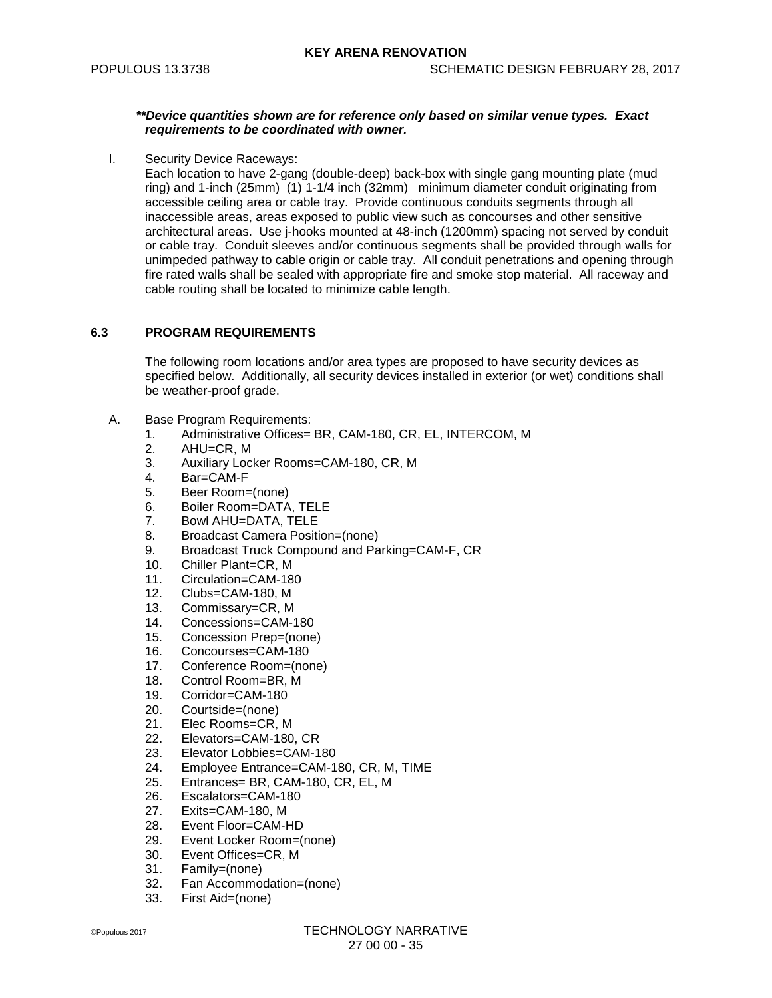#### *\*\*Device quantities shown are for reference only based on similar venue types. Exact requirements to be coordinated with owner.*

I. Security Device Raceways:

Each location to have 2-gang (double-deep) back-box with single gang mounting plate (mud ring) and 1-inch (25mm) (1) 1-1/4 inch (32mm) minimum diameter conduit originating from accessible ceiling area or cable tray. Provide continuous conduits segments through all inaccessible areas, areas exposed to public view such as concourses and other sensitive architectural areas. Use j-hooks mounted at 48-inch (1200mm) spacing not served by conduit or cable tray. Conduit sleeves and/or continuous segments shall be provided through walls for unimpeded pathway to cable origin or cable tray. All conduit penetrations and opening through fire rated walls shall be sealed with appropriate fire and smoke stop material. All raceway and cable routing shall be located to minimize cable length.

### **6.3 PROGRAM REQUIREMENTS**

The following room locations and/or area types are proposed to have security devices as specified below. Additionally, all security devices installed in exterior (or wet) conditions shall be weather-proof grade.

- A. Base Program Requirements:
	- 1. Administrative Offices= BR, CAM-180, CR, EL, INTERCOM, M
	- 2. AHU=CR, M
	- 3. Auxiliary Locker Rooms=CAM-180, CR, M
	- 4. Bar=CAM-F
	- 5. Beer Room=(none)
	- 6. Boiler Room=DATA, TELE
	- 7. Bowl AHU=DATA, TELE
	- 8. Broadcast Camera Position=(none)
	- 9. Broadcast Truck Compound and Parking=CAM-F, CR
	- 10. Chiller Plant=CR, M
	- 11. Circulation=CAM-180
	- 12. Clubs=CAM-180, M
	- 13. Commissary=CR, M<br>14. Concessions=CAM-1
	- Concessions=CAM-180
	- 15. Concession Prep=(none)
	-
	- 16. Concourses=CAM-180<br>17. Conference Room=(no Conference Room=(none)
	- 18. Control Room=BR, M
	- 19. Corridor=CAM-180
	- 20. Courtside=(none)
	- 21. Elec Rooms=CR, M
	- 22. Elevators=CAM-180, CR
	- 23. Elevator Lobbies=CAM-180
	-
	- 24. Employee Entrance=CAM-180, CR, M, TIME<br>25. Entrances= BR. CAM-180. CR. EL. M 25. Entrances= BR, CAM-180, CR, EL, M<br>26. Escalators=CAM-180
	- Escalators=CAM-180
	-
	- 27. Exits=CAM-180, M<br>28. Event Floor=CAM-Event Floor=CAM-HD
	- 29. Event Locker Room=(none)
	- 30. Event Offices=CR, M
	- 31. Family=(none)<br>32. Fan Accommo
	- Fan Accommodation=(none)
	- 33. First Aid=(none)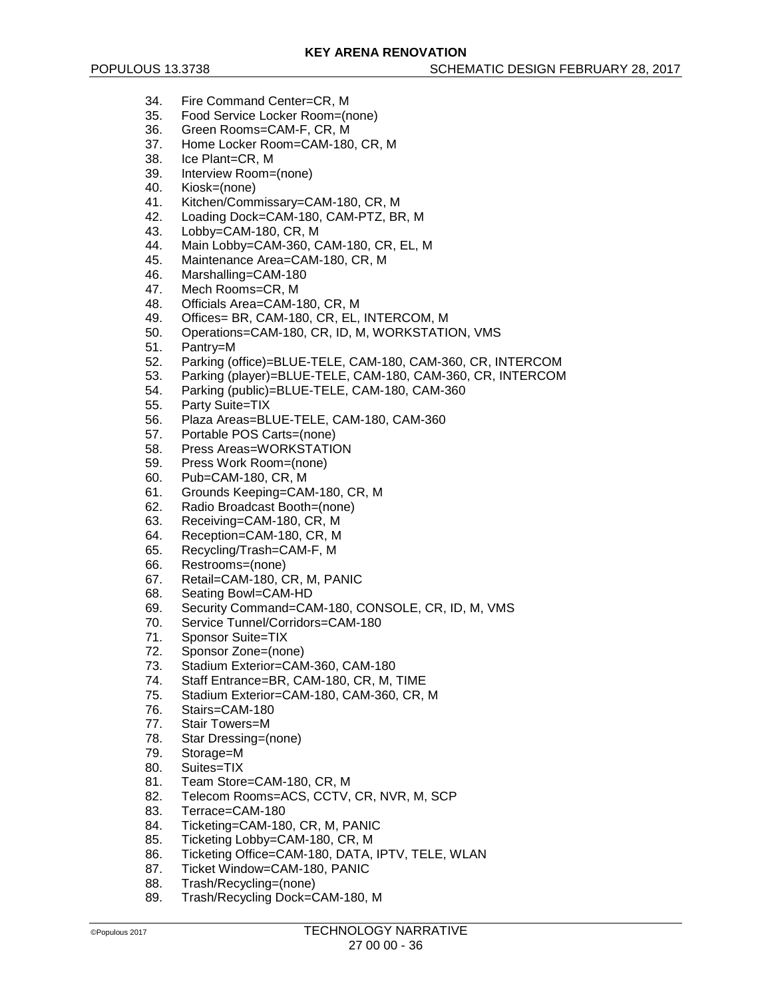- 34. Fire Command Center=CR, M
- 35. Food Service Locker Room=(none)
- 36. Green Rooms=CAM-F, CR, M<br>37. Home Locker Room=CAM-180
- Home Locker Room=CAM-180, CR, M
- 38. Ice Plant=CR, M
- 39. Interview Room=(none)<br>40 Kiosk=(none)
- Kiosk=(none)
- 41. Kitchen/Commissary=CAM-180, CR, M
- 42. Loading Dock=CAM-180, CAM-PTZ, BR, M
- Lobby=CAM-180, CR, M
- 44. Main Lobby=CAM-360, CAM-180, CR, EL, M
- 45. Maintenance Area=CAM-180, CR, M<br>46. Marshalling=CAM-180
- Marshalling=CAM-180
- 47. Mech Rooms=CR, M
- 48. Officials Area=CAM-180, CR, M<br>49. Offices= BR, CAM-180, CR, FI
- Offices= BR, CAM-180, CR, EL, INTERCOM, M
- 50. Operations=CAM-180, CR, ID, M, WORKSTATION, VMS<br>51. Pantrv=M
- 51. Pantry=M<br>52. Parking (c
- 52. Parking (office)=BLUE-TELE, CAM-180, CAM-360, CR, INTERCOM
- 53. Parking (player)=BLUE-TELE, CAM-180, CAM-360, CR, INTERCOM
- 54. Parking (public)=BLUE-TELE, CAM-180, CAM-360
- 55. Party Suite=TIX
- 56. Plaza Areas=BLUE-TELE, CAM-180, CAM-360
- 57. Portable POS Carts=(none)
- 58. Press Areas=WORKSTATION
- 59. Press Work Room=(none)
- 60. Pub=CAM-180, CR, M
- 61. Grounds Keeping=CAM-180, CR, M
- 62. Radio Broadcast Booth=(none)<br>63. Receiving=CAM-180, CR, M
- Receiving=CAM-180, CR, M
- 64. Reception=CAM-180, CR, M
- 65. Recycling/Trash=CAM-F, M
- 66. Restrooms=(none)
- 67. Retail=CAM-180, CR, M, PANIC
- 68. Seating Bowl=CAM-HD
- 69. Security Command=CAM-180, CONSOLE, CR, ID, M, VMS<br>70. Service Tunnel/Corridors=CAM-180
- Service Tunnel/Corridors=CAM-180
- 71. Sponsor Suite=TIX
- 72. Sponsor Zone=(none)<br>73. Stadium Exterior=CAN
- 73. Stadium Exterior=CAM-360, CAM-180
- Staff Entrance=BR, CAM-180, CR, M, TIME
- 75. Stadium Exterior=CAM-180, CAM-360, CR, M
- 76. Stairs=CAM-180
- 77. Stair Towers=M
- 78. Star Dressing=(none)
- 79. Storage=M
- 80. Suites=TIX
- 81. Team Store=CAM-180, CR, M<br>82. Telecom Rooms=ACS, CCTV.
- Telecom Rooms=ACS, CCTV, CR, NVR, M, SCP
- 83. Terrace=CAM-180
- 84. Ticketing=CAM-180, CR, M, PANIC<br>85. Ticketing Lobby=CAM-180. CR. M
- Ticketing Lobby=CAM-180, CR, M
- 86. Ticketing Office=CAM-180, DATA, IPTV, TELE, WLAN
- 87. Ticket Window=CAM-180, PANIC
- 88. Trash/Recycling=(none)
- 89. Trash/Recycling Dock=CAM-180, M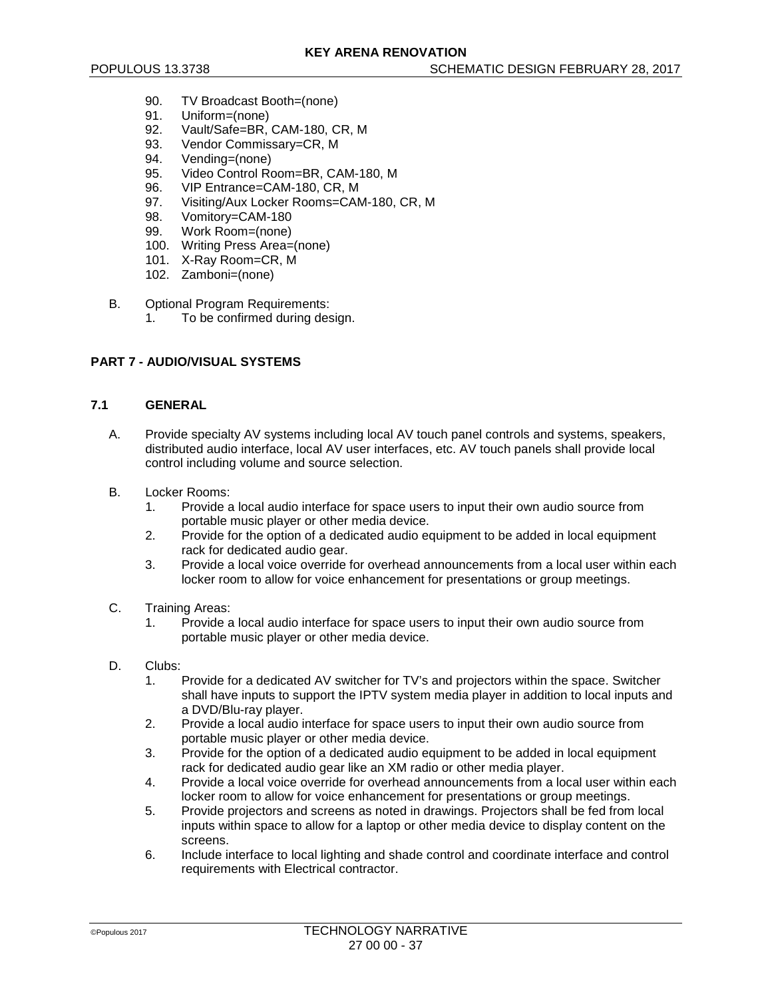- 90. TV Broadcast Booth=(none)<br>91. Uniform=(none)
- Uniform=(none)
- 92. Vault/Safe=BR, CAM-180, CR, M<br>93. Vendor Commissarv=CR, M
- Vendor Commissary=CR, M
- 94. Vending=(none)
- 95. Video Control Room=BR, CAM-180, M<br>96. VIP Entrance=CAM-180, CR, M
- VIP Entrance=CAM-180, CR, M
- 97. Visiting/Aux Locker Rooms=CAM-180, CR, M
- 98. Vomitory=CAM-180<br>99. Work Room=(none)
- Work Room=(none)
- 100. Writing Press Area=(none)
- 101. X-Ray Room=CR, M
- 102. Zamboni=(none)
- B. Optional Program Requirements:
	- 1. To be confirmed during design.

### **PART 7 - AUDIO/VISUAL SYSTEMS**

### **7.1 GENERAL**

- A. Provide specialty AV systems including local AV touch panel controls and systems, speakers, distributed audio interface, local AV user interfaces, etc. AV touch panels shall provide local control including volume and source selection.
- B. Locker Rooms:
	- 1. Provide a local audio interface for space users to input their own audio source from portable music player or other media device.
	- 2. Provide for the option of a dedicated audio equipment to be added in local equipment rack for dedicated audio gear.
	- 3. Provide a local voice override for overhead announcements from a local user within each locker room to allow for voice enhancement for presentations or group meetings.
- C. Training Areas:
	- 1. Provide a local audio interface for space users to input their own audio source from portable music player or other media device.
- D. Clubs:
	- 1. Provide for a dedicated AV switcher for TV's and projectors within the space. Switcher shall have inputs to support the IPTV system media player in addition to local inputs and a DVD/Blu-ray player.
	- 2. Provide a local audio interface for space users to input their own audio source from portable music player or other media device.
	- 3. Provide for the option of a dedicated audio equipment to be added in local equipment rack for dedicated audio gear like an XM radio or other media player.
	- 4. Provide a local voice override for overhead announcements from a local user within each locker room to allow for voice enhancement for presentations or group meetings.
	- 5. Provide projectors and screens as noted in drawings. Projectors shall be fed from local inputs within space to allow for a laptop or other media device to display content on the screens.
	- 6. Include interface to local lighting and shade control and coordinate interface and control requirements with Electrical contractor.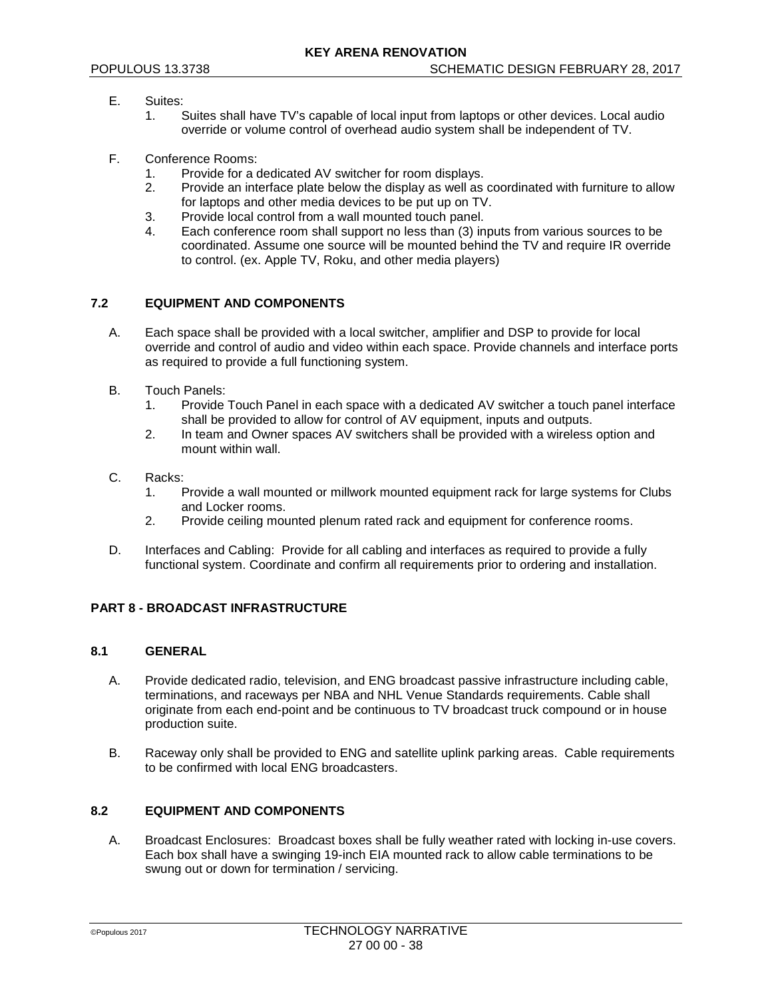- E. Suites:
	- 1. Suites shall have TV's capable of local input from laptops or other devices. Local audio override or volume control of overhead audio system shall be independent of TV.
- F. Conference Rooms:
	- 1. Provide for a dedicated AV switcher for room displays.<br>2. Provide an interface plate below the display as well as
	- Provide an interface plate below the display as well as coordinated with furniture to allow for laptops and other media devices to be put up on TV.
	- 3. Provide local control from a wall mounted touch panel.
	- Each conference room shall support no less than (3) inputs from various sources to be coordinated. Assume one source will be mounted behind the TV and require IR override to control. (ex. Apple TV, Roku, and other media players)

### **7.2 EQUIPMENT AND COMPONENTS**

- A. Each space shall be provided with a local switcher, amplifier and DSP to provide for local override and control of audio and video within each space. Provide channels and interface ports as required to provide a full functioning system.
- B. Touch Panels:
	- 1. Provide Touch Panel in each space with a dedicated AV switcher a touch panel interface shall be provided to allow for control of AV equipment, inputs and outputs.
	- 2. In team and Owner spaces AV switchers shall be provided with a wireless option and mount within wall.
- C. Racks:
	- 1. Provide a wall mounted or millwork mounted equipment rack for large systems for Clubs and Locker rooms.
	- 2. Provide ceiling mounted plenum rated rack and equipment for conference rooms.
- D. Interfaces and Cabling: Provide for all cabling and interfaces as required to provide a fully functional system. Coordinate and confirm all requirements prior to ordering and installation.

#### **PART 8 - BROADCAST INFRASTRUCTURE**

# **8.1 GENERAL**

- A. Provide dedicated radio, television, and ENG broadcast passive infrastructure including cable, terminations, and raceways per NBA and NHL Venue Standards requirements. Cable shall originate from each end-point and be continuous to TV broadcast truck compound or in house production suite.
- B. Raceway only shall be provided to ENG and satellite uplink parking areas. Cable requirements to be confirmed with local ENG broadcasters.

### **8.2 EQUIPMENT AND COMPONENTS**

A. Broadcast Enclosures: Broadcast boxes shall be fully weather rated with locking in-use covers. Each box shall have a swinging 19-inch EIA mounted rack to allow cable terminations to be swung out or down for termination / servicing.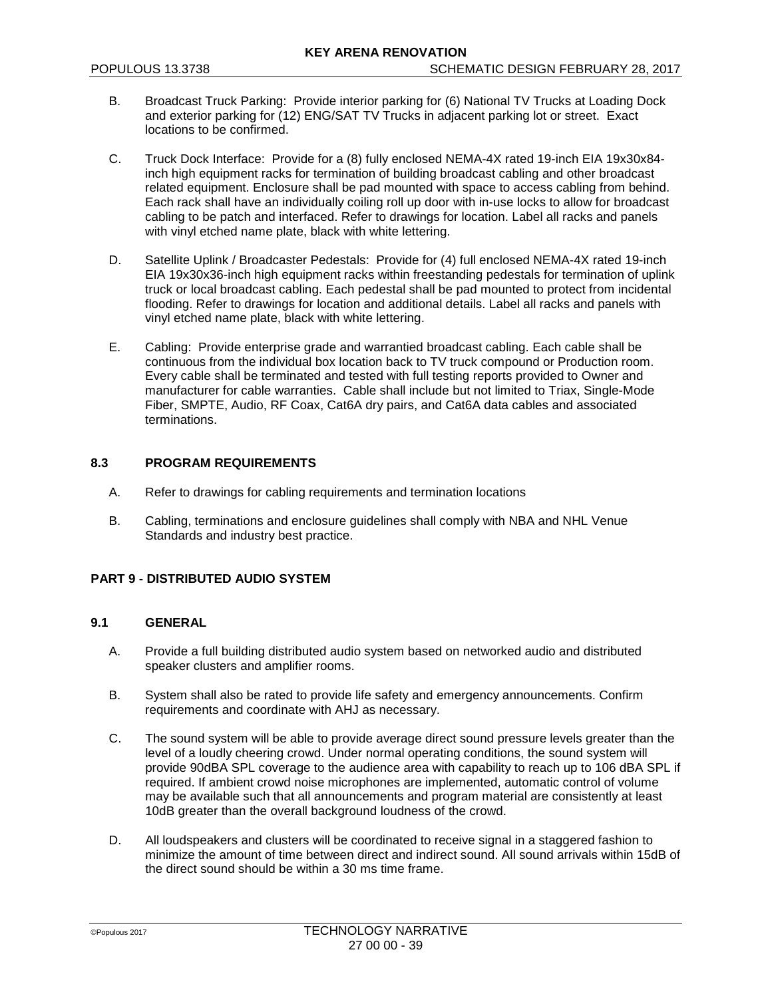- B. Broadcast Truck Parking: Provide interior parking for (6) National TV Trucks at Loading Dock and exterior parking for (12) ENG/SAT TV Trucks in adjacent parking lot or street. Exact locations to be confirmed.
- C. Truck Dock Interface: Provide for a (8) fully enclosed NEMA-4X rated 19-inch EIA 19x30x84 inch high equipment racks for termination of building broadcast cabling and other broadcast related equipment. Enclosure shall be pad mounted with space to access cabling from behind. Each rack shall have an individually coiling roll up door with in-use locks to allow for broadcast cabling to be patch and interfaced. Refer to drawings for location. Label all racks and panels with vinyl etched name plate, black with white lettering.
- D. Satellite Uplink / Broadcaster Pedestals: Provide for (4) full enclosed NEMA-4X rated 19-inch EIA 19x30x36-inch high equipment racks within freestanding pedestals for termination of uplink truck or local broadcast cabling. Each pedestal shall be pad mounted to protect from incidental flooding. Refer to drawings for location and additional details. Label all racks and panels with vinyl etched name plate, black with white lettering.
- E. Cabling: Provide enterprise grade and warrantied broadcast cabling. Each cable shall be continuous from the individual box location back to TV truck compound or Production room. Every cable shall be terminated and tested with full testing reports provided to Owner and manufacturer for cable warranties. Cable shall include but not limited to Triax, Single-Mode Fiber, SMPTE, Audio, RF Coax, Cat6A dry pairs, and Cat6A data cables and associated terminations.

# **8.3 PROGRAM REQUIREMENTS**

- A. Refer to drawings for cabling requirements and termination locations
- B. Cabling, terminations and enclosure guidelines shall comply with NBA and NHL Venue Standards and industry best practice.

# **PART 9 - DISTRIBUTED AUDIO SYSTEM**

# **9.1 GENERAL**

- A. Provide a full building distributed audio system based on networked audio and distributed speaker clusters and amplifier rooms.
- B. System shall also be rated to provide life safety and emergency announcements. Confirm requirements and coordinate with AHJ as necessary.
- C. The sound system will be able to provide average direct sound pressure levels greater than the level of a loudly cheering crowd. Under normal operating conditions, the sound system will provide 90dBA SPL coverage to the audience area with capability to reach up to 106 dBA SPL if required. If ambient crowd noise microphones are implemented, automatic control of volume may be available such that all announcements and program material are consistently at least 10dB greater than the overall background loudness of the crowd.
- D. All loudspeakers and clusters will be coordinated to receive signal in a staggered fashion to minimize the amount of time between direct and indirect sound. All sound arrivals within 15dB of the direct sound should be within a 30 ms time frame.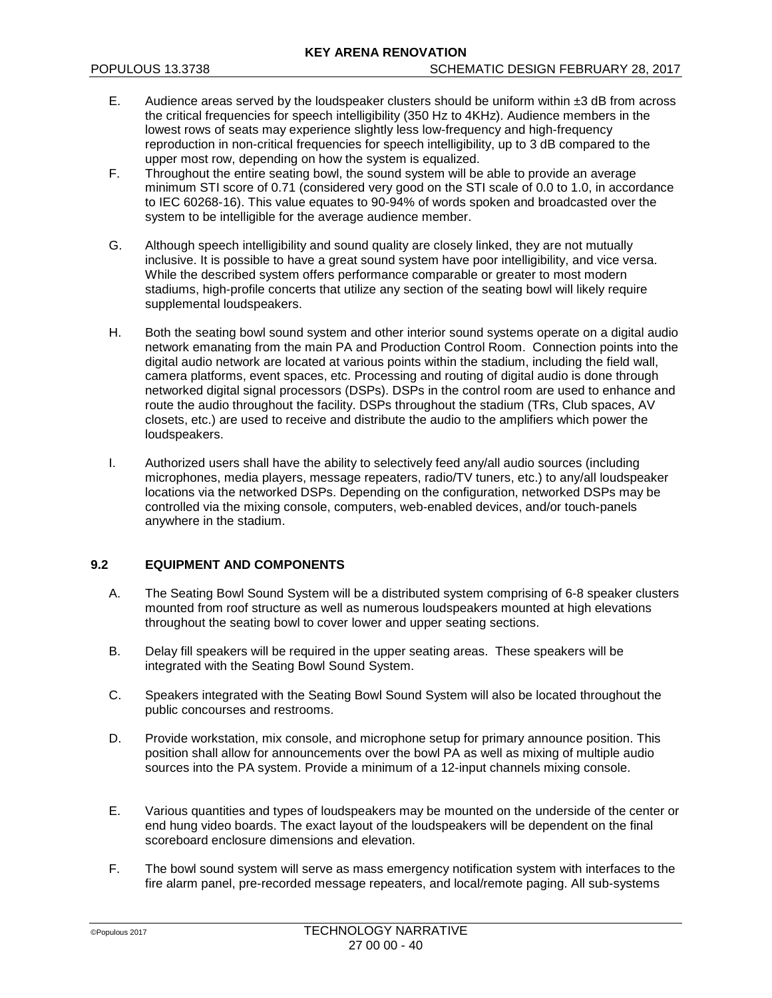- E. Audience areas served by the loudspeaker clusters should be uniform within  $\pm 3$  dB from across the critical frequencies for speech intelligibility (350 Hz to 4KHz). Audience members in the lowest rows of seats may experience slightly less low-frequency and high-frequency reproduction in non-critical frequencies for speech intelligibility, up to 3 dB compared to the upper most row, depending on how the system is equalized.
- F. Throughout the entire seating bowl, the sound system will be able to provide an average minimum STI score of 0.71 (considered very good on the STI scale of 0.0 to 1.0, in accordance to IEC 60268-16). This value equates to 90-94% of words spoken and broadcasted over the system to be intelligible for the average audience member.
- G. Although speech intelligibility and sound quality are closely linked, they are not mutually inclusive. It is possible to have a great sound system have poor intelligibility, and vice versa. While the described system offers performance comparable or greater to most modern stadiums, high-profile concerts that utilize any section of the seating bowl will likely require supplemental loudspeakers.
- H. Both the seating bowl sound system and other interior sound systems operate on a digital audio network emanating from the main PA and Production Control Room. Connection points into the digital audio network are located at various points within the stadium, including the field wall, camera platforms, event spaces, etc. Processing and routing of digital audio is done through networked digital signal processors (DSPs). DSPs in the control room are used to enhance and route the audio throughout the facility. DSPs throughout the stadium (TRs, Club spaces, AV closets, etc.) are used to receive and distribute the audio to the amplifiers which power the loudspeakers.
- I. Authorized users shall have the ability to selectively feed any/all audio sources (including microphones, media players, message repeaters, radio/TV tuners, etc.) to any/all loudspeaker locations via the networked DSPs. Depending on the configuration, networked DSPs may be controlled via the mixing console, computers, web-enabled devices, and/or touch-panels anywhere in the stadium.

# **9.2 EQUIPMENT AND COMPONENTS**

- A. The Seating Bowl Sound System will be a distributed system comprising of 6-8 speaker clusters mounted from roof structure as well as numerous loudspeakers mounted at high elevations throughout the seating bowl to cover lower and upper seating sections.
- B. Delay fill speakers will be required in the upper seating areas. These speakers will be integrated with the Seating Bowl Sound System.
- C. Speakers integrated with the Seating Bowl Sound System will also be located throughout the public concourses and restrooms.
- D. Provide workstation, mix console, and microphone setup for primary announce position. This position shall allow for announcements over the bowl PA as well as mixing of multiple audio sources into the PA system. Provide a minimum of a 12-input channels mixing console.
- E. Various quantities and types of loudspeakers may be mounted on the underside of the center or end hung video boards. The exact layout of the loudspeakers will be dependent on the final scoreboard enclosure dimensions and elevation.
- F. The bowl sound system will serve as mass emergency notification system with interfaces to the fire alarm panel, pre-recorded message repeaters, and local/remote paging. All sub-systems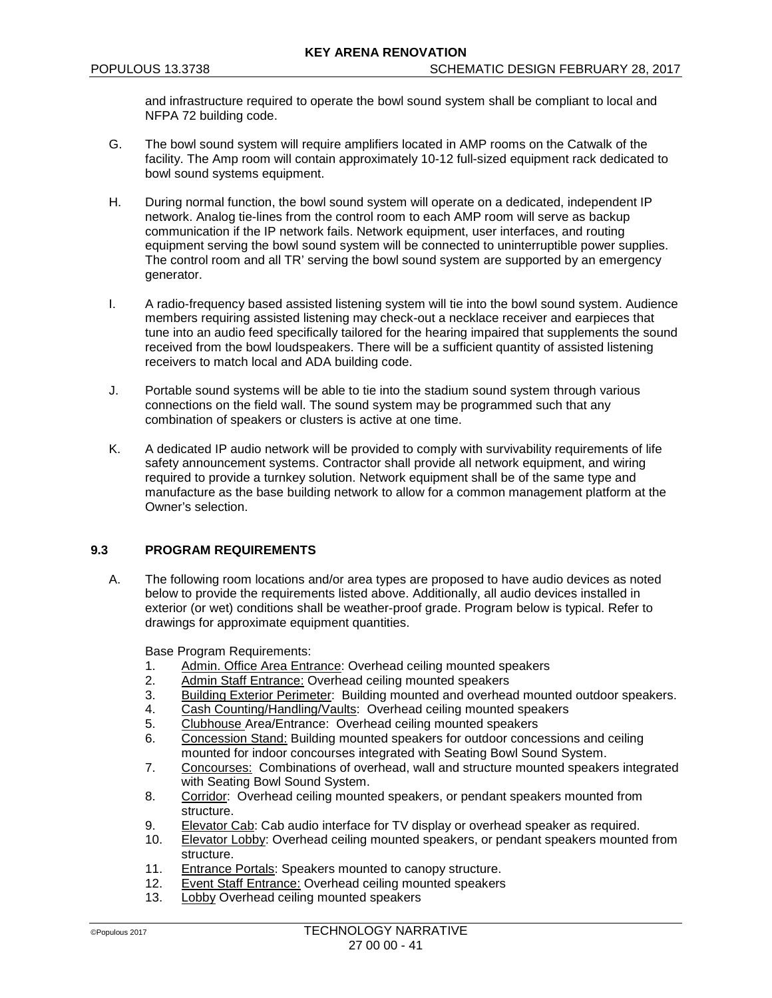and infrastructure required to operate the bowl sound system shall be compliant to local and NFPA 72 building code.

- G. The bowl sound system will require amplifiers located in AMP rooms on the Catwalk of the facility. The Amp room will contain approximately 10-12 full-sized equipment rack dedicated to bowl sound systems equipment.
- H. During normal function, the bowl sound system will operate on a dedicated, independent IP network. Analog tie-lines from the control room to each AMP room will serve as backup communication if the IP network fails. Network equipment, user interfaces, and routing equipment serving the bowl sound system will be connected to uninterruptible power supplies. The control room and all TR' serving the bowl sound system are supported by an emergency generator.
- I. A radio-frequency based assisted listening system will tie into the bowl sound system. Audience members requiring assisted listening may check-out a necklace receiver and earpieces that tune into an audio feed specifically tailored for the hearing impaired that supplements the sound received from the bowl loudspeakers. There will be a sufficient quantity of assisted listening receivers to match local and ADA building code.
- J. Portable sound systems will be able to tie into the stadium sound system through various connections on the field wall. The sound system may be programmed such that any combination of speakers or clusters is active at one time.
- K. A dedicated IP audio network will be provided to comply with survivability requirements of life safety announcement systems. Contractor shall provide all network equipment, and wiring required to provide a turnkey solution. Network equipment shall be of the same type and manufacture as the base building network to allow for a common management platform at the Owner's selection.

# **9.3 PROGRAM REQUIREMENTS**

A. The following room locations and/or area types are proposed to have audio devices as noted below to provide the requirements listed above. Additionally, all audio devices installed in exterior (or wet) conditions shall be weather-proof grade. Program below is typical. Refer to drawings for approximate equipment quantities.

Base Program Requirements:

- 1. Admin. Office Area Entrance: Overhead ceiling mounted speakers
- 2. Admin Staff Entrance: Overhead ceiling mounted speakers
- 3. Building Exterior Perimeter: Building mounted and overhead mounted outdoor speakers.<br>4. Cash Counting/Handling/Vaults: Overhead ceiling mounted speakers
- Cash Counting/Handling/Vaults: Overhead ceiling mounted speakers
- 5. Clubhouse Area/Entrance: Overhead ceiling mounted speakers
- 6. Concession Stand: Building mounted speakers for outdoor concessions and ceiling mounted for indoor concourses integrated with Seating Bowl Sound System.
- 7. Concourses: Combinations of overhead, wall and structure mounted speakers integrated with Seating Bowl Sound System.
- 8. Corridor: Overhead ceiling mounted speakers, or pendant speakers mounted from structure.
- 9. Elevator Cab: Cab audio interface for TV display or overhead speaker as required.<br>10 Elevator Lobby: Overhead ceiling mounted speakers, or pendant speakers mounter
- 10. Elevator Lobby: Overhead ceiling mounted speakers, or pendant speakers mounted from structure.
- 11. Entrance Portals: Speakers mounted to canopy structure.<br>12. Event Staff Entrance: Overhead ceiling mounted speakers
- Event Staff Entrance: Overhead ceiling mounted speakers
- 13. Lobby Overhead ceiling mounted speakers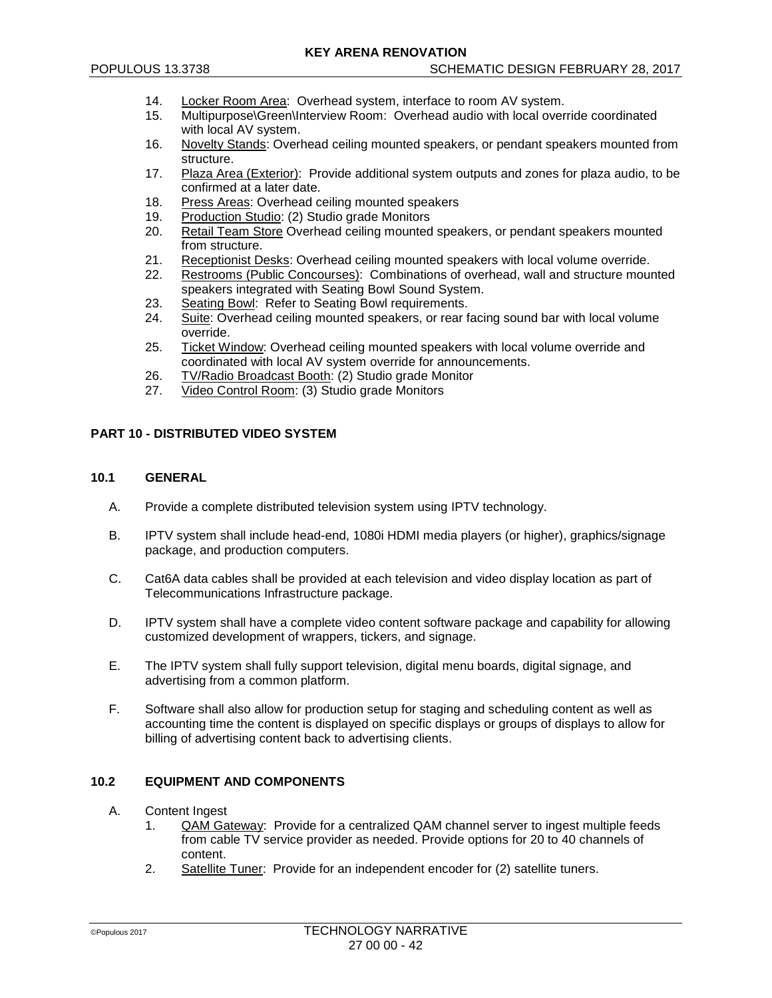- 14. Locker Room Area: Overhead system, interface to room AV system.
- 15. Multipurpose\Green\Interview Room: Overhead audio with local override coordinated with local AV system.
- 16. Novelty Stands: Overhead ceiling mounted speakers, or pendant speakers mounted from structure.
- 17. Plaza Area (Exterior): Provide additional system outputs and zones for plaza audio, to be confirmed at a later date.
- 18. Press Areas: Overhead ceiling mounted speakers
- 19. Production Studio: (2) Studio grade Monitors<br>20. Retail Team Store Overhead ceiling mounted
- Retail Team Store Overhead ceiling mounted speakers, or pendant speakers mounted from structure.
- 21. Receptionist Desks: Overhead ceiling mounted speakers with local volume override.<br>22. Restrooms (Public Concourses): Combinations of overhead, wall and structure mour
- Restrooms (Public Concourses): Combinations of overhead, wall and structure mounted speakers integrated with Seating Bowl Sound System.
- 23. Seating Bowl: Refer to Seating Bowl requirements.<br>24. Suite: Overhead ceiling mounted speakers, or rear f
- Suite: Overhead ceiling mounted speakers, or rear facing sound bar with local volume override.
- 25. Ticket Window: Overhead ceiling mounted speakers with local volume override and coordinated with local AV system override for announcements.
- 26. TV/Radio Broadcast Booth: (2) Studio grade Monitor
- 27. Video Control Room: (3) Studio grade Monitors

# **PART 10 - DISTRIBUTED VIDEO SYSTEM**

### **10.1 GENERAL**

- A. Provide a complete distributed television system using IPTV technology.
- B. IPTV system shall include head-end, 1080i HDMI media players (or higher), graphics/signage package, and production computers.
- C. Cat6A data cables shall be provided at each television and video display location as part of Telecommunications Infrastructure package.
- D. IPTV system shall have a complete video content software package and capability for allowing customized development of wrappers, tickers, and signage.
- E. The IPTV system shall fully support television, digital menu boards, digital signage, and advertising from a common platform.
- F. Software shall also allow for production setup for staging and scheduling content as well as accounting time the content is displayed on specific displays or groups of displays to allow for billing of advertising content back to advertising clients.

#### **10.2 EQUIPMENT AND COMPONENTS**

- A. Content Ingest
	- 1. QAM Gateway: Provide for a centralized QAM channel server to ingest multiple feeds from cable TV service provider as needed. Provide options for 20 to 40 channels of content.
	- 2. Satellite Tuner: Provide for an independent encoder for (2) satellite tuners.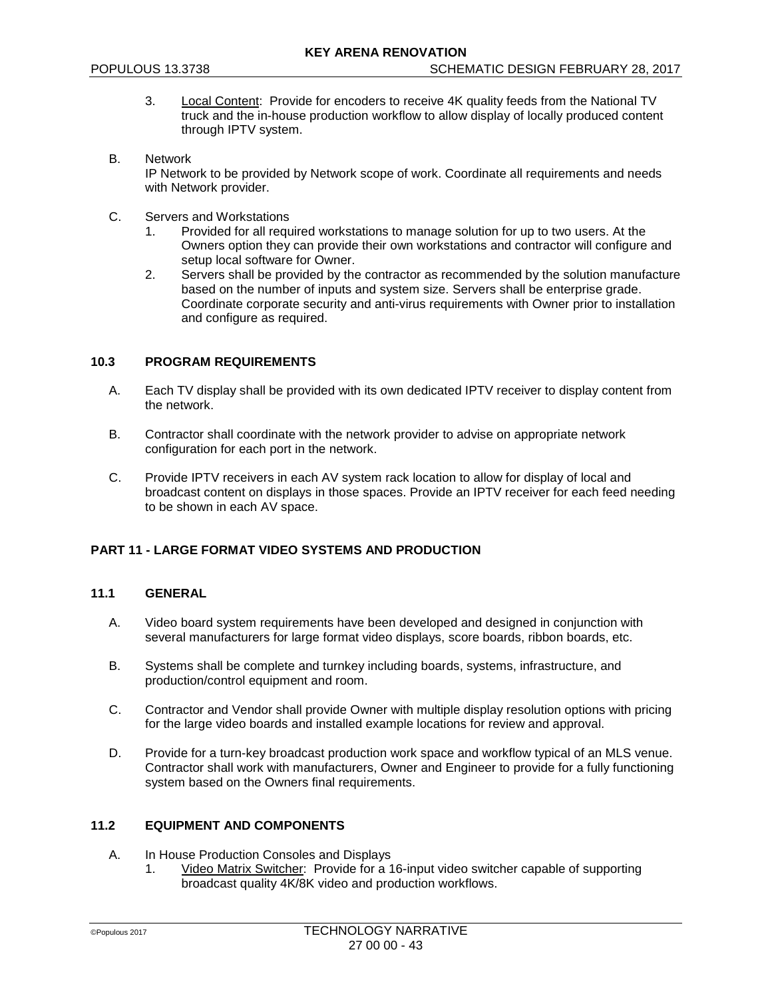- 3. Local Content: Provide for encoders to receive 4K quality feeds from the National TV truck and the in-house production workflow to allow display of locally produced content through IPTV system.
- B. Network IP Network to be provided by Network scope of work. Coordinate all requirements and needs with Network provider.
- C. Servers and Workstations
	- 1. Provided for all required workstations to manage solution for up to two users. At the Owners option they can provide their own workstations and contractor will configure and setup local software for Owner.
	- 2. Servers shall be provided by the contractor as recommended by the solution manufacture based on the number of inputs and system size. Servers shall be enterprise grade. Coordinate corporate security and anti-virus requirements with Owner prior to installation and configure as required.

### **10.3 PROGRAM REQUIREMENTS**

- A. Each TV display shall be provided with its own dedicated IPTV receiver to display content from the network.
- B. Contractor shall coordinate with the network provider to advise on appropriate network configuration for each port in the network.
- C. Provide IPTV receivers in each AV system rack location to allow for display of local and broadcast content on displays in those spaces. Provide an IPTV receiver for each feed needing to be shown in each AV space.

# **PART 11 - LARGE FORMAT VIDEO SYSTEMS AND PRODUCTION**

### **11.1 GENERAL**

- A. Video board system requirements have been developed and designed in conjunction with several manufacturers for large format video displays, score boards, ribbon boards, etc.
- B. Systems shall be complete and turnkey including boards, systems, infrastructure, and production/control equipment and room.
- C. Contractor and Vendor shall provide Owner with multiple display resolution options with pricing for the large video boards and installed example locations for review and approval.
- D. Provide for a turn-key broadcast production work space and workflow typical of an MLS venue. Contractor shall work with manufacturers, Owner and Engineer to provide for a fully functioning system based on the Owners final requirements.

### **11.2 EQUIPMENT AND COMPONENTS**

- A. In House Production Consoles and Displays
	- 1. Video Matrix Switcher: Provide for a 16-input video switcher capable of supporting broadcast quality 4K/8K video and production workflows.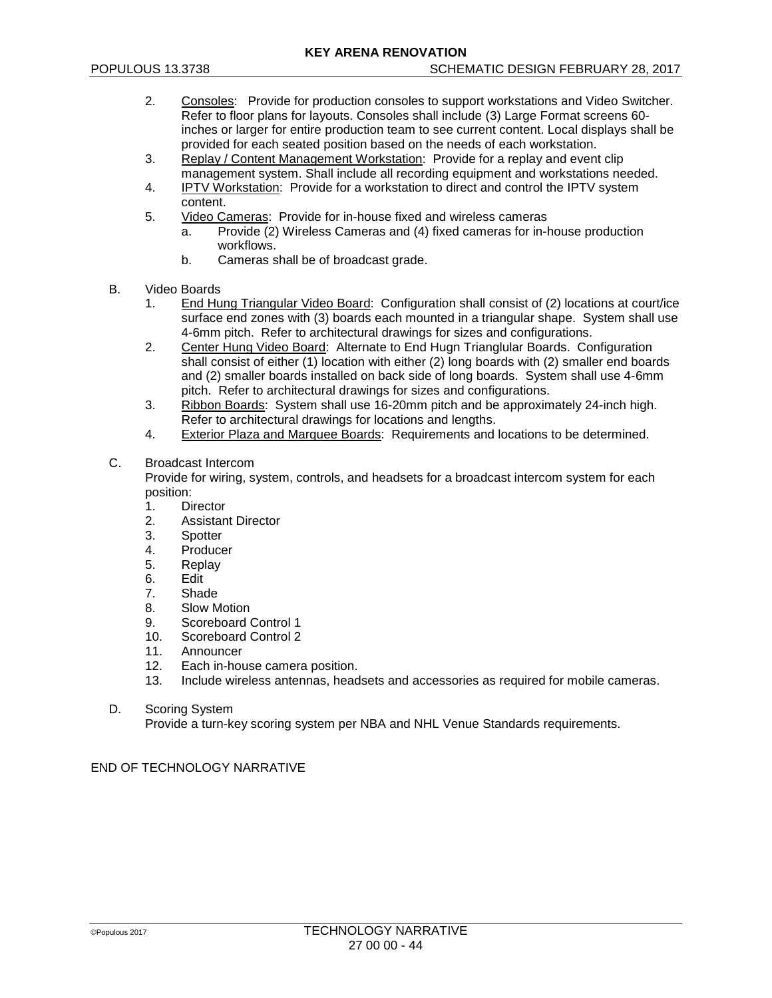- 2. Consoles: Provide for production consoles to support workstations and Video Switcher. Refer to floor plans for layouts. Consoles shall include (3) Large Format screens 60 inches or larger for entire production team to see current content. Local displays shall be provided for each seated position based on the needs of each workstation.
- 3. Replay / Content Management Workstation: Provide for a replay and event clip management system. Shall include all recording equipment and workstations needed.
- 4. IPTV Workstation: Provide for a workstation to direct and control the IPTV system content.
- 5. Video Cameras: Provide for in-house fixed and wireless cameras
	- a. Provide (2) Wireless Cameras and (4) fixed cameras for in-house production workflows.
	- b. Cameras shall be of broadcast grade.
- B. Video Boards
	- 1. End Hung Triangular Video Board: Configuration shall consist of (2) locations at court/ice surface end zones with (3) boards each mounted in a triangular shape. System shall use 4-6mm pitch. Refer to architectural drawings for sizes and configurations.
	- 2. Center Hung Video Board: Alternate to End Hugn Trianglular Boards. Configuration shall consist of either (1) location with either (2) long boards with (2) smaller end boards and (2) smaller boards installed on back side of long boards. System shall use 4-6mm pitch. Refer to architectural drawings for sizes and configurations.
	- 3. Ribbon Boards: System shall use 16-20mm pitch and be approximately 24-inch high. Refer to architectural drawings for locations and lengths.
	- 4. Exterior Plaza and Marquee Boards: Requirements and locations to be determined.

### C. Broadcast Intercom

Provide for wiring, system, controls, and headsets for a broadcast intercom system for each position:

- 1. Director
- 2. Assistant Director<br>3. Spotter
- **Spotter**
- 4. Producer
- 5. Replay
- 6. Edit
- 7. Shade
- 8. Slow Motion<br>9. Scoreboard (
- 9. Scoreboard Control 1<br>10 Scoreboard Control 2
- Scoreboard Control 2
- 11. Announcer<br>12. Each in-hou
- Each in-house camera position.
- 13. Include wireless antennas, headsets and accessories as required for mobile cameras.
- D. Scoring System

Provide a turn-key scoring system per NBA and NHL Venue Standards requirements.

#### END OF TECHNOLOGY NARRATIVE